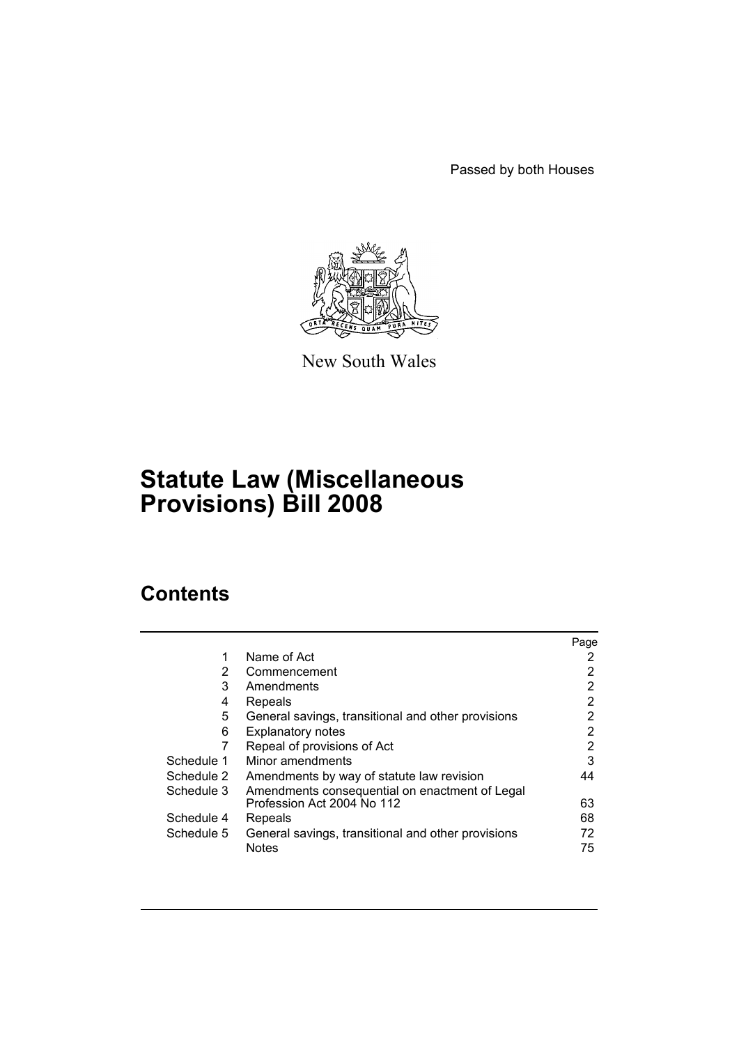Passed by both Houses



New South Wales

# **Statute Law (Miscellaneous Provisions) Bill 2008**

# **Contents**

|            |                                                    | Page |
|------------|----------------------------------------------------|------|
| 1          | Name of Act                                        | 2    |
| 2          | Commencement                                       | 2    |
| 3          | Amendments                                         | 2    |
| 4          | Repeals                                            | 2    |
| 5          | General savings, transitional and other provisions | 2    |
| 6          | <b>Explanatory notes</b>                           | 2    |
| 7          | Repeal of provisions of Act                        | 2    |
| Schedule 1 | Minor amendments                                   | 3    |
| Schedule 2 | Amendments by way of statute law revision          | 44   |
| Schedule 3 | Amendments consequential on enactment of Legal     |      |
|            | Profession Act 2004 No 112                         | 63   |
| Schedule 4 | Repeals                                            | 68   |
| Schedule 5 | General savings, transitional and other provisions | 72   |
|            | <b>Notes</b>                                       | 75   |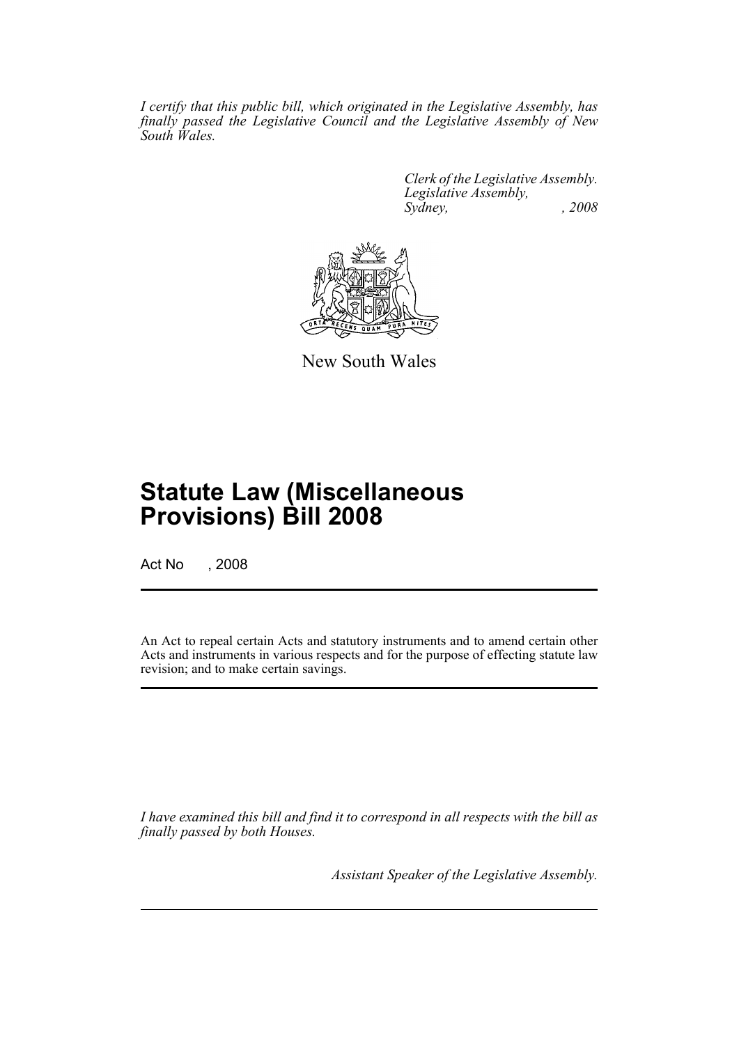*I certify that this public bill, which originated in the Legislative Assembly, has finally passed the Legislative Council and the Legislative Assembly of New South Wales.*

> *Clerk of the Legislative Assembly. Legislative Assembly, Sydney, , 2008*



New South Wales

# **Statute Law (Miscellaneous Provisions) Bill 2008**

Act No , 2008

An Act to repeal certain Acts and statutory instruments and to amend certain other Acts and instruments in various respects and for the purpose of effecting statute law revision; and to make certain savings.

*I have examined this bill and find it to correspond in all respects with the bill as finally passed by both Houses.*

*Assistant Speaker of the Legislative Assembly.*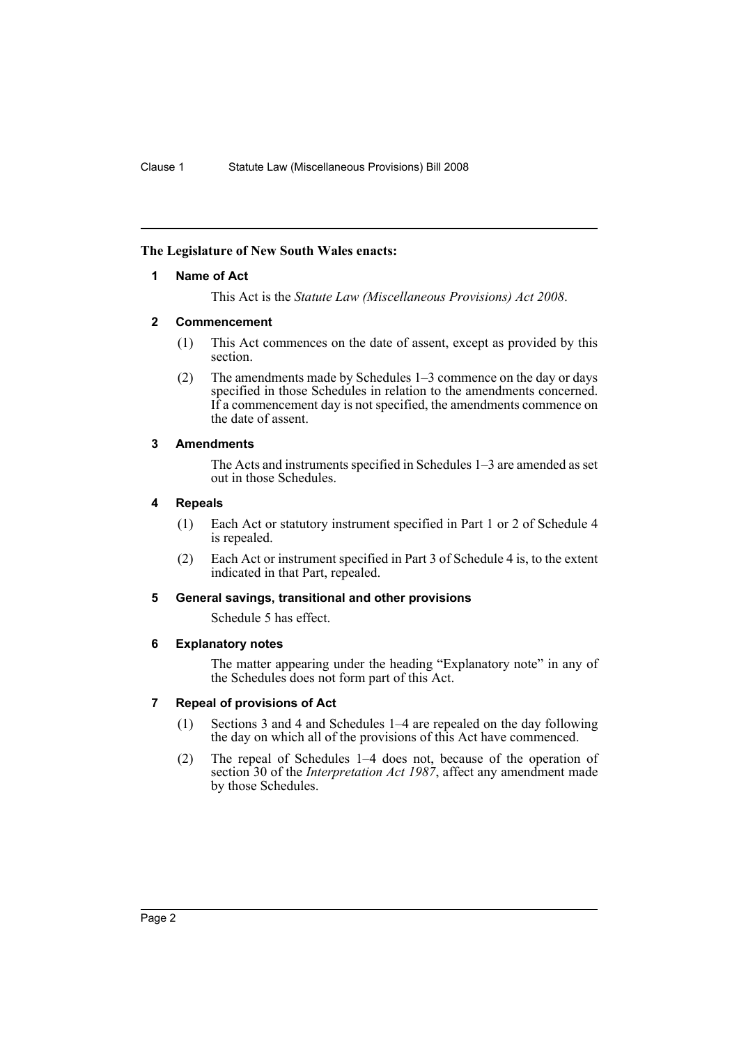### <span id="page-2-0"></span>**The Legislature of New South Wales enacts:**

### **1 Name of Act**

This Act is the *Statute Law (Miscellaneous Provisions) Act 2008*.

### <span id="page-2-1"></span>**2 Commencement**

- (1) This Act commences on the date of assent, except as provided by this section.
- (2) The amendments made by Schedules 1–3 commence on the day or days specified in those Schedules in relation to the amendments concerned. If a commencement day is not specified, the amendments commence on the date of assent.

### <span id="page-2-2"></span>**3 Amendments**

The Acts and instruments specified in Schedules 1–3 are amended as set out in those Schedules.

### <span id="page-2-3"></span>**4 Repeals**

- (1) Each Act or statutory instrument specified in Part 1 or 2 of Schedule 4 is repealed.
- (2) Each Act or instrument specified in Part 3 of Schedule 4 is, to the extent indicated in that Part, repealed.

#### <span id="page-2-4"></span>**5 General savings, transitional and other provisions**

Schedule 5 has effect.

#### <span id="page-2-5"></span>**6 Explanatory notes**

The matter appearing under the heading "Explanatory note" in any of the Schedules does not form part of this Act.

# <span id="page-2-6"></span>**7 Repeal of provisions of Act**

- (1) Sections 3 and 4 and Schedules 1–4 are repealed on the day following the day on which all of the provisions of this Act have commenced.
- (2) The repeal of Schedules 1–4 does not, because of the operation of section 30 of the *Interpretation Act 1987*, affect any amendment made by those Schedules.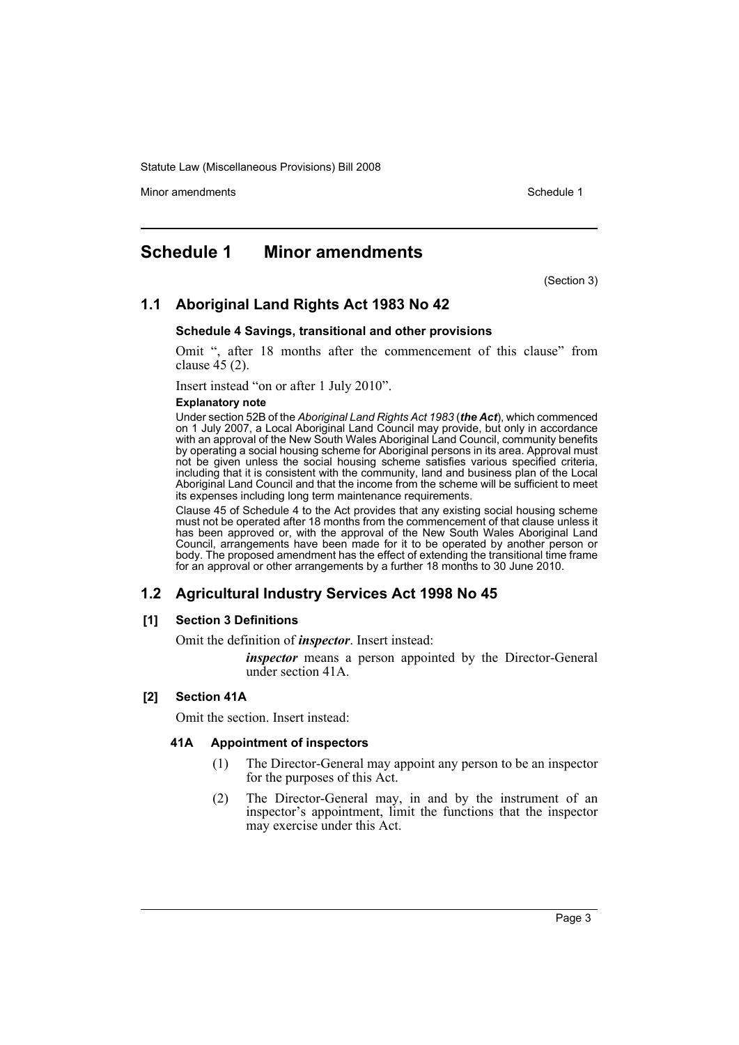Minor amendments **Schedule 1** and the state of the state 1 and the state of the Schedule 1

# <span id="page-3-0"></span>**Schedule 1 Minor amendments**

(Section 3)

# **1.1 Aboriginal Land Rights Act 1983 No 42**

#### **Schedule 4 Savings, transitional and other provisions**

Omit ", after 18 months after the commencement of this clause" from clause 45 (2).

Insert instead "on or after 1 July 2010".

#### **Explanatory note**

Under section 52B of the *Aboriginal Land Rights Act 1983* (*the Act*), which commenced on 1 July 2007, a Local Aboriginal Land Council may provide, but only in accordance with an approval of the New South Wales Aboriginal Land Council, community benefits by operating a social housing scheme for Aboriginal persons in its area. Approval must not be given unless the social housing scheme satisfies various specified criteria, including that it is consistent with the community, land and business plan of the Local Aboriginal Land Council and that the income from the scheme will be sufficient to meet its expenses including long term maintenance requirements.

Clause 45 of Schedule 4 to the Act provides that any existing social housing scheme must not be operated after 18 months from the commencement of that clause unless it has been approved or, with the approval of the New South Wales Aboriginal Land Council, arrangements have been made for it to be operated by another person or body. The proposed amendment has the effect of extending the transitional time frame for an approval or other arrangements by a further 18 months to 30 June 2010.

# **1.2 Agricultural Industry Services Act 1998 No 45**

#### **[1] Section 3 Definitions**

Omit the definition of *inspector*. Insert instead:

*inspector* means a person appointed by the Director-General under section 41A.

# **[2] Section 41A**

Omit the section. Insert instead:

#### **41A Appointment of inspectors**

- (1) The Director-General may appoint any person to be an inspector for the purposes of this Act.
- (2) The Director-General may, in and by the instrument of an inspector's appointment, limit the functions that the inspector may exercise under this Act.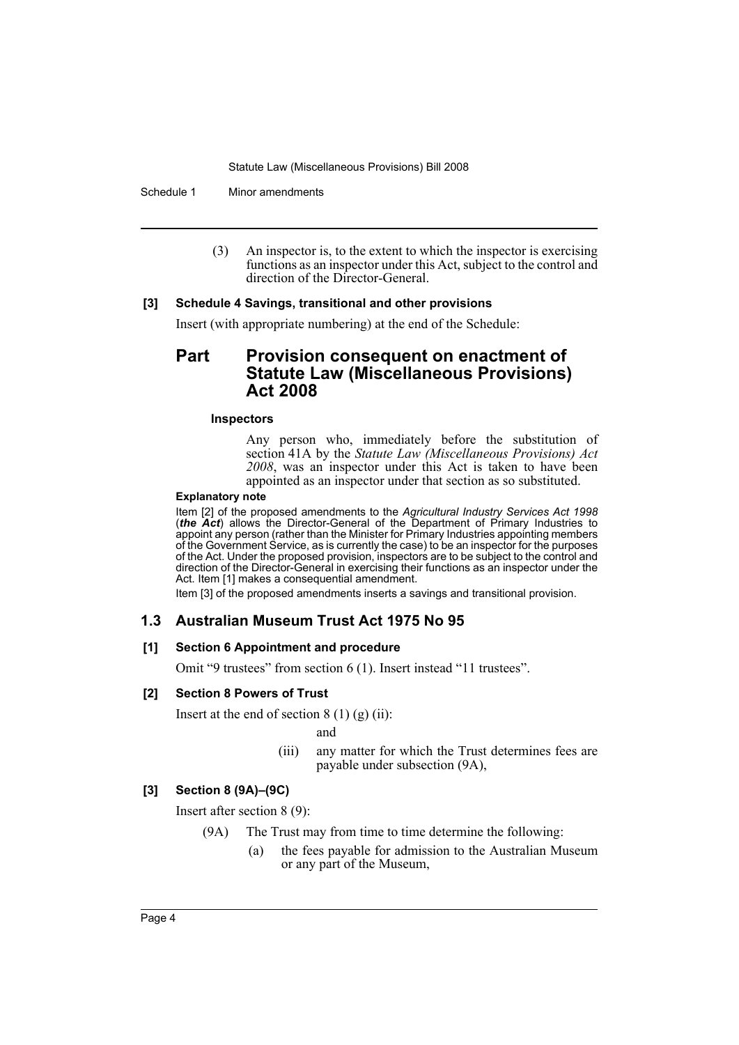Schedule 1 Minor amendments

(3) An inspector is, to the extent to which the inspector is exercising functions as an inspector under this Act, subject to the control and direction of the Director-General.

### **[3] Schedule 4 Savings, transitional and other provisions**

Insert (with appropriate numbering) at the end of the Schedule:

# Part Provision consequent on enactment of **Statute Law (Miscellaneous Provisions) Act 2008**

#### **Inspectors**

Any person who, immediately before the substitution of section 41A by the *Statute Law (Miscellaneous Provisions) Act 2008*, was an inspector under this Act is taken to have been appointed as an inspector under that section as so substituted.

#### **Explanatory note**

Item [2] of the proposed amendments to the *Agricultural Industry Services Act 1998* (*the Act*) allows the Director-General of the Department of Primary Industries to appoint any person (rather than the Minister for Primary Industries appointing members of the Government Service, as is currently the case) to be an inspector for the purposes of the Act. Under the proposed provision, inspectors are to be subject to the control and direction of the Director-General in exercising their functions as an inspector under the Act. Item [1] makes a consequential amendment.

Item [3] of the proposed amendments inserts a savings and transitional provision.

# **1.3 Australian Museum Trust Act 1975 No 95**

# **[1] Section 6 Appointment and procedure**

Omit "9 trustees" from section 6 (1). Insert instead "11 trustees".

#### **[2] Section 8 Powers of Trust**

Insert at the end of section  $8(1)(g)(ii)$ :

and

(iii) any matter for which the Trust determines fees are payable under subsection (9A),

# **[3] Section 8 (9A)–(9C)**

Insert after section 8 (9):

- (9A) The Trust may from time to time determine the following:
	- (a) the fees payable for admission to the Australian Museum or any part of the Museum,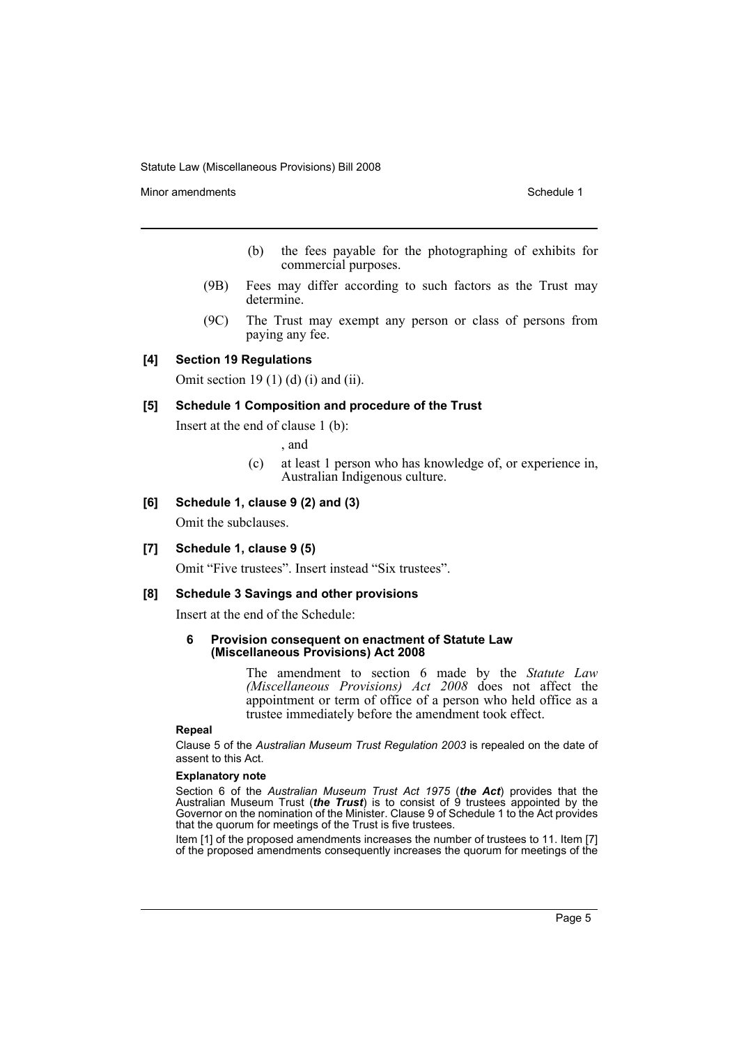Minor amendments **Schedule 1** and the state of the state of the Schedule 1

- (b) the fees payable for the photographing of exhibits for commercial purposes.
- (9B) Fees may differ according to such factors as the Trust may determine.
- (9C) The Trust may exempt any person or class of persons from paying any fee.

### **[4] Section 19 Regulations**

Omit section 19 $(1)$  $(d)$  $(i)$  and  $(ii)$ .

#### **[5] Schedule 1 Composition and procedure of the Trust**

Insert at the end of clause 1 (b):

, and

(c) at least 1 person who has knowledge of, or experience in, Australian Indigenous culture.

#### **[6] Schedule 1, clause 9 (2) and (3)**

Omit the subclauses.

#### **[7] Schedule 1, clause 9 (5)**

Omit "Five trustees". Insert instead "Six trustees".

#### **[8] Schedule 3 Savings and other provisions**

Insert at the end of the Schedule:

#### **6 Provision consequent on enactment of Statute Law (Miscellaneous Provisions) Act 2008**

The amendment to section 6 made by the *Statute Law (Miscellaneous Provisions) Act 2008* does not affect the appointment or term of office of a person who held office as a trustee immediately before the amendment took effect.

#### **Repeal**

Clause 5 of the *Australian Museum Trust Regulation 2003* is repealed on the date of assent to this Act.

#### **Explanatory note**

Section 6 of the *Australian Museum Trust Act 1975* (*the Act*) provides that the Australian Museum Trust (*the Trust*) is to consist of 9 trustees appointed by the Governor on the nomination of the Minister. Clause 9 of Schedule 1 to the Act provides that the quorum for meetings of the Trust is five trustees.

Item [1] of the proposed amendments increases the number of trustees to 11. Item [7] of the proposed amendments consequently increases the quorum for meetings of the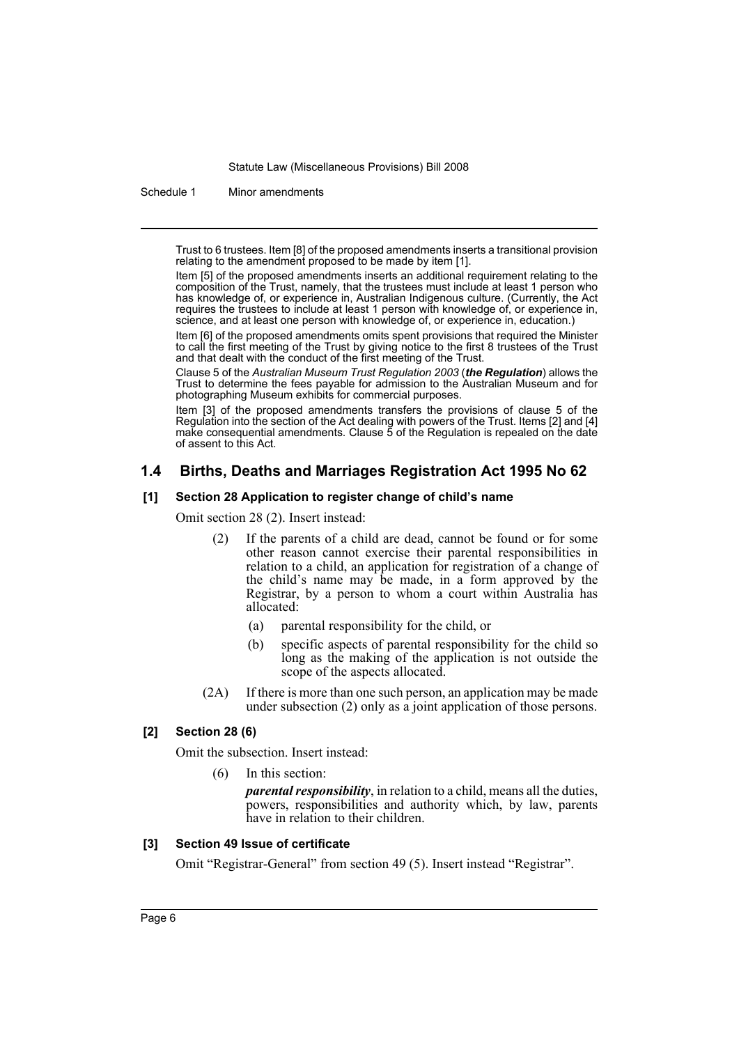Schedule 1 Minor amendments

Trust to 6 trustees. Item [8] of the proposed amendments inserts a transitional provision relating to the amendment proposed to be made by item [1].

Item [5] of the proposed amendments inserts an additional requirement relating to the composition of the Trust, namely, that the trustees must include at least 1 person who has knowledge of, or experience in, Australian Indigenous culture. (Currently, the Act requires the trustees to include at least 1 person with knowledge of, or experience in, science, and at least one person with knowledge of, or experience in, education.)

Item [6] of the proposed amendments omits spent provisions that required the Minister to call the first meeting of the Trust by giving notice to the first 8 trustees of the Trust and that dealt with the conduct of the first meeting of the Trust.

Clause 5 of the *Australian Museum Trust Regulation 2003* (*the Regulation*) allows the Trust to determine the fees payable for admission to the Australian Museum and for photographing Museum exhibits for commercial purposes.

Item [3] of the proposed amendments transfers the provisions of clause 5 of the Regulation into the section of the Act dealing with powers of the Trust. Items [2] and [4] make consequential amendments. Clause 5 of the Regulation is repealed on the date of assent to this Act.

# **1.4 Births, Deaths and Marriages Registration Act 1995 No 62**

#### **[1] Section 28 Application to register change of child's name**

Omit section 28 (2). Insert instead:

- (2) If the parents of a child are dead, cannot be found or for some other reason cannot exercise their parental responsibilities in relation to a child, an application for registration of a change of the child's name may be made, in a form approved by the Registrar, by a person to whom a court within Australia has allocated:
	- (a) parental responsibility for the child, or
	- (b) specific aspects of parental responsibility for the child so long as the making of the application is not outside the scope of the aspects allocated.
- (2A) If there is more than one such person, an application may be made under subsection (2) only as a joint application of those persons.

#### **[2] Section 28 (6)**

Omit the subsection. Insert instead:

(6) In this section:

*parental responsibility*, in relation to a child, means all the duties, powers, responsibilities and authority which, by law, parents have in relation to their children.

#### **[3] Section 49 Issue of certificate**

Omit "Registrar-General" from section 49 (5). Insert instead "Registrar".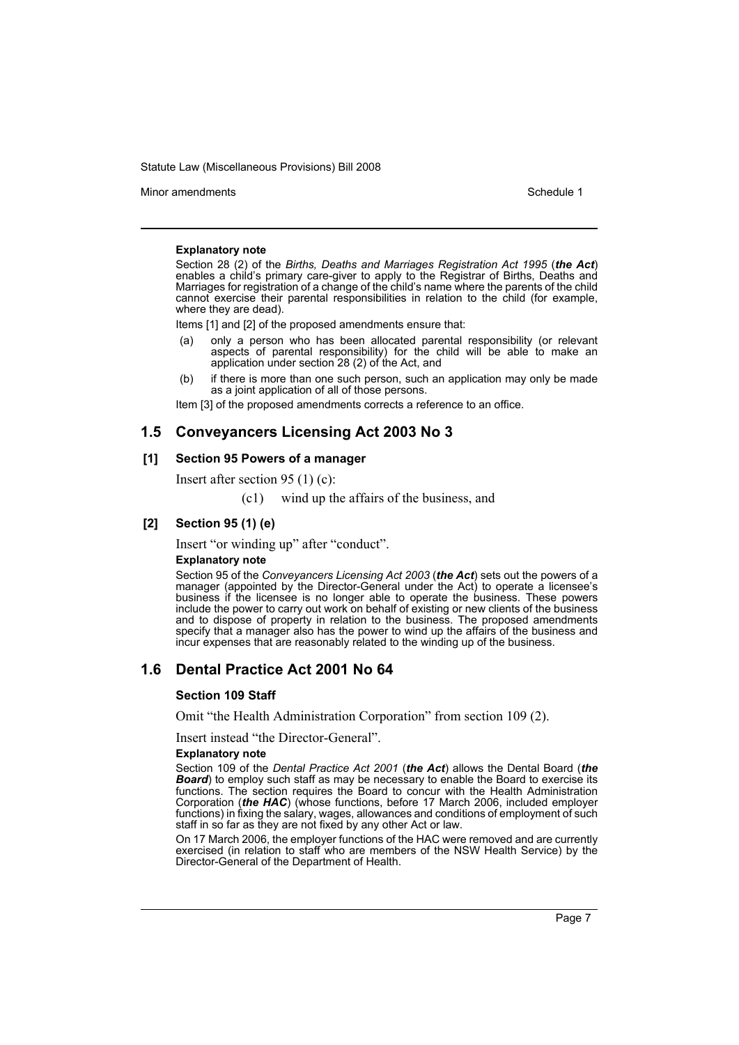Minor amendments **Schedule 1** and the state of the state 1 and the state of the Schedule 1

#### **Explanatory note**

Section 28 (2) of the *Births, Deaths and Marriages Registration Act 1995* (*the Act*) enables a child's primary care-giver to apply to the Registrar of Births, Deaths and Marriages for registration of a change of the child's name where the parents of the child cannot exercise their parental responsibilities in relation to the child (for example, where they are dead).

Items [1] and [2] of the proposed amendments ensure that:

- only a person who has been allocated parental responsibility (or relevant aspects of parental responsibility) for the child will be able to make an application under section 28 (2) of the Act, and
- (b) if there is more than one such person, such an application may only be made as a joint application of all of those persons.

Item [3] of the proposed amendments corrects a reference to an office.

# **1.5 Conveyancers Licensing Act 2003 No 3**

#### **[1] Section 95 Powers of a manager**

Insert after section 95 (1) (c):

(c1) wind up the affairs of the business, and

### **[2] Section 95 (1) (e)**

Insert "or winding up" after "conduct".

#### **Explanatory note**

Section 95 of the *Conveyancers Licensing Act 2003* (*the Act*) sets out the powers of a manager (appointed by the Director-General under the Act) to operate a licensee's business if the licensee is no longer able to operate the business. These powers include the power to carry out work on behalf of existing or new clients of the business and to dispose of property in relation to the business. The proposed amendments specify that a manager also has the power to wind up the affairs of the business and incur expenses that are reasonably related to the winding up of the business.

# **1.6 Dental Practice Act 2001 No 64**

#### **Section 109 Staff**

Omit "the Health Administration Corporation" from section 109 (2).

Insert instead "the Director-General".

#### **Explanatory note**

Section 109 of the *Dental Practice Act 2001* (*the Act*) allows the Dental Board (*the* **Board**) to employ such staff as may be necessary to enable the Board to exercise its functions. The section requires the Board to concur with the Health Administration Corporation (*the HAC*) (whose functions, before 17 March 2006, included employer functions) in fixing the salary, wages, allowances and conditions of employment of such staff in so far as they are not fixed by any other Act or law.

On 17 March 2006, the employer functions of the HAC were removed and are currently exercised (in relation to staff who are members of the NSW Health Service) by the Director-General of the Department of Health.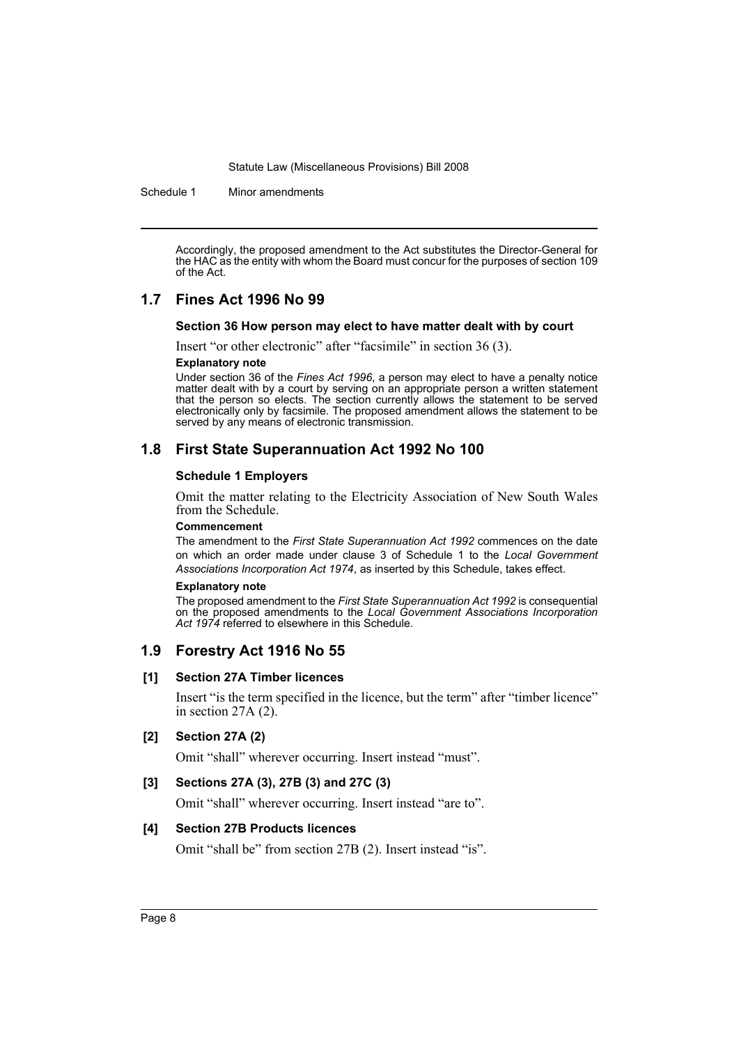Schedule 1 Minor amendments

Accordingly, the proposed amendment to the Act substitutes the Director-General for the HAC as the entity with whom the Board must concur for the purposes of section 109 of the Act.

# **1.7 Fines Act 1996 No 99**

### **Section 36 How person may elect to have matter dealt with by court**

Insert "or other electronic" after "facsimile" in section 36 (3).

#### **Explanatory note**

Under section 36 of the *Fines Act 1996*, a person may elect to have a penalty notice matter dealt with by a court by serving on an appropriate person a written statement that the person so elects. The section currently allows the statement to be served electronically only by facsimile. The proposed amendment allows the statement to be served by any means of electronic transmission.

# **1.8 First State Superannuation Act 1992 No 100**

#### **Schedule 1 Employers**

Omit the matter relating to the Electricity Association of New South Wales from the Schedule.

#### **Commencement**

The amendment to the *First State Superannuation Act 1992* commences on the date on which an order made under clause 3 of Schedule 1 to the *Local Government Associations Incorporation Act 1974*, as inserted by this Schedule, takes effect.

#### **Explanatory note**

The proposed amendment to the *First State Superannuation Act 1992* is consequential on the proposed amendments to the *Local Government Associations Incorporation Act 1974* referred to elsewhere in this Schedule.

# **1.9 Forestry Act 1916 No 55**

#### **[1] Section 27A Timber licences**

Insert "is the term specified in the licence, but the term" after "timber licence" in section 27A (2).

#### **[2] Section 27A (2)**

Omit "shall" wherever occurring. Insert instead "must".

### **[3] Sections 27A (3), 27B (3) and 27C (3)**

Omit "shall" wherever occurring. Insert instead "are to".

#### **[4] Section 27B Products licences**

Omit "shall be" from section 27B (2). Insert instead "is".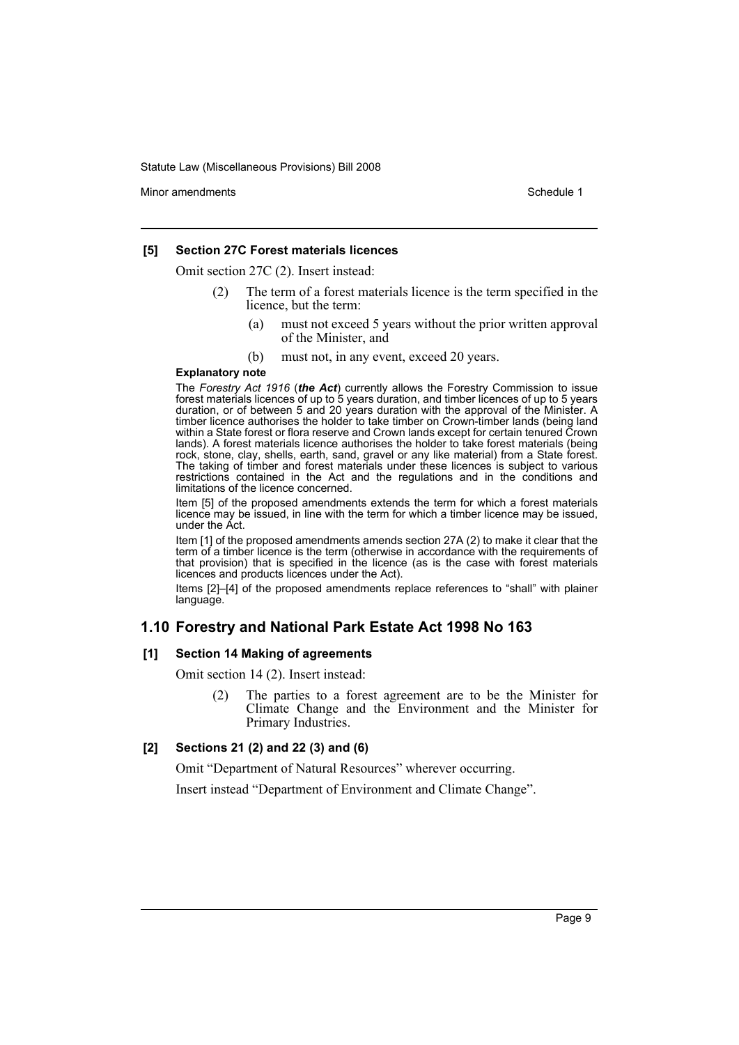Minor amendments **Schedule 1** and the state of the state 1 and the state of the Schedule 1

#### **[5] Section 27C Forest materials licences**

Omit section 27C (2). Insert instead:

- (2) The term of a forest materials licence is the term specified in the licence, but the term:
	- (a) must not exceed 5 years without the prior written approval of the Minister, and
	- (b) must not, in any event, exceed 20 years.

#### **Explanatory note**

The *Forestry Act 1916* (*the Act*) currently allows the Forestry Commission to issue forest materials licences of up to 5 years duration, and timber licences of up to 5 years duration, or of between 5 and 20 years duration with the approval of the Minister. A timber licence authorises the holder to take timber on Crown-timber lands (being land within a State forest or flora reserve and Crown lands except for certain tenured Crown lands). A forest materials licence authorises the holder to take forest materials (being rock, stone, clay, shells, earth, sand, gravel or any like material) from a State forest. The taking of timber and forest materials under these licences is subject to various restrictions contained in the Act and the regulations and in the conditions and limitations of the licence concerned.

Item [5] of the proposed amendments extends the term for which a forest materials licence may be issued, in line with the term for which a timber licence may be issued, under the Act.

Item [1] of the proposed amendments amends section 27A (2) to make it clear that the term of a timber licence is the term (otherwise in accordance with the requirements of that provision) that is specified in the licence (as is the case with forest materials licences and products licences under the Act).

Items [2]–[4] of the proposed amendments replace references to "shall" with plainer language.

# **1.10 Forestry and National Park Estate Act 1998 No 163**

### **[1] Section 14 Making of agreements**

Omit section 14 (2). Insert instead:

(2) The parties to a forest agreement are to be the Minister for Climate Change and the Environment and the Minister for Primary Industries.

# **[2] Sections 21 (2) and 22 (3) and (6)**

Omit "Department of Natural Resources" wherever occurring.

Insert instead "Department of Environment and Climate Change".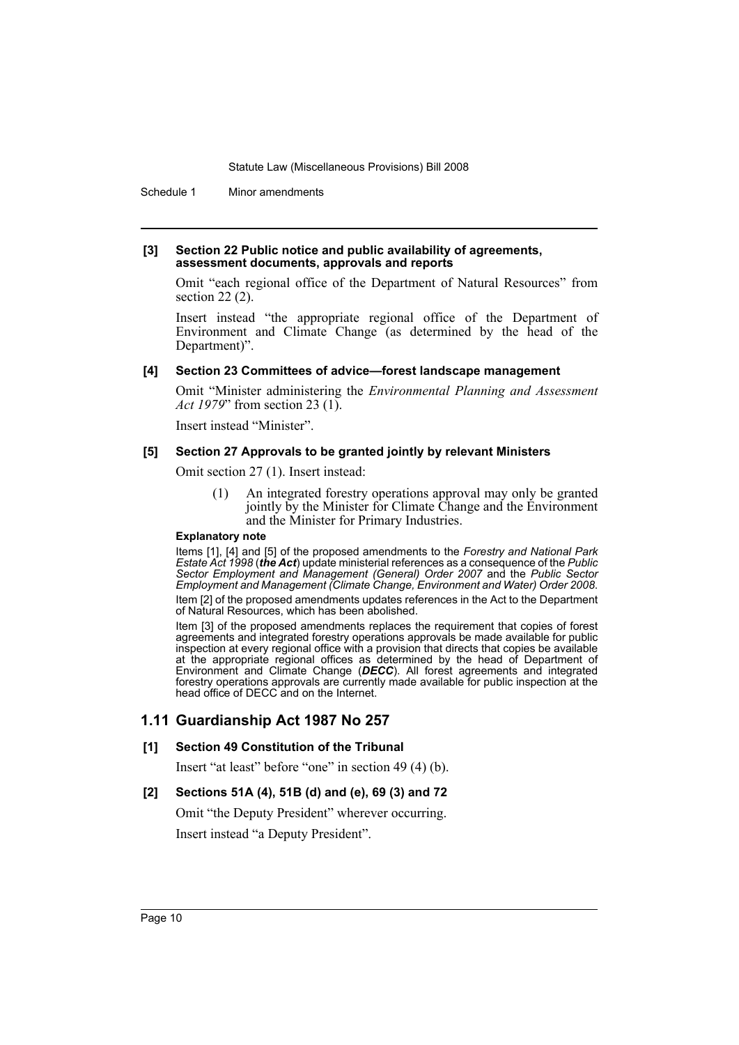Schedule 1 Minor amendments

#### **[3] Section 22 Public notice and public availability of agreements, assessment documents, approvals and reports**

Omit "each regional office of the Department of Natural Resources" from section 22 (2).

Insert instead "the appropriate regional office of the Department of Environment and Climate Change (as determined by the head of the Department)".

### **[4] Section 23 Committees of advice—forest landscape management**

Omit "Minister administering the *Environmental Planning and Assessment Act 1979*" from section 23 (1).

Insert instead "Minister".

#### **[5] Section 27 Approvals to be granted jointly by relevant Ministers**

Omit section 27 (1). Insert instead:

(1) An integrated forestry operations approval may only be granted jointly by the Minister for Climate Change and the Environment and the Minister for Primary Industries.

#### **Explanatory note**

Items [1], [4] and [5] of the proposed amendments to the *Forestry and National Park Estate Act 1998* (*the Act*) update ministerial references as a consequence of the *Public Sector Employment and Management (General) Order 2007* and the *Public Sector Employment and Management (Climate Change, Environment and Water) Order 2008*.

Item [2] of the proposed amendments updates references in the Act to the Department of Natural Resources, which has been abolished.

Item [3] of the proposed amendments replaces the requirement that copies of forest agreements and integrated forestry operations approvals be made available for public inspection at every regional office with a provision that directs that copies be available at the appropriate regional offices as determined by the head of Department of Environment and Climate Change (*DECC*). All forest agreements and integrated forestry operations approvals are currently made available for public inspection at the head office of DECC and on the Internet.

# **1.11 Guardianship Act 1987 No 257**

# **[1] Section 49 Constitution of the Tribunal**

Insert "at least" before "one" in section 49 (4) (b).

# **[2] Sections 51A (4), 51B (d) and (e), 69 (3) and 72**

Omit "the Deputy President" wherever occurring. Insert instead "a Deputy President".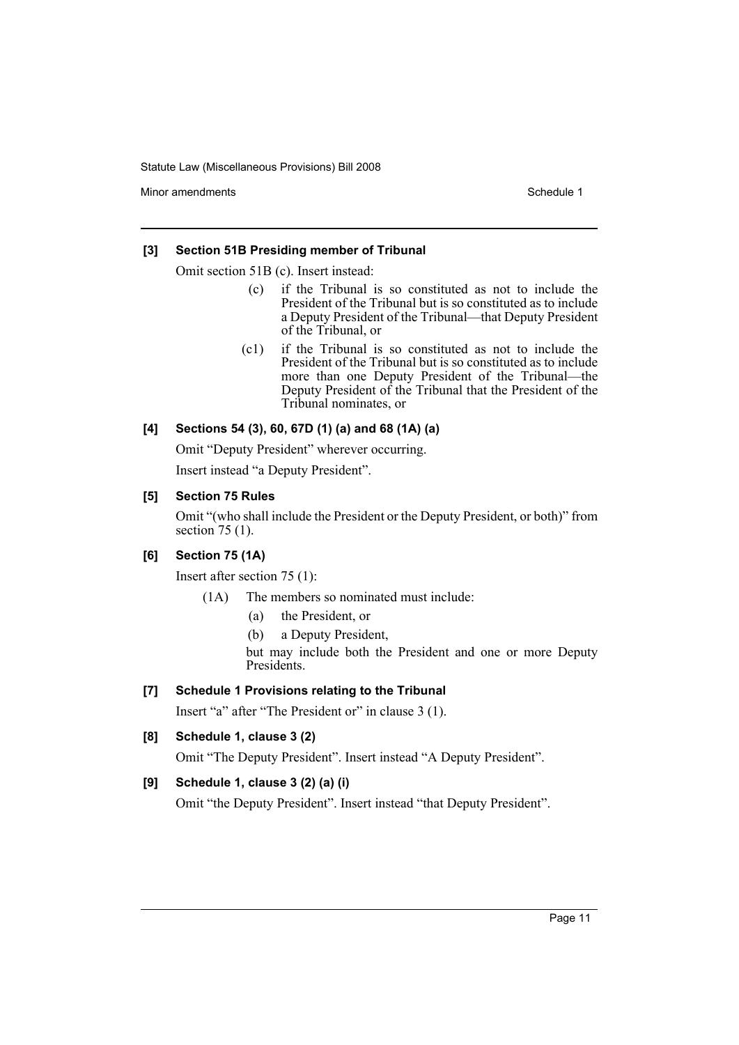Minor amendments **Schedule 1** and the state of the state of the Schedule 1

### **[3] Section 51B Presiding member of Tribunal**

Omit section 51B (c). Insert instead:

- (c) if the Tribunal is so constituted as not to include the President of the Tribunal but is so constituted as to include a Deputy President of the Tribunal—that Deputy President of the Tribunal, or
- (c1) if the Tribunal is so constituted as not to include the President of the Tribunal but is so constituted as to include more than one Deputy President of the Tribunal—the Deputy President of the Tribunal that the President of the Tribunal nominates, or

# **[4] Sections 54 (3), 60, 67D (1) (a) and 68 (1A) (a)**

Omit "Deputy President" wherever occurring.

Insert instead "a Deputy President".

# **[5] Section 75 Rules**

Omit "(who shall include the President or the Deputy President, or both)" from section 75 (1).

# **[6] Section 75 (1A)**

Insert after section 75 (1):

- (1A) The members so nominated must include:
	- (a) the President, or
	- (b) a Deputy President,

but may include both the President and one or more Deputy Presidents.

# **[7] Schedule 1 Provisions relating to the Tribunal**

Insert "a" after "The President or" in clause 3 (1).

**[8] Schedule 1, clause 3 (2)**

Omit "The Deputy President". Insert instead "A Deputy President".

# **[9] Schedule 1, clause 3 (2) (a) (i)**

Omit "the Deputy President". Insert instead "that Deputy President".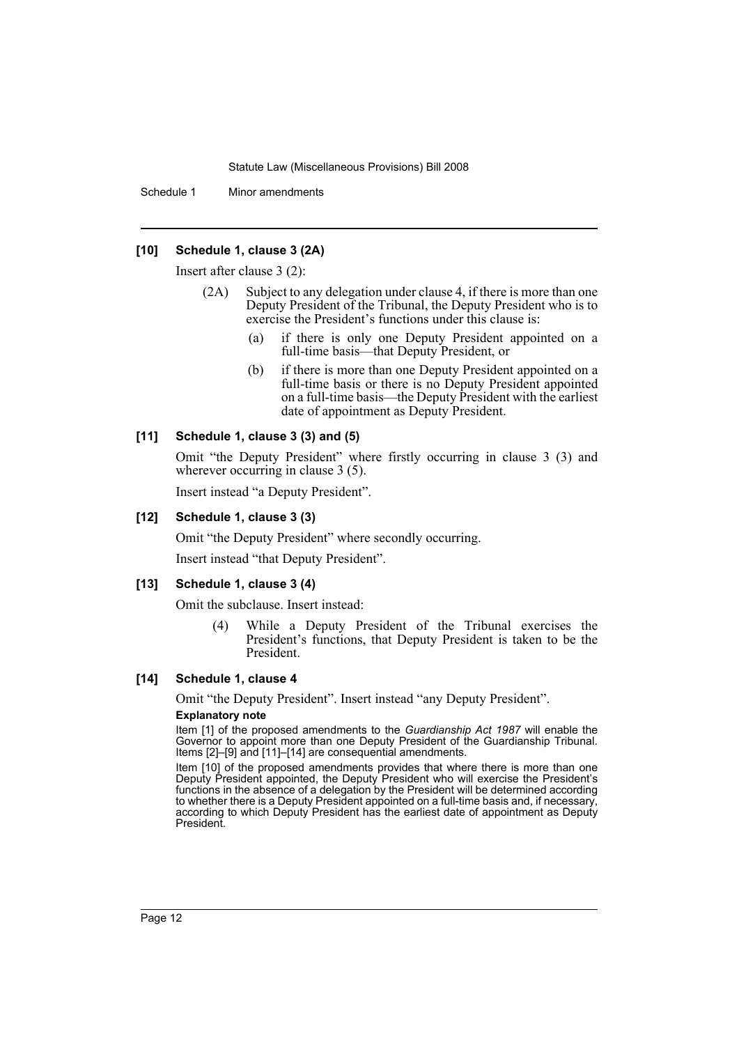Schedule 1 Minor amendments

### **[10] Schedule 1, clause 3 (2A)**

Insert after clause 3 (2):

- (2A) Subject to any delegation under clause 4, if there is more than one Deputy President of the Tribunal, the Deputy President who is to exercise the President's functions under this clause is:
	- (a) if there is only one Deputy President appointed on a full-time basis—that Deputy President, or
	- (b) if there is more than one Deputy President appointed on a full-time basis or there is no Deputy President appointed on a full-time basis—the Deputy President with the earliest date of appointment as Deputy President.

#### **[11] Schedule 1, clause 3 (3) and (5)**

Omit "the Deputy President" where firstly occurring in clause 3 (3) and wherever occurring in clause 3 (5).

Insert instead "a Deputy President".

#### **[12] Schedule 1, clause 3 (3)**

Omit "the Deputy President" where secondly occurring.

Insert instead "that Deputy President".

#### **[13] Schedule 1, clause 3 (4)**

Omit the subclause. Insert instead:

(4) While a Deputy President of the Tribunal exercises the President's functions, that Deputy President is taken to be the President.

#### **[14] Schedule 1, clause 4**

Omit "the Deputy President". Insert instead "any Deputy President".

#### **Explanatory note**

Item [1] of the proposed amendments to the *Guardianship Act 1987* will enable the Governor to appoint more than one Deputy President of the Guardianship Tribunal. Items [2]–[9] and [11]–[14] are consequential amendments.

Item [10] of the proposed amendments provides that where there is more than one Deputy President appointed, the Deputy President who will exercise the President's functions in the absence of a delegation by the President will be determined according to whether there is a Deputy President appointed on a full-time basis and, if necessary, according to which Deputy President has the earliest date of appointment as Deputy President.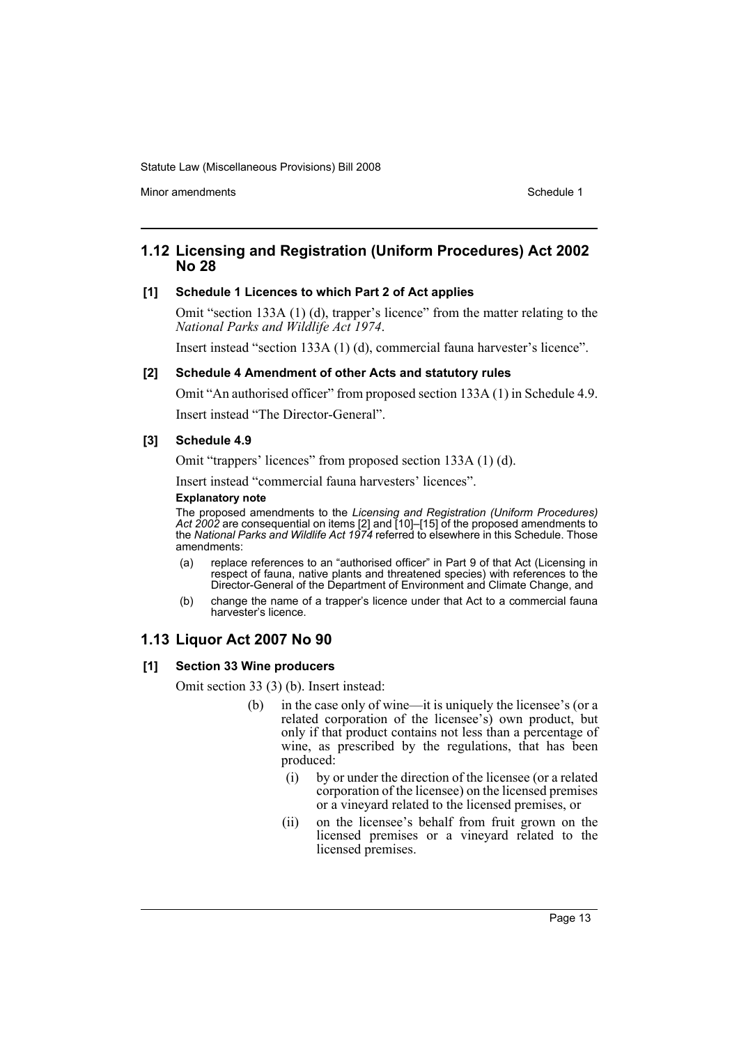Minor amendments **Schedule 1** and the state of the state 1 and the state of the Schedule 1

# **1.12 Licensing and Registration (Uniform Procedures) Act 2002 No 28**

#### **[1] Schedule 1 Licences to which Part 2 of Act applies**

Omit "section 133A (1) (d), trapper's licence" from the matter relating to the *National Parks and Wildlife Act 1974*.

Insert instead "section 133A (1) (d), commercial fauna harvester's licence".

# **[2] Schedule 4 Amendment of other Acts and statutory rules**

Omit "An authorised officer" from proposed section 133A (1) in Schedule 4.9.

Insert instead "The Director-General".

#### **[3] Schedule 4.9**

Omit "trappers' licences" from proposed section 133A (1) (d).

Insert instead "commercial fauna harvesters' licences".

# **Explanatory note**

The proposed amendments to the *Licensing and Registration (Uniform Procedures) Act 2002* are consequential on items [2] and [10]–[15] of the proposed amendments to the *National Parks and Wildlife Act 1974* referred to elsewhere in this Schedule. Those amendments:

- (a) replace references to an "authorised officer" in Part 9 of that Act (Licensing in respect of fauna, native plants and threatened species) with references to the Director-General of the Department of Environment and Climate Change, and
- (b) change the name of a trapper's licence under that Act to a commercial fauna harvester's licence.

# **1.13 Liquor Act 2007 No 90**

### **[1] Section 33 Wine producers**

Omit section 33 (3) (b). Insert instead:

- (b) in the case only of wine—it is uniquely the licensee's (or a related corporation of the licensee's) own product, but only if that product contains not less than a percentage of wine, as prescribed by the regulations, that has been produced:
	- (i) by or under the direction of the licensee (or a related corporation of the licensee) on the licensed premises or a vineyard related to the licensed premises, or
	- (ii) on the licensee's behalf from fruit grown on the licensed premises or a vineyard related to the licensed premises.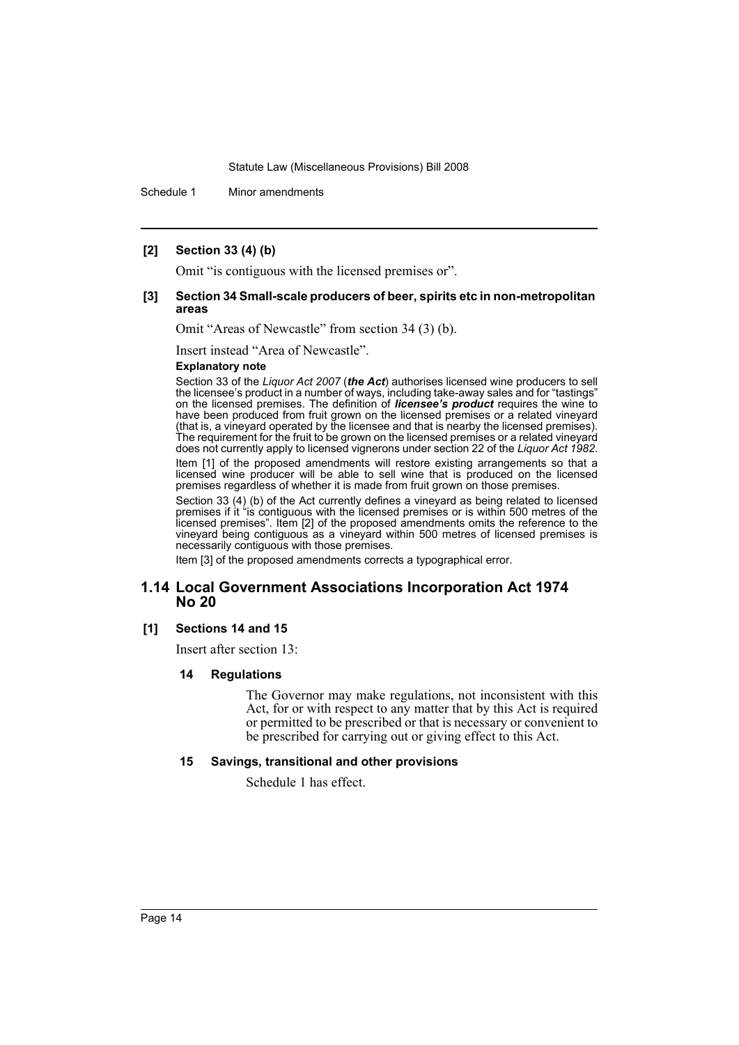Schedule 1 Minor amendments

### **[2] Section 33 (4) (b)**

Omit "is contiguous with the licensed premises or".

#### **[3] Section 34 Small-scale producers of beer, spirits etc in non-metropolitan areas**

Omit "Areas of Newcastle" from section 34 (3) (b).

Insert instead "Area of Newcastle".

#### **Explanatory note**

Section 33 of the *Liquor Act 2007* (*the Act*) authorises licensed wine producers to sell the licensee's product in a number of ways, including take-away sales and for "tastings" on the licensed premises. The definition of *licensee's product* requires the wine to have been produced from fruit grown on the licensed premises or a related vineyard (that is, a vineyard operated by the licensee and that is nearby the licensed premises). The requirement for the fruit to be grown on the licensed premises or a related vineyard does not currently apply to licensed vignerons under section 22 of the *Liquor Act 1982*.

Item [1] of the proposed amendments will restore existing arrangements so that a licensed wine producer will be able to sell wine that is produced on the licensed premises regardless of whether it is made from fruit grown on those premises.

Section 33 (4) (b) of the Act currently defines a vineyard as being related to licensed premises if it "is contiguous with the licensed premises or is within 500 metres of the licensed premises". Item [2] of the proposed amendments omits the reference to the vineyard being contiguous as a vineyard within 500 metres of licensed premises is necessarily contiguous with those premises.

Item [3] of the proposed amendments corrects a typographical error.

# **1.14 Local Government Associations Incorporation Act 1974 No 20**

# **[1] Sections 14 and 15**

Insert after section 13:

#### **14 Regulations**

The Governor may make regulations, not inconsistent with this Act, for or with respect to any matter that by this Act is required or permitted to be prescribed or that is necessary or convenient to be prescribed for carrying out or giving effect to this Act.

#### **15 Savings, transitional and other provisions**

Schedule 1 has effect.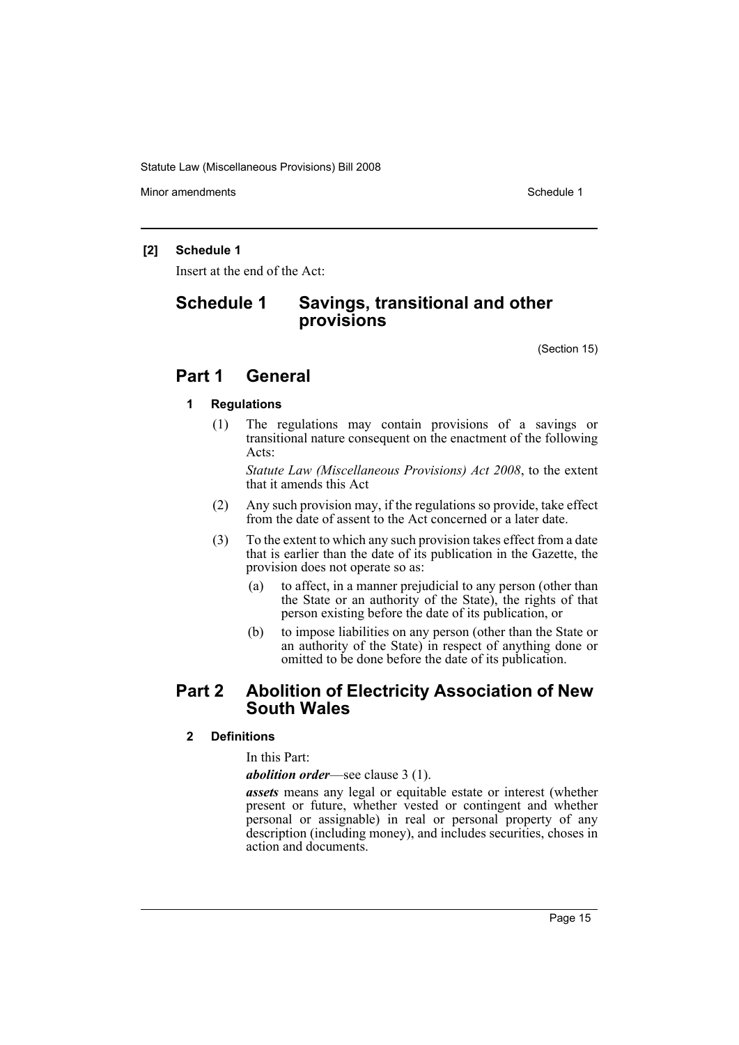Minor amendments **Schedule 1** and the state of the state 1 and the state of the Schedule 1

### **[2] Schedule 1**

Insert at the end of the Act:

# **Schedule 1 Savings, transitional and other provisions**

(Section 15)

# **Part 1 General**

# **1 Regulations**

(1) The regulations may contain provisions of a savings or transitional nature consequent on the enactment of the following Acts:

*Statute Law (Miscellaneous Provisions) Act 2008*, to the extent that it amends this Act

- (2) Any such provision may, if the regulations so provide, take effect from the date of assent to the Act concerned or a later date.
- (3) To the extent to which any such provision takes effect from a date that is earlier than the date of its publication in the Gazette, the provision does not operate so as:
	- (a) to affect, in a manner prejudicial to any person (other than the State or an authority of the State), the rights of that person existing before the date of its publication, or
	- (b) to impose liabilities on any person (other than the State or an authority of the State) in respect of anything done or omitted to be done before the date of its publication.

# **Part 2 Abolition of Electricity Association of New South Wales**

**2 Definitions**

In this Part:

*abolition order*—see clause 3 (1).

*assets* means any legal or equitable estate or interest (whether present or future, whether vested or contingent and whether personal or assignable) in real or personal property of any description (including money), and includes securities, choses in action and documents.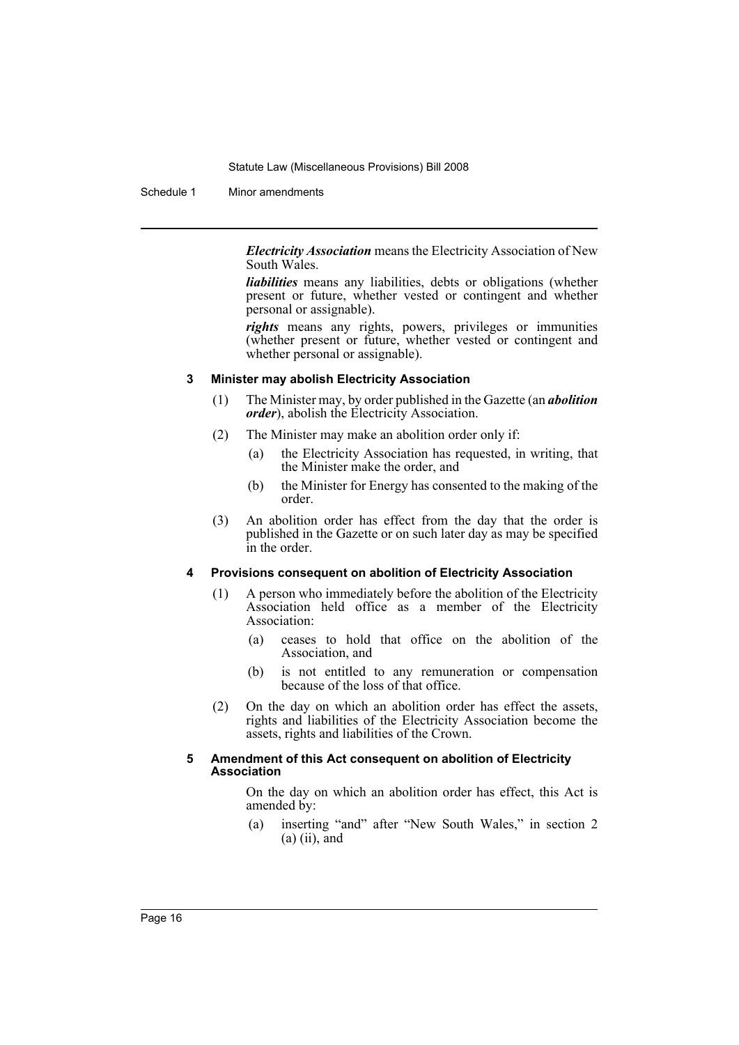Schedule 1 Minor amendments

*Electricity Association* means the Electricity Association of New South Wales.

*liabilities* means any liabilities, debts or obligations (whether present or future, whether vested or contingent and whether personal or assignable).

*rights* means any rights, powers, privileges or immunities (whether present or future, whether vested or contingent and whether personal or assignable).

#### **3 Minister may abolish Electricity Association**

- (1) The Minister may, by order published in the Gazette (an *abolition order*), abolish the Electricity Association.
- (2) The Minister may make an abolition order only if:
	- (a) the Electricity Association has requested, in writing, that the Minister make the order, and
	- (b) the Minister for Energy has consented to the making of the order.
- (3) An abolition order has effect from the day that the order is published in the Gazette or on such later day as may be specified in the order.

#### **4 Provisions consequent on abolition of Electricity Association**

- (1) A person who immediately before the abolition of the Electricity Association held office as a member of the Electricity Association:
	- (a) ceases to hold that office on the abolition of the Association, and
	- (b) is not entitled to any remuneration or compensation because of the loss of that office.
- (2) On the day on which an abolition order has effect the assets, rights and liabilities of the Electricity Association become the assets, rights and liabilities of the Crown.

#### **5 Amendment of this Act consequent on abolition of Electricity Association**

On the day on which an abolition order has effect, this Act is amended by:

(a) inserting "and" after "New South Wales," in section 2  $(a)$  (ii), and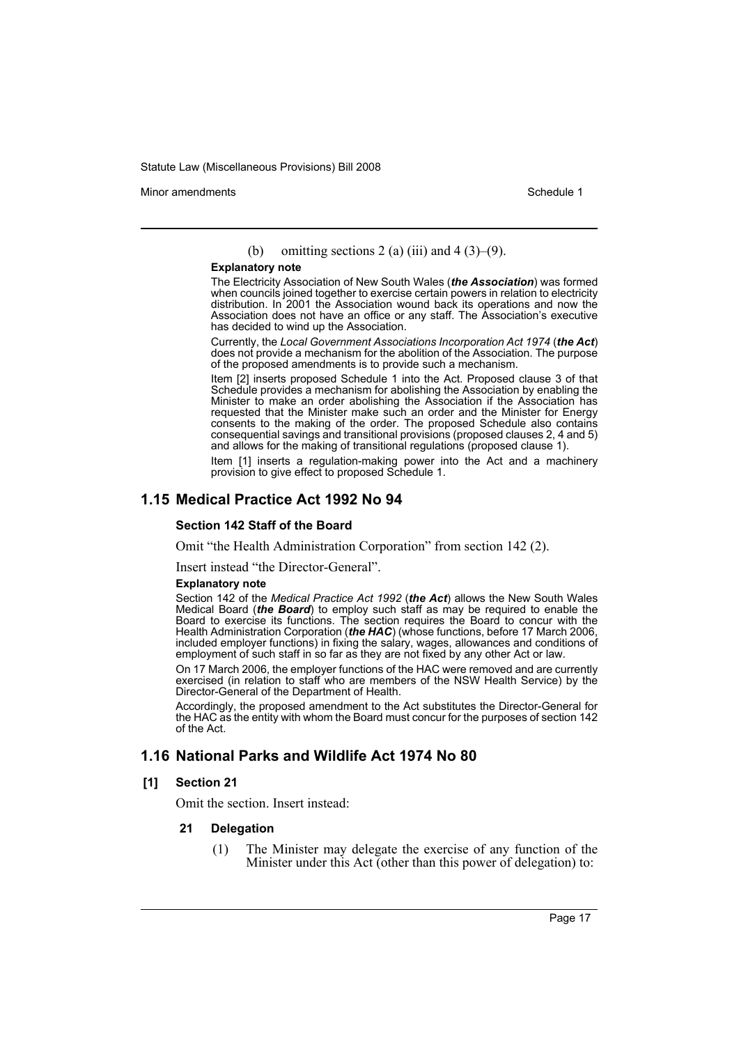Minor amendments **Schedule 1** and the state of the state 1 and the state of the Schedule 1

(b) omitting sections 2 (a) (iii) and 4 (3)–(9).

#### **Explanatory note**

The Electricity Association of New South Wales (*the Association*) was formed when councils joined together to exercise certain powers in relation to electricity distribution. In 2001 the Association wound back its operations and now the Association does not have an office or any staff. The Association's executive has decided to wind up the Association.

Currently, the *Local Government Associations Incorporation Act 1974* (*the Act*) does not provide a mechanism for the abolition of the Association. The purpose of the proposed amendments is to provide such a mechanism.

Item [2] inserts proposed Schedule 1 into the Act. Proposed clause 3 of that Schedule provides a mechanism for abolishing the Association by enabling the Minister to make an order abolishing the Association if the Association has requested that the Minister make such an order and the Minister for Energy consents to the making of the order. The proposed Schedule also contains consequential savings and transitional provisions (proposed clauses 2, 4 and 5) and allows for the making of transitional regulations (proposed clause 1).

Item [1] inserts a regulation-making power into the Act and a machinery provision to give effect to proposed Schedule 1.

# **1.15 Medical Practice Act 1992 No 94**

#### **Section 142 Staff of the Board**

Omit "the Health Administration Corporation" from section 142 (2).

Insert instead "the Director-General".

#### **Explanatory note**

Section 142 of the *Medical Practice Act 1992* (*the Act*) allows the New South Wales Medical Board (*the Board*) to employ such staff as may be required to enable the Board to exercise its functions. The section requires the Board to concur with the Health Administration Corporation (*the HAC*) (whose functions, before 17 March 2006, included employer functions) in fixing the salary, wages, allowances and conditions of employment of such staff in so far as they are not fixed by any other Act or law.

On 17 March 2006, the employer functions of the HAC were removed and are currently exercised (in relation to staff who are members of the NSW Health Service) by the Director-General of the Department of Health.

Accordingly, the proposed amendment to the Act substitutes the Director-General for the HAC as the entity with whom the Board must concur for the purposes of section 142 of the Act.

# **1.16 National Parks and Wildlife Act 1974 No 80**

#### **[1] Section 21**

Omit the section. Insert instead:

#### **21 Delegation**

(1) The Minister may delegate the exercise of any function of the Minister under this Act (other than this power of delegation) to: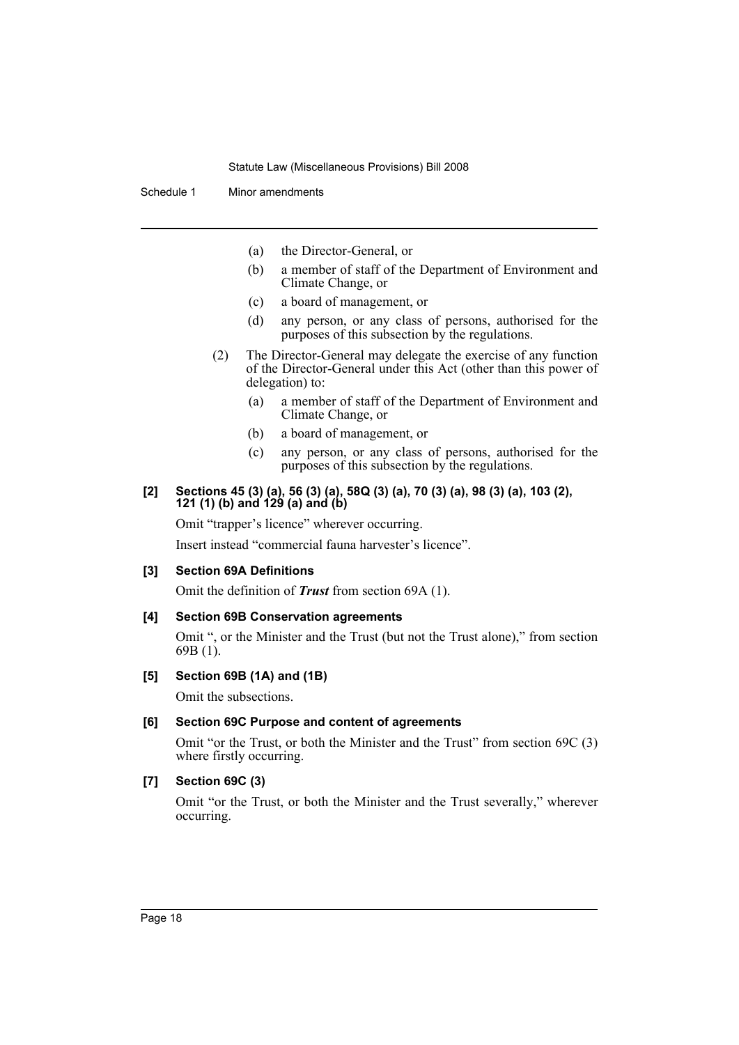Schedule 1 Minor amendments

- (a) the Director-General, or
- (b) a member of staff of the Department of Environment and Climate Change, or
- (c) a board of management, or
- (d) any person, or any class of persons, authorised for the purposes of this subsection by the regulations.
- (2) The Director-General may delegate the exercise of any function of the Director-General under this Act (other than this power of delegation) to:
	- (a) a member of staff of the Department of Environment and Climate Change, or
	- (b) a board of management, or
	- (c) any person, or any class of persons, authorised for the purposes of this subsection by the regulations.

#### **[2] Sections 45 (3) (a), 56 (3) (a), 58Q (3) (a), 70 (3) (a), 98 (3) (a), 103 (2), 121 (1) (b) and 129 (a) and (b)**

Omit "trapper's licence" wherever occurring.

Insert instead "commercial fauna harvester's licence".

#### **[3] Section 69A Definitions**

Omit the definition of *Trust* from section 69A (1).

#### **[4] Section 69B Conservation agreements**

Omit ", or the Minister and the Trust (but not the Trust alone)," from section 69B (1).

### **[5] Section 69B (1A) and (1B)**

Omit the subsections.

#### **[6] Section 69C Purpose and content of agreements**

Omit "or the Trust, or both the Minister and the Trust" from section 69C (3) where firstly occurring.

### **[7] Section 69C (3)**

Omit "or the Trust, or both the Minister and the Trust severally," wherever occurring.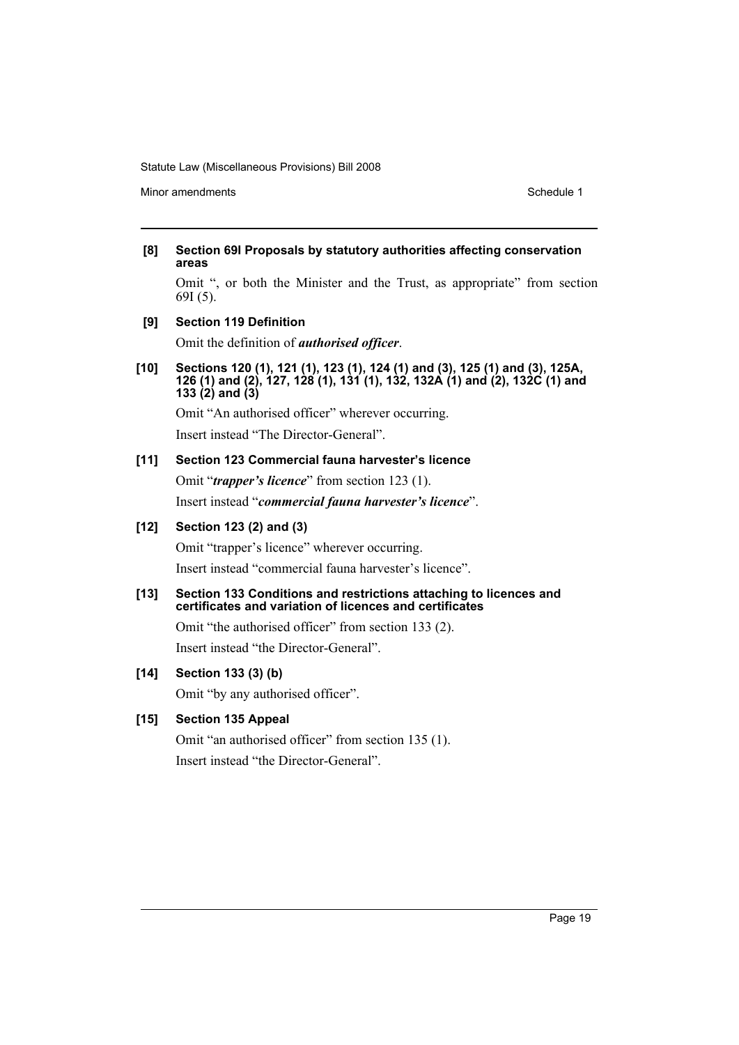Minor amendments **Schedule 1** and the state of the state of the Schedule 1

#### **[8] Section 69I Proposals by statutory authorities affecting conservation areas**

Omit ", or both the Minister and the Trust, as appropriate" from section 69I (5).

**[9] Section 119 Definition**

Omit the definition of *authorised officer*.

**[10] Sections 120 (1), 121 (1), 123 (1), 124 (1) and (3), 125 (1) and (3), 125A, 126 (1) and (2), 127, 128 (1), 131 (1), 132, 132A (1) and (2), 132C (1) and 133 (2) and (3)**

Omit "An authorised officer" wherever occurring.

Insert instead "The Director-General".

# **[11] Section 123 Commercial fauna harvester's licence**

Omit "*trapper's licence*" from section 123 (1). Insert instead "*commercial fauna harvester's licence*".

# **[12] Section 123 (2) and (3)**

Omit "trapper's licence" wherever occurring. Insert instead "commercial fauna harvester's licence".

### **[13] Section 133 Conditions and restrictions attaching to licences and certificates and variation of licences and certificates**

Omit "the authorised officer" from section 133 (2). Insert instead "the Director-General".

# **[14] Section 133 (3) (b)**

Omit "by any authorised officer".

# **[15] Section 135 Appeal**

Omit "an authorised officer" from section 135 (1). Insert instead "the Director-General".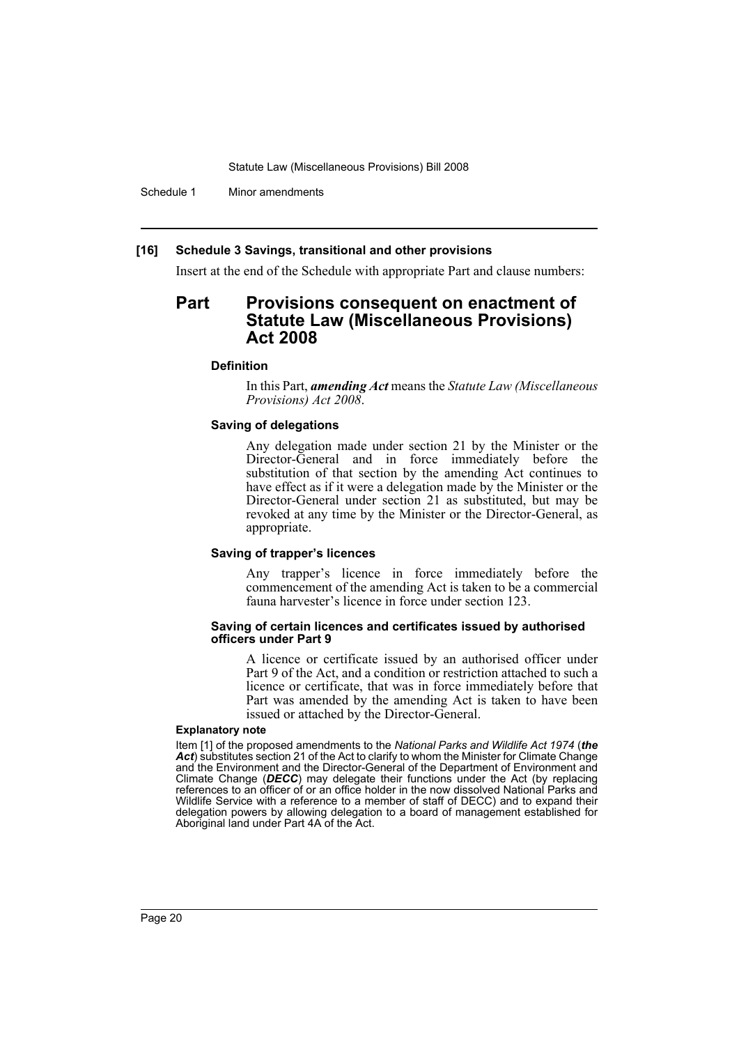Schedule 1 Minor amendments

#### **[16] Schedule 3 Savings, transitional and other provisions**

Insert at the end of the Schedule with appropriate Part and clause numbers:

# **Part Provisions consequent on enactment of Statute Law (Miscellaneous Provisions) Act 2008**

#### **Definition**

In this Part, *amending Act* means the *Statute Law (Miscellaneous Provisions) Act 2008*.

### **Saving of delegations**

Any delegation made under section 21 by the Minister or the Director-General and in force immediately before the substitution of that section by the amending Act continues to have effect as if it were a delegation made by the Minister or the Director-General under section 21 as substituted, but may be revoked at any time by the Minister or the Director-General, as appropriate.

#### **Saving of trapper's licences**

Any trapper's licence in force immediately before the commencement of the amending Act is taken to be a commercial fauna harvester's licence in force under section 123.

#### **Saving of certain licences and certificates issued by authorised officers under Part 9**

A licence or certificate issued by an authorised officer under Part 9 of the Act, and a condition or restriction attached to such a licence or certificate, that was in force immediately before that Part was amended by the amending Act is taken to have been issued or attached by the Director-General.

#### **Explanatory note**

Item [1] of the proposed amendments to the *National Parks and Wildlife Act 1974* (*the Act*) substitutes section 21 of the Act to clarify to whom the Minister for Climate Change and the Environment and the Director-General of the Department of Environment and Climate Change (*DECC*) may delegate their functions under the Act (by replacing references to an officer of or an office holder in the now dissolved National Parks and Wildlife Service with a reference to a member of staff of DECC) and to expand their delegation powers by allowing delegation to a board of management established for Aboriginal land under Part 4A of the Act.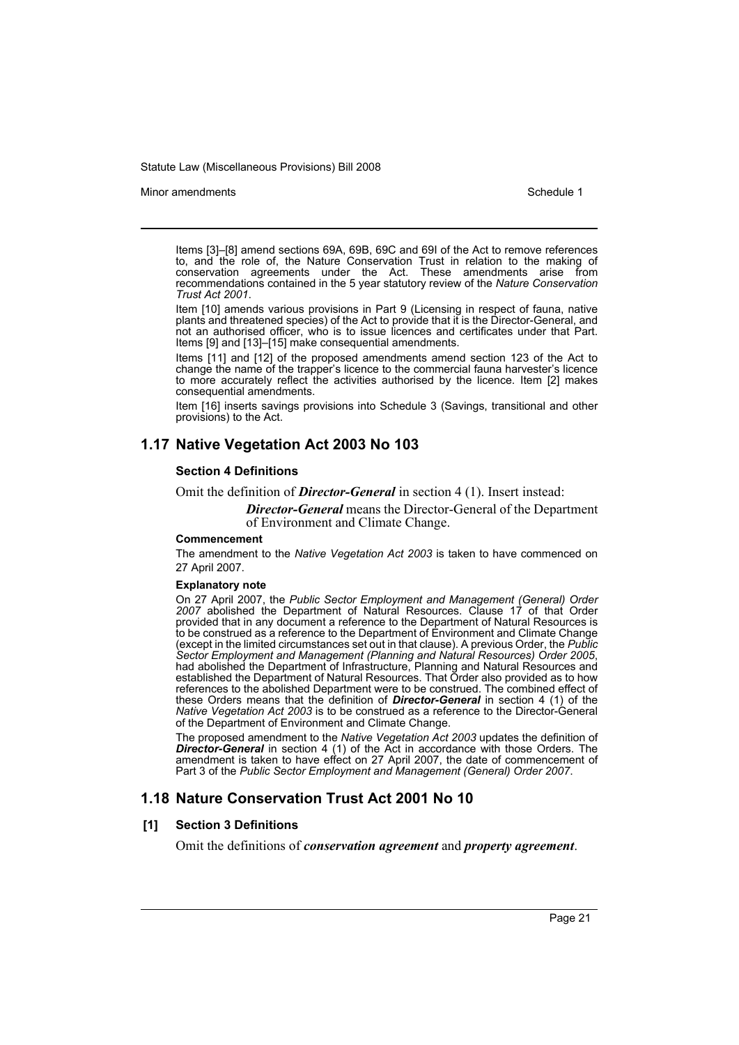#### Minor amendments **Schedule 1** and the state of the state 1 and the state of the Schedule 1

Items [3]–[8] amend sections 69A, 69B, 69C and 69I of the Act to remove references to, and the role of, the Nature Conservation Trust in relation to the making of conservation agreements under the Act. These amendments arise from recommendations contained in the 5 year statutory review of the *Nature Conservation Trust Act 2001*.

Item [10] amends various provisions in Part 9 (Licensing in respect of fauna, native plants and threatened species) of the Act to provide that it is the Director-General, and not an authorised officer, who is to issue licences and certificates under that Part. Items [9] and [13]–[15] make consequential amendments.

Items [11] and [12] of the proposed amendments amend section 123 of the Act to change the name of the trapper's licence to the commercial fauna harvester's licence to more accurately reflect the activities authorised by the licence. Item [2] makes consequential amendments.

Item [16] inserts savings provisions into Schedule 3 (Savings, transitional and other provisions) to the Act.

# **1.17 Native Vegetation Act 2003 No 103**

#### **Section 4 Definitions**

Omit the definition of *Director-General* in section 4 (1). Insert instead:

*Director-General* means the Director-General of the Department of Environment and Climate Change.

#### **Commencement**

The amendment to the *Native Vegetation Act 2003* is taken to have commenced on 27 April 2007.

#### **Explanatory note**

On 27 April 2007, the *Public Sector Employment and Management (General) Order 2007* abolished the Department of Natural Resources. Clause 17 of that Order provided that in any document a reference to the Department of Natural Resources is to be construed as a reference to the Department of Environment and Climate Change (except in the limited circumstances set out in that clause). A previous Order, the *Public Sector Employment and Management (Planning and Natural Resources) Order 2005*, had abolished the Department of Infrastructure, Planning and Natural Resources and established the Department of Natural Resources. That Order also provided as to how references to the abolished Department were to be construed. The combined effect of these Orders means that the definition of *Director-General* in section 4 (1) of the *Native Vegetation Act 2003* is to be construed as a reference to the Director-General of the Department of Environment and Climate Change.

The proposed amendment to the *Native Vegetation Act 2003* updates the definition of *Director-General* in section 4 (1) of the Act in accordance with those Orders. The amendment is taken to have effect on 27 April 2007, the date of commencement of Part 3 of the *Public Sector Employment and Management (General) Order 2007*.

# **1.18 Nature Conservation Trust Act 2001 No 10**

#### **[1] Section 3 Definitions**

Omit the definitions of *conservation agreement* and *property agreement*.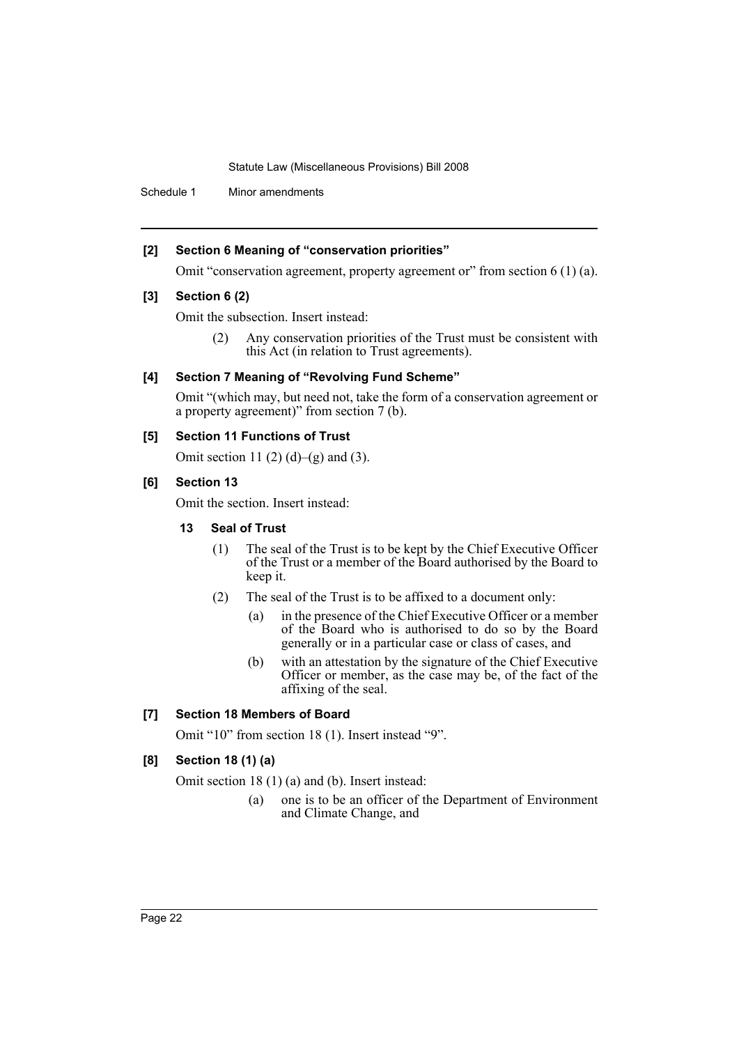Schedule 1 Minor amendments

# **[2] Section 6 Meaning of "conservation priorities"**

Omit "conservation agreement, property agreement or" from section 6 (1) (a).

### **[3] Section 6 (2)**

Omit the subsection. Insert instead:

(2) Any conservation priorities of the Trust must be consistent with this Act (in relation to Trust agreements).

# **[4] Section 7 Meaning of "Revolving Fund Scheme"**

Omit "(which may, but need not, take the form of a conservation agreement or a property agreement)" from section 7 (b).

### **[5] Section 11 Functions of Trust**

Omit section 11 (2) (d)–(g) and (3).

### **[6] Section 13**

Omit the section. Insert instead:

### **13 Seal of Trust**

- (1) The seal of the Trust is to be kept by the Chief Executive Officer of the Trust or a member of the Board authorised by the Board to keep it.
- (2) The seal of the Trust is to be affixed to a document only:
	- (a) in the presence of the Chief Executive Officer or a member of the Board who is authorised to do so by the Board generally or in a particular case or class of cases, and
	- (b) with an attestation by the signature of the Chief Executive Officer or member, as the case may be, of the fact of the affixing of the seal.

# **[7] Section 18 Members of Board**

Omit "10" from section 18 (1). Insert instead "9".

# **[8] Section 18 (1) (a)**

Omit section 18 (1) (a) and (b). Insert instead:

(a) one is to be an officer of the Department of Environment and Climate Change, and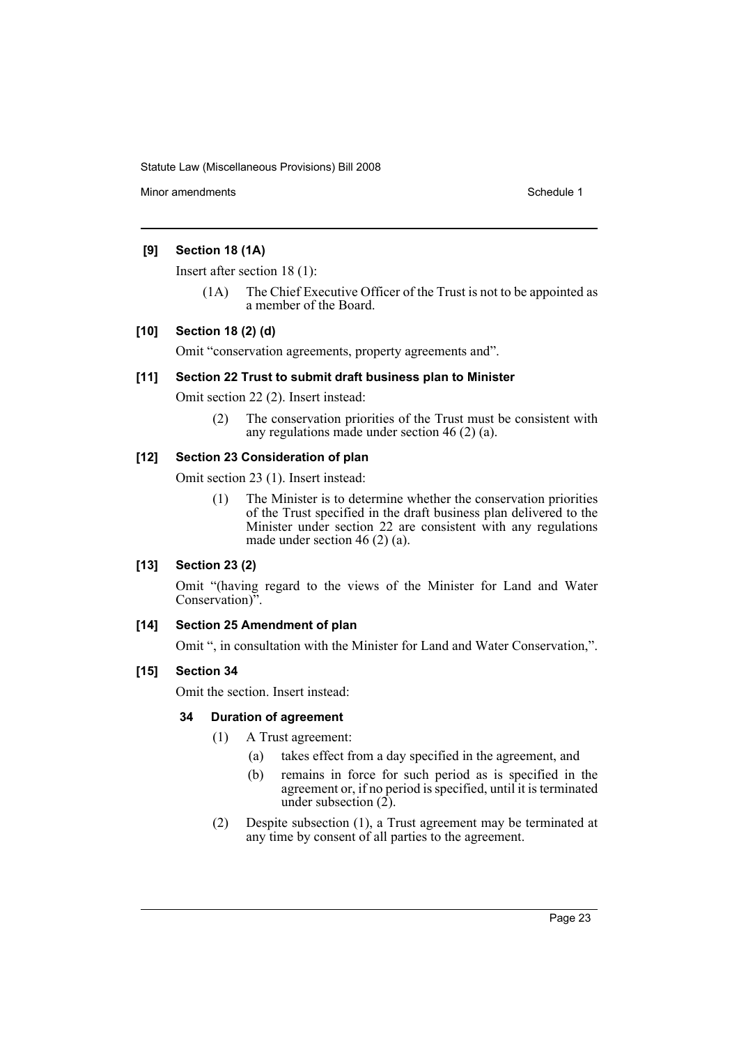Minor amendments **Schedule 1** and the state of the state of the Schedule 1

# **[9] Section 18 (1A)**

Insert after section 18 (1):

(1A) The Chief Executive Officer of the Trust is not to be appointed as a member of the Board.

# **[10] Section 18 (2) (d)**

Omit "conservation agreements, property agreements and".

# **[11] Section 22 Trust to submit draft business plan to Minister**

Omit section 22 (2). Insert instead:

(2) The conservation priorities of the Trust must be consistent with any regulations made under section 46 (2) (a).

# **[12] Section 23 Consideration of plan**

Omit section 23 (1). Insert instead:

(1) The Minister is to determine whether the conservation priorities of the Trust specified in the draft business plan delivered to the Minister under section 22 are consistent with any regulations made under section 46 (2) (a).

# **[13] Section 23 (2)**

Omit "(having regard to the views of the Minister for Land and Water Conservation)".

# **[14] Section 25 Amendment of plan**

Omit ", in consultation with the Minister for Land and Water Conservation,".

# **[15] Section 34**

Omit the section. Insert instead:

# **34 Duration of agreement**

(1) A Trust agreement:

- (a) takes effect from a day specified in the agreement, and
- (b) remains in force for such period as is specified in the agreement or, if no period is specified, until it is terminated under subsection  $(2)$ .
- (2) Despite subsection (1), a Trust agreement may be terminated at any time by consent of all parties to the agreement.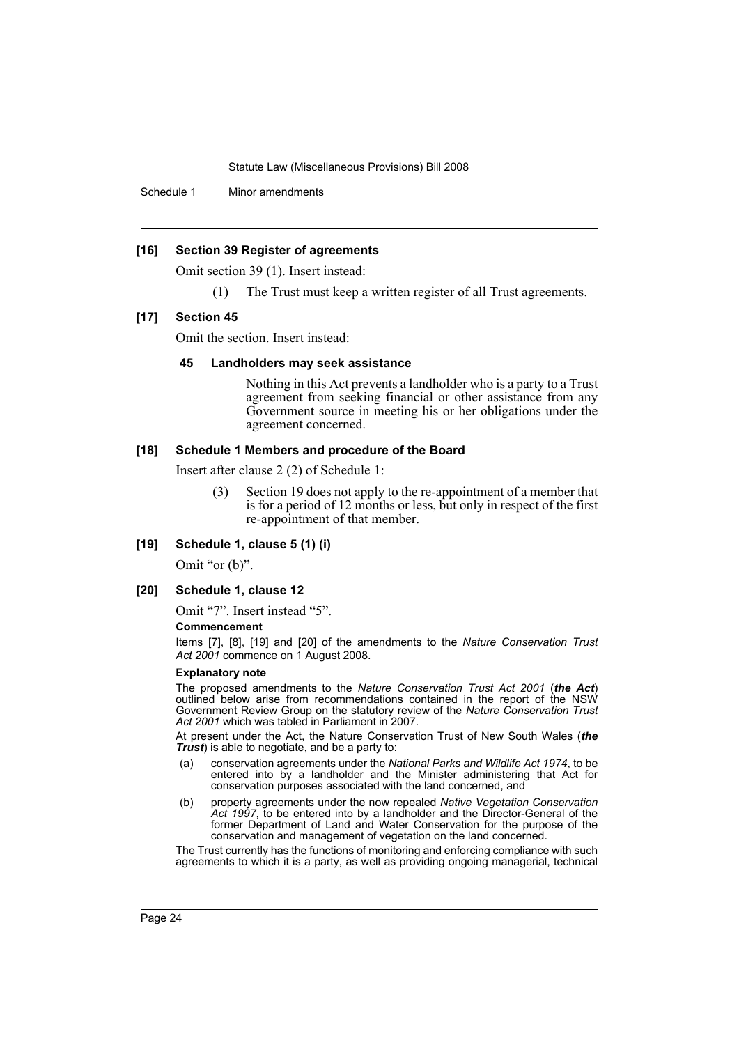Schedule 1 Minor amendments

#### **[16] Section 39 Register of agreements**

Omit section 39 (1). Insert instead:

The Trust must keep a written register of all Trust agreements.

#### **[17] Section 45**

Omit the section. Insert instead:

#### **45 Landholders may seek assistance**

Nothing in this Act prevents a landholder who is a party to a Trust agreement from seeking financial or other assistance from any Government source in meeting his or her obligations under the agreement concerned.

#### **[18] Schedule 1 Members and procedure of the Board**

Insert after clause 2 (2) of Schedule 1:

- (3) Section 19 does not apply to the re-appointment of a member that is for a period of 12 months or less, but only in respect of the first re-appointment of that member.
- **[19] Schedule 1, clause 5 (1) (i)**

Omit "or (b)".

### **[20] Schedule 1, clause 12**

Omit "7". Insert instead "5".

#### **Commencement**

Items [7], [8], [19] and [20] of the amendments to the *Nature Conservation Trust Act 2001* commence on 1 August 2008.

#### **Explanatory note**

The proposed amendments to the *Nature Conservation Trust Act 2001* (*the Act*) outlined below arise from recommendations contained in the report of the NSW Government Review Group on the statutory review of the *Nature Conservation Trust Act 2001* which was tabled in Parliament in 2007.

At present under the Act, the Nature Conservation Trust of New South Wales (*the Trust*) is able to negotiate, and be a party to:

- (a) conservation agreements under the *National Parks and Wildlife Act 1974*, to be entered into by a landholder and the Minister administering that Act for conservation purposes associated with the land concerned, and
- (b) property agreements under the now repealed *Native Vegetation Conservation Act 1997*, to be entered into by a landholder and the Director-General of the former Department of Land and Water Conservation for the purpose of the conservation and management of vegetation on the land concerned.

The Trust currently has the functions of monitoring and enforcing compliance with such agreements to which it is a party, as well as providing ongoing managerial, technical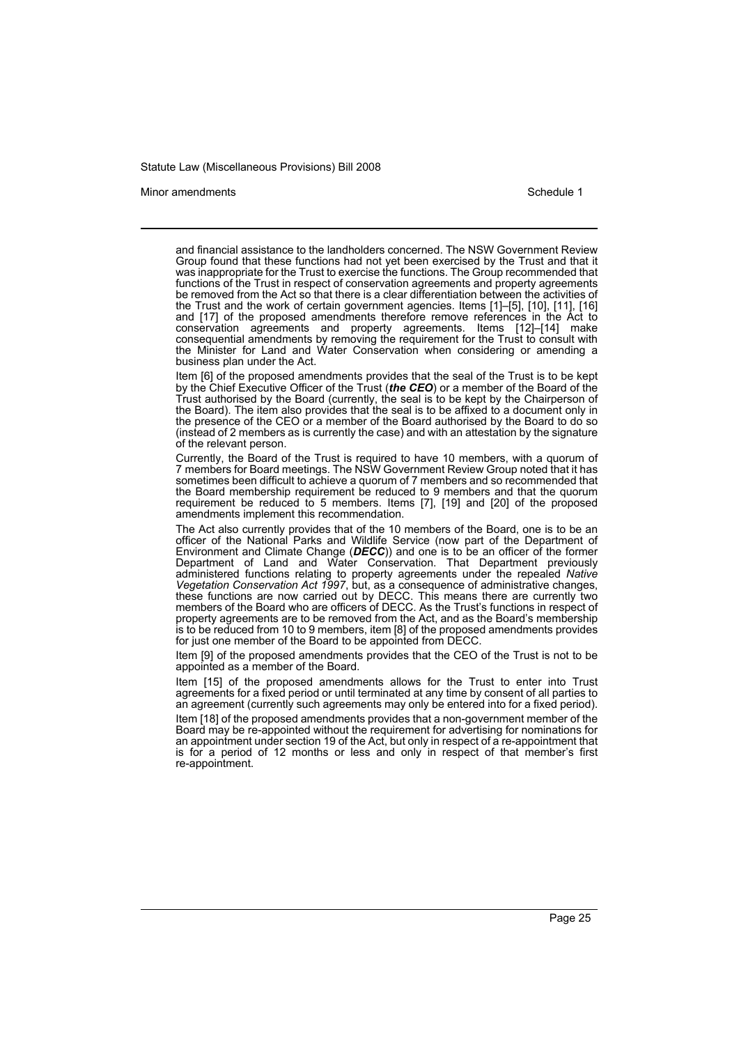#### Minor amendments **Schedule 1** and the state of the state 1 and the state of the Schedule 1

and financial assistance to the landholders concerned. The NSW Government Review Group found that these functions had not yet been exercised by the Trust and that it was inappropriate for the Trust to exercise the functions. The Group recommended that functions of the Trust in respect of conservation agreements and property agreements be removed from the Act so that there is a clear differentiation between the activities of the Trust and the work of certain government agencies. Items [1]–[5], [10], [11], [16] and [17] of the proposed amendments therefore remove references in the Act to conservation agreements and property agreements. Items [12]–[14] make consequential amendments by removing the requirement for the Trust to consult with the Minister for Land and Water Conservation when considering or amending a business plan under the Act.

Item [6] of the proposed amendments provides that the seal of the Trust is to be kept by the Chief Executive Officer of the Trust (*the CEO*) or a member of the Board of the Trust authorised by the Board (currently, the seal is to be kept by the Chairperson of the Board). The item also provides that the seal is to be affixed to a document only in the presence of the CEO or a member of the Board authorised by the Board to do so (instead of 2 members as is currently the case) and with an attestation by the signature of the relevant person.

Currently, the Board of the Trust is required to have 10 members, with a quorum of 7 members for Board meetings. The NSW Government Review Group noted that it has sometimes been difficult to achieve a quorum of 7 members and so recommended that the Board membership requirement be reduced to 9 members and that the quorum requirement be reduced to 5 members. Items [7], [19] and [20] of the proposed amendments implement this recommendation.

The Act also currently provides that of the 10 members of the Board, one is to be an officer of the National Parks and Wildlife Service (now part of the Department of Environment and Climate Change (*DECC*)) and one is to be an officer of the former Department of Land and Water Conservation. That Department previously administered functions relating to property agreements under the repealed *Native Vegetation Conservation Act 1997*, but, as a consequence of administrative changes, these functions are now carried out by DECC. This means there are currently two members of the Board who are officers of DECC. As the Trust's functions in respect of property agreements are to be removed from the Act, and as the Board's membership is to be reduced from 10 to 9 members, item [8] of the proposed amendments provides for just one member of the Board to be appointed from DECC.

Item [9] of the proposed amendments provides that the CEO of the Trust is not to be appointed as a member of the Board.

Item [15] of the proposed amendments allows for the Trust to enter into Trust agreements for a fixed period or until terminated at any time by consent of all parties to an agreement (currently such agreements may only be entered into for a fixed period).

Item [18] of the proposed amendments provides that a non-government member of the Board may be re-appointed without the requirement for advertising for nominations for an appointment under section 19 of the Act, but only in respect of a re-appointment that is for a period of 12 months or less and only in respect of that member's first re-appointment.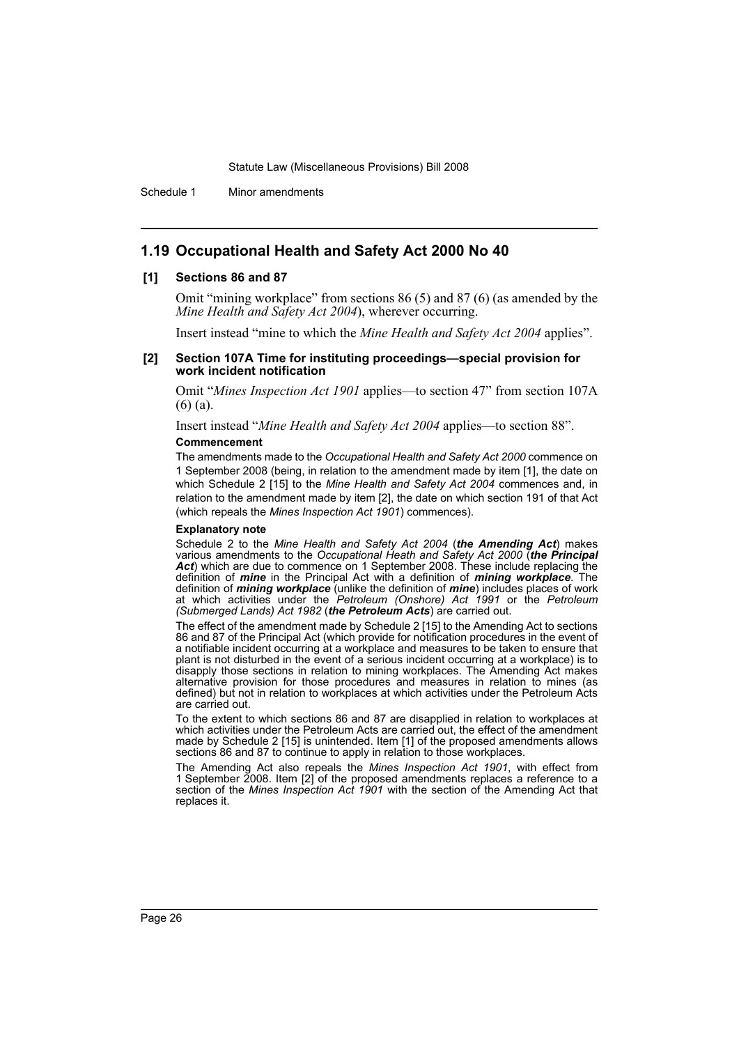Schedule 1 Minor amendments

### **1.19 Occupational Health and Safety Act 2000 No 40**

#### **[1] Sections 86 and 87**

Omit "mining workplace" from sections 86 (5) and 87 (6) (as amended by the *Mine Health and Safety Act 2004*), wherever occurring.

Insert instead "mine to which the *Mine Health and Safety Act 2004* applies".

#### **[2] Section 107A Time for instituting proceedings—special provision for work incident notification**

Omit "*Mines Inspection Act 1901* applies—to section 47" from section 107A (6) (a).

Insert instead "*Mine Health and Safety Act 2004* applies—to section 88". **Commencement**

The amendments made to the *Occupational Health and Safety Act 2000* commence on 1 September 2008 (being, in relation to the amendment made by item [1], the date on which Schedule 2 [15] to the *Mine Health and Safety Act 2004* commences and, in relation to the amendment made by item [2], the date on which section 191 of that Act (which repeals the *Mines Inspection Act 1901*) commences).

#### **Explanatory note**

Schedule 2 to the *Mine Health and Safety Act 2004* (*the Amending Act*) makes various amendments to the *Occupational Heath and Safety Act 2000* (*the Principal* Act) which are due to commence on 1 September 2008. These include replacing the definition of *mine* in the Principal Act with a definition of *mining workplace*. The definition of *mining workplace* (unlike the definition of *mine*) includes places of work at which activities under the *Petroleum (Onshore) Act 1991* or the *Petroleum (Submerged Lands) Act 1982* (*the Petroleum Acts*) are carried out.

The effect of the amendment made by Schedule 2 [15] to the Amending Act to sections 86 and 87 of the Principal Act (which provide for notification procedures in the event of a notifiable incident occurring at a workplace and measures to be taken to ensure that plant is not disturbed in the event of a serious incident occurring at a workplace) is to disapply those sections in relation to mining workplaces. The Amending Act makes alternative provision for those procedures and measures in relation to mines (as defined) but not in relation to workplaces at which activities under the Petroleum Acts are carried out.

To the extent to which sections 86 and 87 are disapplied in relation to workplaces at which activities under the Petroleum Acts are carried out, the effect of the amendment made by Schedule 2 [15] is unintended. Item [1] of the proposed amendments allows sections 86 and 87 to continue to apply in relation to those workplaces.

The Amending Act also repeals the *Mines Inspection Act 1901*, with effect from 1 September 2008. Item [2] of the proposed amendments replaces a reference to a section of the *Mines Inspection Act 1901* with the section of the Amending Act that replaces it.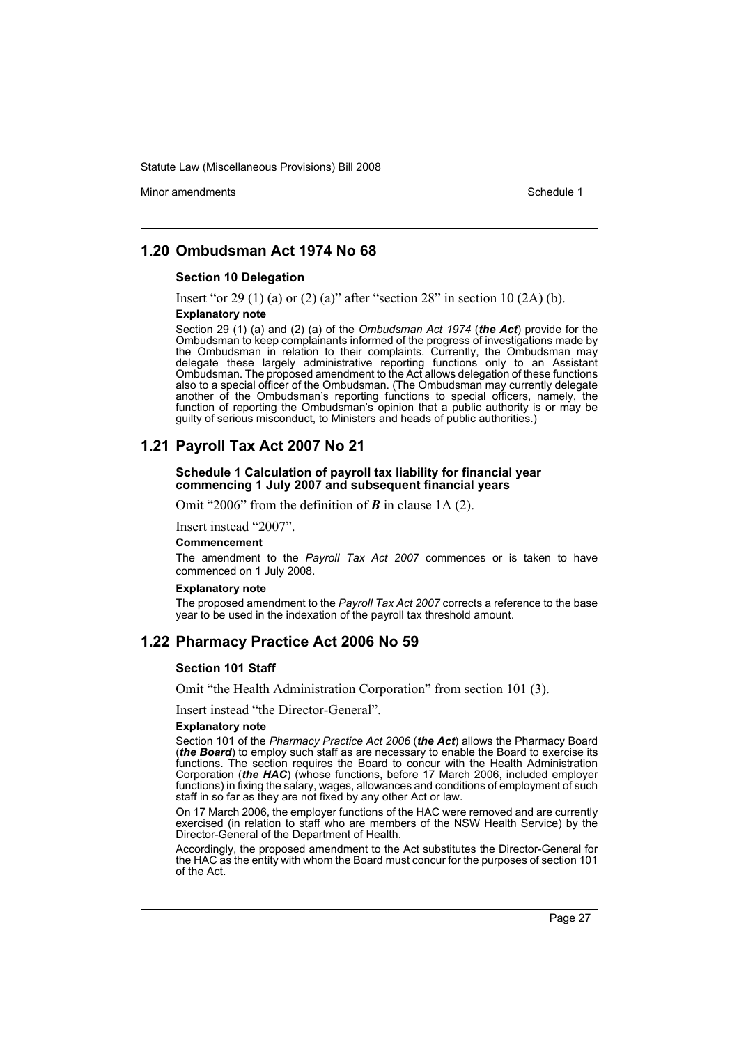Minor amendments **Schedule 1** and the state of the state 1 and the state of the Schedule 1

# **1.20 Ombudsman Act 1974 No 68**

#### **Section 10 Delegation**

Insert "or 29 (1) (a) or (2) (a)" after "section  $28$ " in section 10 (2A) (b).

#### **Explanatory note**

Section 29 (1) (a) and (2) (a) of the *Ombudsman Act 1974* (*the Act*) provide for the Ombudsman to keep complainants informed of the progress of investigations made by the Ombudsman in relation to their complaints. Currently, the Ombudsman may delegate these largely administrative reporting functions only to an Assistant Ombudsman. The proposed amendment to the Act allows delegation of these functions also to a special officer of the Ombudsman. (The Ombudsman may currently delegate another of the Ombudsman's reporting functions to special officers, namely, the function of reporting the Ombudsman's opinion that a public authority is or may be guilty of serious misconduct, to Ministers and heads of public authorities.)

# **1.21 Payroll Tax Act 2007 No 21**

#### **Schedule 1 Calculation of payroll tax liability for financial year commencing 1 July 2007 and subsequent financial years**

Omit "2006" from the definition of *B* in clause 1A (2).

Insert instead "2007".

#### **Commencement**

The amendment to the *Payroll Tax Act 2007* commences or is taken to have commenced on 1 July 2008.

#### **Explanatory note**

The proposed amendment to the *Payroll Tax Act 2007* corrects a reference to the base year to be used in the indexation of the payroll tax threshold amount.

# **1.22 Pharmacy Practice Act 2006 No 59**

#### **Section 101 Staff**

Omit "the Health Administration Corporation" from section 101 (3).

Insert instead "the Director-General".

#### **Explanatory note**

Section 101 of the *Pharmacy Practice Act 2006* (*the Act*) allows the Pharmacy Board (*the Board*) to employ such staff as are necessary to enable the Board to exercise its functions. The section requires the Board to concur with the Health Administration Corporation (*the HAC*) (whose functions, before 17 March 2006, included employer functions) in fixing the salary, wages, allowances and conditions of employment of such staff in so far as they are not fixed by any other Act or law.

On 17 March 2006, the employer functions of the HAC were removed and are currently exercised (in relation to staff who are members of the NSW Health Service) by the Director-General of the Department of Health.

Accordingly, the proposed amendment to the Act substitutes the Director-General for the HAC as the entity with whom the Board must concur for the purposes of section 101 of the Act.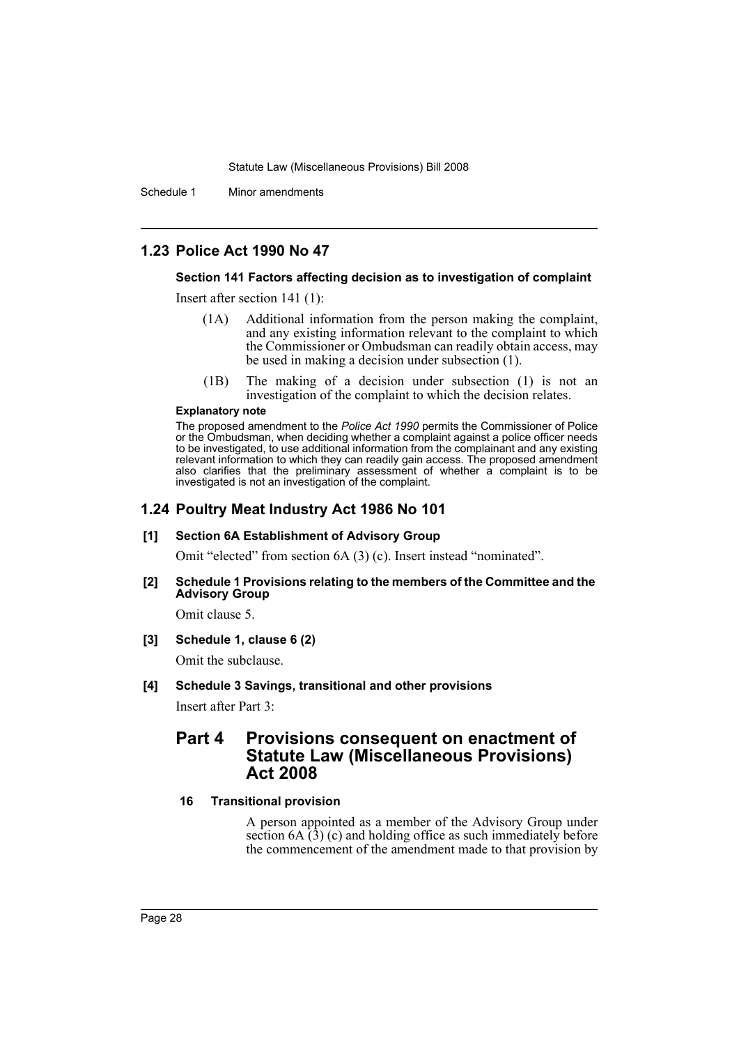Schedule 1 Minor amendments

# **1.23 Police Act 1990 No 47**

### **Section 141 Factors affecting decision as to investigation of complaint**

Insert after section 141 (1):

- (1A) Additional information from the person making the complaint, and any existing information relevant to the complaint to which the Commissioner or Ombudsman can readily obtain access, may be used in making a decision under subsection (1).
- (1B) The making of a decision under subsection (1) is not an investigation of the complaint to which the decision relates.

#### **Explanatory note**

The proposed amendment to the *Police Act 1990* permits the Commissioner of Police or the Ombudsman, when deciding whether a complaint against a police officer needs to be investigated, to use additional information from the complainant and any existing relevant information to which they can readily gain access. The proposed amendment also clarifies that the preliminary assessment of whether a complaint is to be investigated is not an investigation of the complaint.

# **1.24 Poultry Meat Industry Act 1986 No 101**

#### **[1] Section 6A Establishment of Advisory Group**

Omit "elected" from section 6A (3) (c). Insert instead "nominated".

#### **[2] Schedule 1 Provisions relating to the members of the Committee and the Advisory Group**

Omit clause 5.

#### **[3] Schedule 1, clause 6 (2)**

Omit the subclause.

#### **[4] Schedule 3 Savings, transitional and other provisions**

Insert after Part 3:

# **Part 4 Provisions consequent on enactment of Statute Law (Miscellaneous Provisions) Act 2008**

# **16 Transitional provision**

A person appointed as a member of the Advisory Group under section  $6A(3)$  (c) and holding office as such immediately before the commencement of the amendment made to that provision by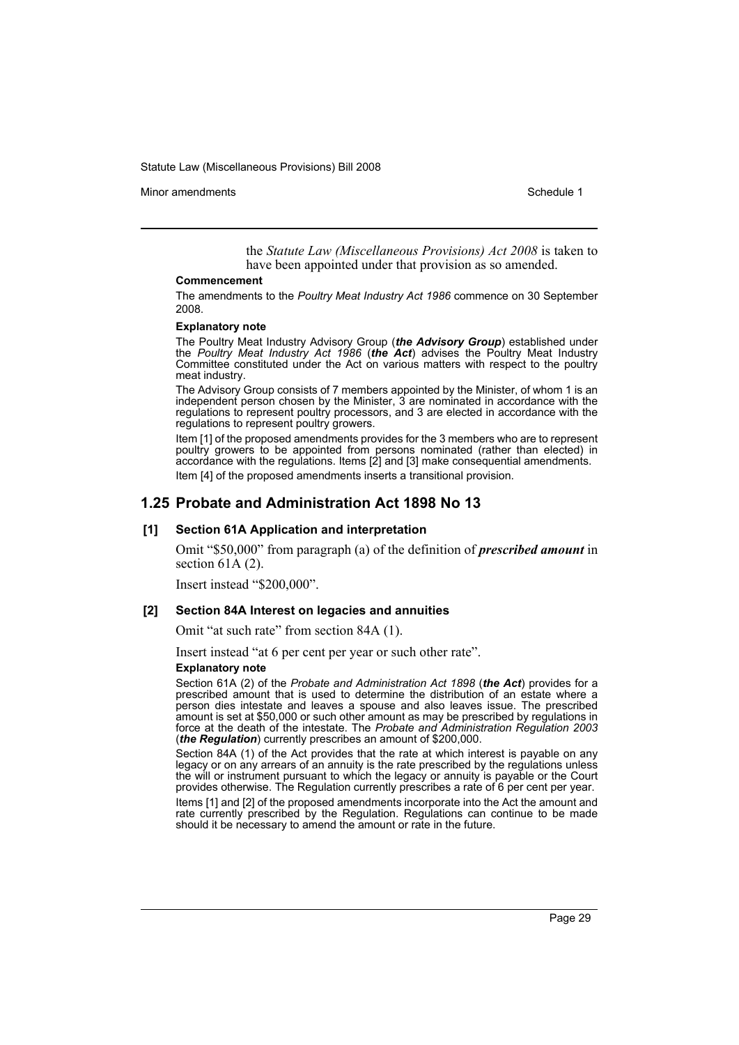Minor amendments **Schedule 1** and the state of the state 1 and the state of the Schedule 1

the *Statute Law (Miscellaneous Provisions) Act 2008* is taken to have been appointed under that provision as so amended.

#### **Commencement**

The amendments to the *Poultry Meat Industry Act 1986* commence on 30 September 2008.

#### **Explanatory note**

The Poultry Meat Industry Advisory Group (*the Advisory Group*) established under the *Poultry Meat Industry Act 1986* (*the Act*) advises the Poultry Meat Industry Committee constituted under the Act on various matters with respect to the poultry meat industry.

The Advisory Group consists of 7 members appointed by the Minister, of whom 1 is an independent person chosen by the Minister, 3 are nominated in accordance with the regulations to represent poultry processors, and 3 are elected in accordance with the regulations to represent poultry growers.

Item [1] of the proposed amendments provides for the 3 members who are to represent poultry growers to be appointed from persons nominated (rather than elected) in accordance with the regulations. Items [2] and [3] make consequential amendments. Item [4] of the proposed amendments inserts a transitional provision.

### **1.25 Probate and Administration Act 1898 No 13**

#### **[1] Section 61A Application and interpretation**

Omit "\$50,000" from paragraph (a) of the definition of *prescribed amount* in section  $61A(2)$ .

Insert instead "\$200,000".

#### **[2] Section 84A Interest on legacies and annuities**

Omit "at such rate" from section 84A (1).

Insert instead "at 6 per cent per year or such other rate".

#### **Explanatory note**

Section 61A (2) of the *Probate and Administration Act 1898* (*the Act*) provides for a prescribed amount that is used to determine the distribution of an estate where a person dies intestate and leaves a spouse and also leaves issue. The prescribed amount is set at \$50,000 or such other amount as may be prescribed by regulations in force at the death of the intestate. The *Probate and Administration Regulation 2003* (*the Regulation*) currently prescribes an amount of \$200,000.

Section 84A (1) of the Act provides that the rate at which interest is payable on any legacy or on any arrears of an annuity is the rate prescribed by the regulations unless the will or instrument pursuant to which the legacy or annuity is payable or the Court provides otherwise. The Regulation currently prescribes a rate of 6 per cent per year.

Items [1] and [2] of the proposed amendments incorporate into the Act the amount and rate currently prescribed by the Regulation. Regulations can continue to be made should it be necessary to amend the amount or rate in the future.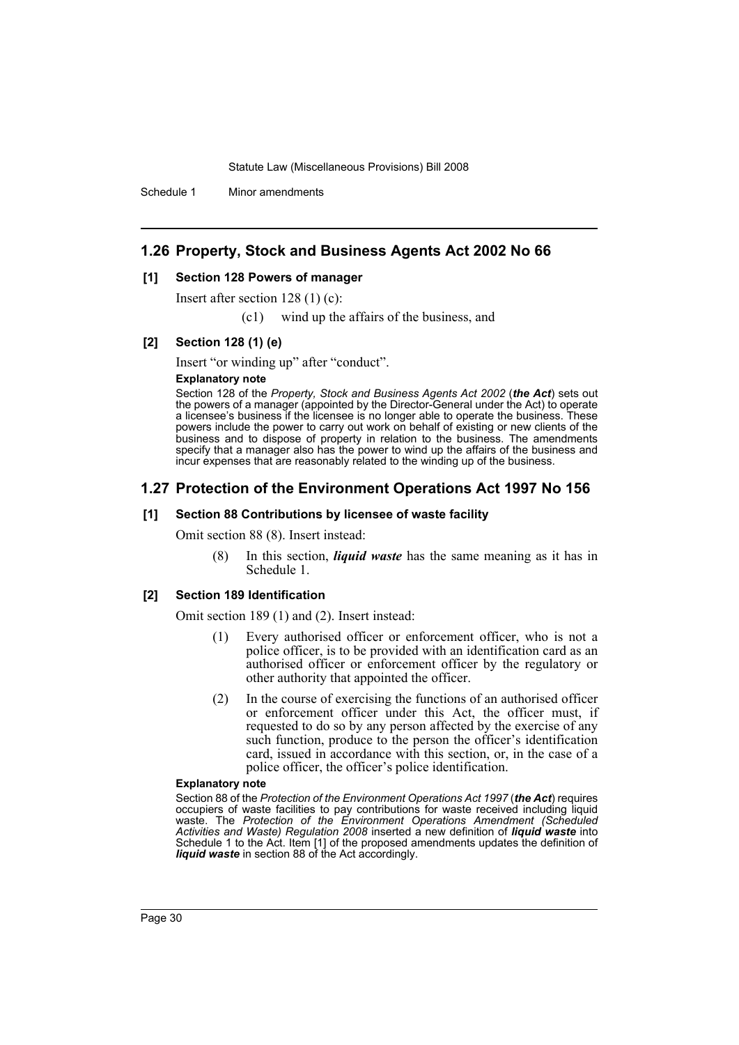Schedule 1 Minor amendments

# **1.26 Property, Stock and Business Agents Act 2002 No 66**

#### **[1] Section 128 Powers of manager**

Insert after section 128 (1) (c):

(c1) wind up the affairs of the business, and

#### **[2] Section 128 (1) (e)**

Insert "or winding up" after "conduct".

#### **Explanatory note**

Section 128 of the *Property, Stock and Business Agents Act 2002* (*the Act*) sets out the powers of a manager (appointed by the Director-General under the Act) to operate a licensee's business if the licensee is no longer able to operate the business. These powers include the power to carry out work on behalf of existing or new clients of the business and to dispose of property in relation to the business. The amendments specify that a manager also has the power to wind up the affairs of the business and incur expenses that are reasonably related to the winding up of the business.

# **1.27 Protection of the Environment Operations Act 1997 No 156**

#### **[1] Section 88 Contributions by licensee of waste facility**

Omit section 88 (8). Insert instead:

(8) In this section, *liquid waste* has the same meaning as it has in Schedule 1.

#### **[2] Section 189 Identification**

Omit section 189 (1) and (2). Insert instead:

- (1) Every authorised officer or enforcement officer, who is not a police officer, is to be provided with an identification card as an authorised officer or enforcement officer by the regulatory or other authority that appointed the officer.
- (2) In the course of exercising the functions of an authorised officer or enforcement officer under this Act, the officer must, if requested to do so by any person affected by the exercise of any such function, produce to the person the officer's identification card, issued in accordance with this section, or, in the case of a police officer, the officer's police identification.

#### **Explanatory note**

Section 88 of the *Protection of the Environment Operations Act 1997* (*the Act*) requires occupiers of waste facilities to pay contributions for waste received including liquid waste. The *Protection of the Environment Operations Amendment (Scheduled Activities and Waste) Regulation 2008* inserted a new definition of *liquid waste* into Schedule 1 to the Act. Item [1] of the proposed amendments updates the definition of *liquid waste* in section 88 of the Act accordingly.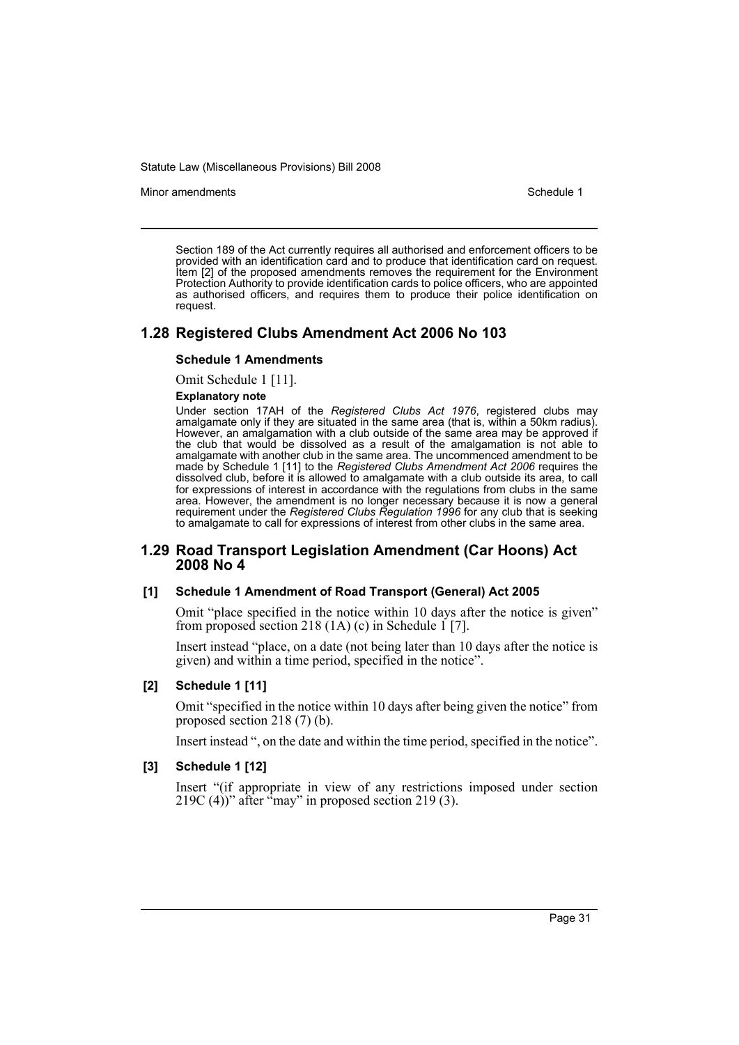Minor amendments **Schedule 1** and the state of the state 1 and the state of the Schedule 1

Section 189 of the Act currently requires all authorised and enforcement officers to be provided with an identification card and to produce that identification card on request. Item [2] of the proposed amendments removes the requirement for the Environment Protection Authority to provide identification cards to police officers, who are appointed as authorised officers, and requires them to produce their police identification on request.

# **1.28 Registered Clubs Amendment Act 2006 No 103**

#### **Schedule 1 Amendments**

Omit Schedule 1 [11].

#### **Explanatory note**

Under section 17AH of the *Registered Clubs Act 1976*, registered clubs may amalgamate only if they are situated in the same area (that is, within a 50km radius). However, an amalgamation with a club outside of the same area may be approved if the club that would be dissolved as a result of the amalgamation is not able to amalgamate with another club in the same area. The uncommenced amendment to be made by Schedule 1 [11] to the *Registered Clubs Amendment Act 2006* requires the dissolved club, before it is allowed to amalgamate with a club outside its area, to call for expressions of interest in accordance with the regulations from clubs in the same area. However, the amendment is no longer necessary because it is now a general requirement under the *Registered Clubs Regulation 1996* for any club that is seeking to amalgamate to call for expressions of interest from other clubs in the same area.

# **1.29 Road Transport Legislation Amendment (Car Hoons) Act 2008 No 4**

#### **[1] Schedule 1 Amendment of Road Transport (General) Act 2005**

Omit "place specified in the notice within 10 days after the notice is given" from proposed section 218  $(1A)$  (c) in Schedule 1 [7].

Insert instead "place, on a date (not being later than 10 days after the notice is given) and within a time period, specified in the notice".

# **[2] Schedule 1 [11]**

Omit "specified in the notice within 10 days after being given the notice" from proposed section 218 (7) (b).

Insert instead ", on the date and within the time period, specified in the notice".

### **[3] Schedule 1 [12]**

Insert "(if appropriate in view of any restrictions imposed under section 219C (4))" after  $\epsilon$ <sup>r</sup>may" in proposed section 219 (3).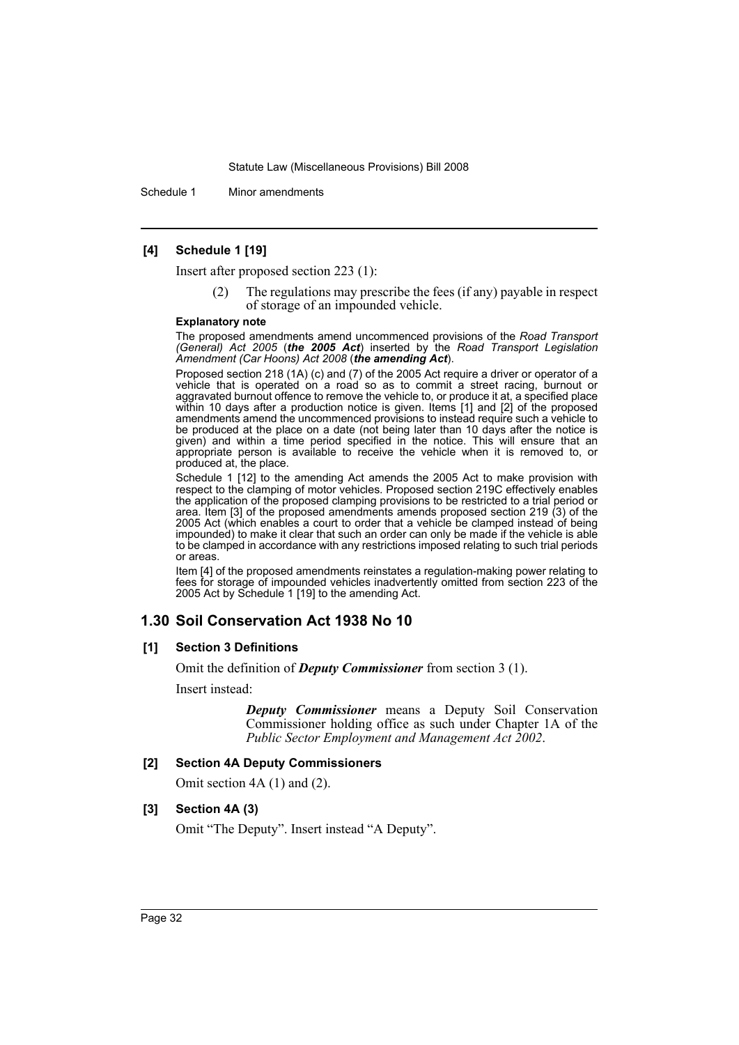Schedule 1 Minor amendments

### **[4] Schedule 1 [19]**

Insert after proposed section 223 (1):

The regulations may prescribe the fees (if any) payable in respect of storage of an impounded vehicle.

#### **Explanatory note**

The proposed amendments amend uncommenced provisions of the *Road Transport (General) Act 2005* (*the 2005 Act*) inserted by the *Road Transport Legislation Amendment (Car Hoons) Act 2008* (*the amending Act*).

Proposed section 218 (1A) (c) and (7) of the 2005 Act require a driver or operator of a vehicle that is operated on a road so as to commit a street racing, burnout or aggravated burnout offence to remove the vehicle to, or produce it at, a specified place within 10 days after a production notice is given. Items [1] and [2] of the proposed amendments amend the uncommenced provisions to instead require such a vehicle to be produced at the place on a date (not being later than 10 days after the notice is given) and within a time period specified in the notice. This will ensure that an appropriate person is available to receive the vehicle when it is removed to, or produced at, the place.

Schedule 1 [12] to the amending Act amends the 2005 Act to make provision with respect to the clamping of motor vehicles. Proposed section 219C effectively enables the application of the proposed clamping provisions to be restricted to a trial period or area. Item [3] of the proposed amendments amends proposed section 219 (3) of the 2005 Act (which enables a court to order that a vehicle be clamped instead of being impounded) to make it clear that such an order can only be made if the vehicle is able to be clamped in accordance with any restrictions imposed relating to such trial periods or areas.

Item [4] of the proposed amendments reinstates a regulation-making power relating to fees for storage of impounded vehicles inadvertently omitted from section 223 of the 2005 Act by Schedule 1 [19] to the amending Act.

# **1.30 Soil Conservation Act 1938 No 10**

#### **[1] Section 3 Definitions**

Omit the definition of *Deputy Commissioner* from section 3 (1).

Insert instead:

*Deputy Commissioner* means a Deputy Soil Conservation Commissioner holding office as such under Chapter 1A of the *Public Sector Employment and Management Act 2002*.

#### **[2] Section 4A Deputy Commissioners**

Omit section 4A (1) and (2).

### **[3] Section 4A (3)**

Omit "The Deputy". Insert instead "A Deputy".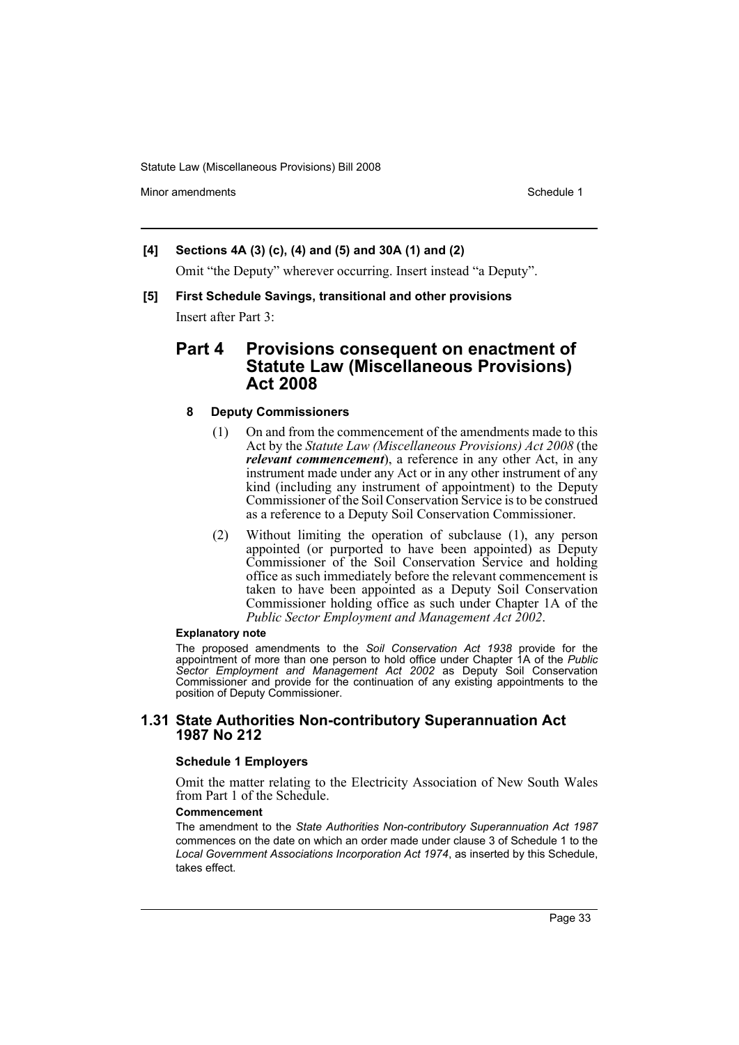Minor amendments **Schedule 1** and the state of the state 1 and the state of the Schedule 1

# **[4] Sections 4A (3) (c), (4) and (5) and 30A (1) and (2)**

Omit "the Deputy" wherever occurring. Insert instead "a Deputy".

**[5] First Schedule Savings, transitional and other provisions**

Insert after Part 3:

# **Part 4 Provisions consequent on enactment of Statute Law (Miscellaneous Provisions) Act 2008**

# **8 Deputy Commissioners**

- (1) On and from the commencement of the amendments made to this Act by the *Statute Law (Miscellaneous Provisions) Act 2008* (the *relevant commencement*), a reference in any other Act, in any instrument made under any Act or in any other instrument of any kind (including any instrument of appointment) to the Deputy Commissioner of the Soil Conservation Service is to be construed as a reference to a Deputy Soil Conservation Commissioner.
- (2) Without limiting the operation of subclause (1), any person appointed (or purported to have been appointed) as Deputy Commissioner of the Soil Conservation Service and holding office as such immediately before the relevant commencement is taken to have been appointed as a Deputy Soil Conservation Commissioner holding office as such under Chapter 1A of the *Public Sector Employment and Management Act 2002*.

### **Explanatory note**

The proposed amendments to the *Soil Conservation Act 1938* provide for the appointment of more than one person to hold office under Chapter 1A of the *Public Sector Employment and Management Act 2002* as Deputy Soil Conservation Commissioner and provide for the continuation of any existing appointments to the position of Deputy Commissioner.

# **1.31 State Authorities Non-contributory Superannuation Act 1987 No 212**

#### **Schedule 1 Employers**

Omit the matter relating to the Electricity Association of New South Wales from Part 1 of the Schedule.

#### **Commencement**

The amendment to the *State Authorities Non-contributory Superannuation Act 1987* commences on the date on which an order made under clause 3 of Schedule 1 to the *Local Government Associations Incorporation Act 1974*, as inserted by this Schedule, takes effect.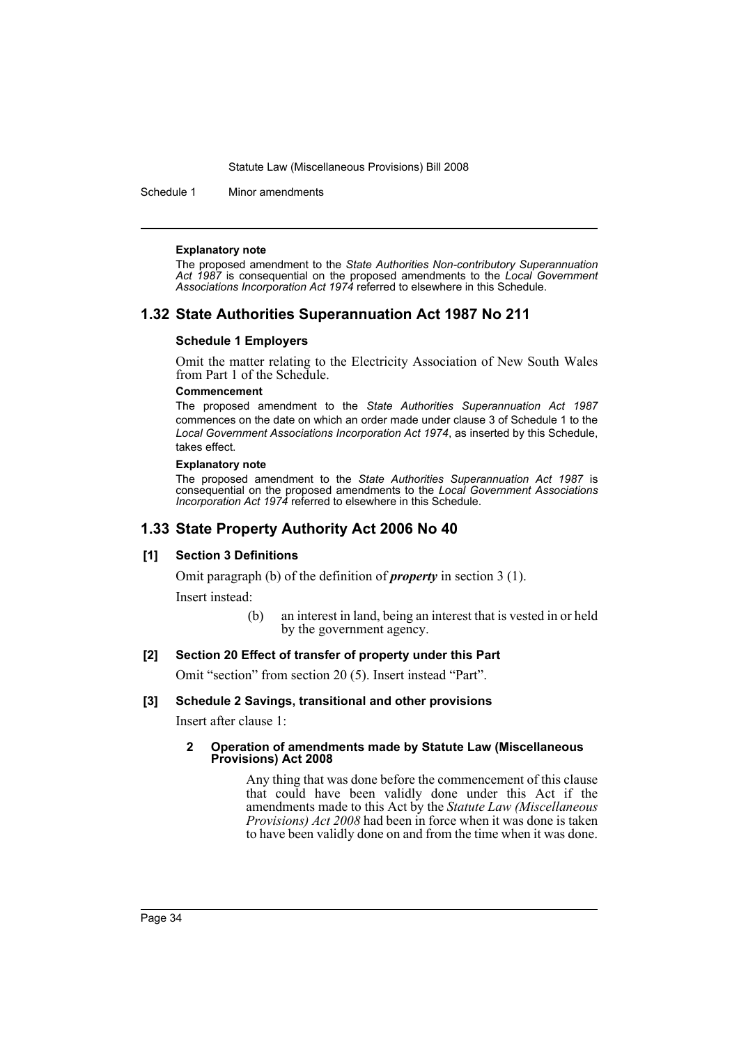Schedule 1 Minor amendments

#### **Explanatory note**

The proposed amendment to the *State Authorities Non-contributory Superannuation Act 1987* is consequential on the proposed amendments to the *Local Government Associations Incorporation Act 1974* referred to elsewhere in this Schedule.

# **1.32 State Authorities Superannuation Act 1987 No 211**

#### **Schedule 1 Employers**

Omit the matter relating to the Electricity Association of New South Wales from Part 1 of the Schedule.

#### **Commencement**

The proposed amendment to the *State Authorities Superannuation Act 1987* commences on the date on which an order made under clause 3 of Schedule 1 to the *Local Government Associations Incorporation Act 1974*, as inserted by this Schedule, takes effect.

#### **Explanatory note**

The proposed amendment to the *State Authorities Superannuation Act 1987* is consequential on the proposed amendments to the *Local Government Associations Incorporation Act 1974* referred to elsewhere in this Schedule.

# **1.33 State Property Authority Act 2006 No 40**

#### **[1] Section 3 Definitions**

Omit paragraph (b) of the definition of *property* in section 3 (1).

Insert instead:

(b) an interest in land, being an interest that is vested in or held by the government agency.

#### **[2] Section 20 Effect of transfer of property under this Part**

Omit "section" from section 20 (5). Insert instead "Part".

#### **[3] Schedule 2 Savings, transitional and other provisions**

Insert after clause 1:

#### **2 Operation of amendments made by Statute Law (Miscellaneous Provisions) Act 2008**

Any thing that was done before the commencement of this clause that could have been validly done under this Act if the amendments made to this Act by the *Statute Law (Miscellaneous Provisions) Act 2008* had been in force when it was done is taken to have been validly done on and from the time when it was done.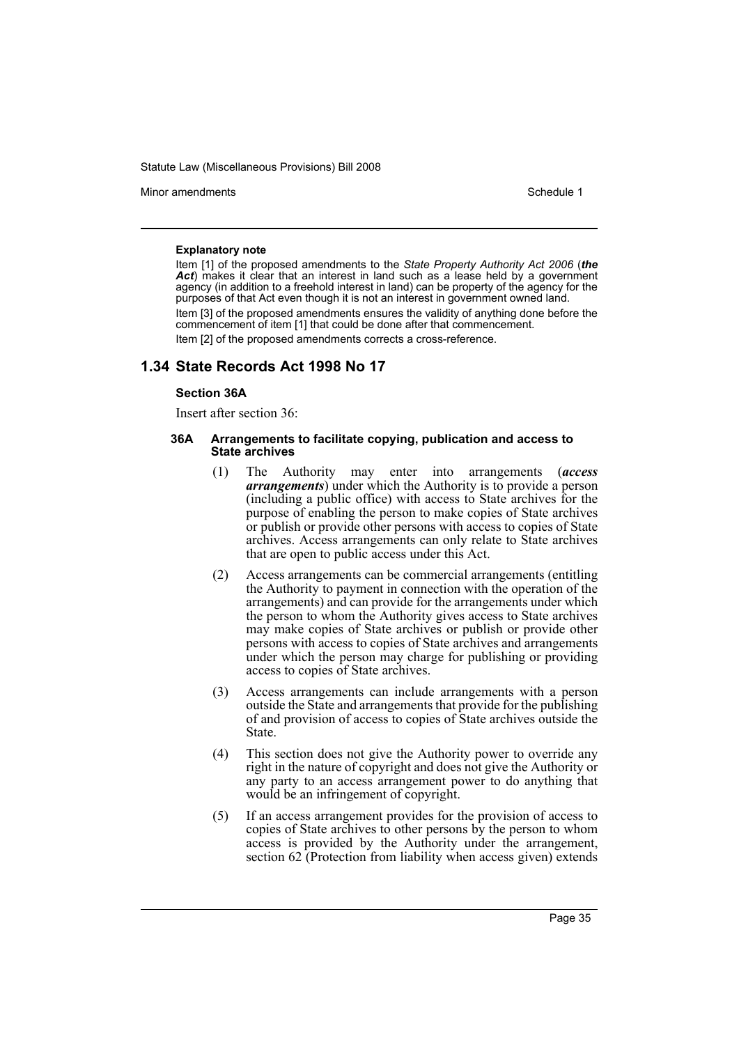Minor amendments **Schedule 1** and the state of the state 1 and the state of the Schedule 1

#### **Explanatory note**

Item [1] of the proposed amendments to the *State Property Authority Act 2006* (*the* Act) makes it clear that an interest in land such as a lease held by a government agency (in addition to a freehold interest in land) can be property of the agency for the purposes of that Act even though it is not an interest in government owned land. Item [3] of the proposed amendments ensures the validity of anything done before the commencement of item [1] that could be done after that commencement. Item [2] of the proposed amendments corrects a cross-reference.

# **1.34 State Records Act 1998 No 17**

#### **Section 36A**

Insert after section 36:

#### **36A Arrangements to facilitate copying, publication and access to State archives**

- (1) The Authority may enter into arrangements (*access arrangements*) under which the Authority is to provide a person (including a public office) with access to State archives for the purpose of enabling the person to make copies of State archives or publish or provide other persons with access to copies of State archives. Access arrangements can only relate to State archives that are open to public access under this Act.
- (2) Access arrangements can be commercial arrangements (entitling the Authority to payment in connection with the operation of the arrangements) and can provide for the arrangements under which the person to whom the Authority gives access to State archives may make copies of State archives or publish or provide other persons with access to copies of State archives and arrangements under which the person may charge for publishing or providing access to copies of State archives.
- (3) Access arrangements can include arrangements with a person outside the State and arrangements that provide for the publishing of and provision of access to copies of State archives outside the State.
- (4) This section does not give the Authority power to override any right in the nature of copyright and does not give the Authority or any party to an access arrangement power to do anything that would be an infringement of copyright.
- (5) If an access arrangement provides for the provision of access to copies of State archives to other persons by the person to whom access is provided by the Authority under the arrangement, section 62 (Protection from liability when access given) extends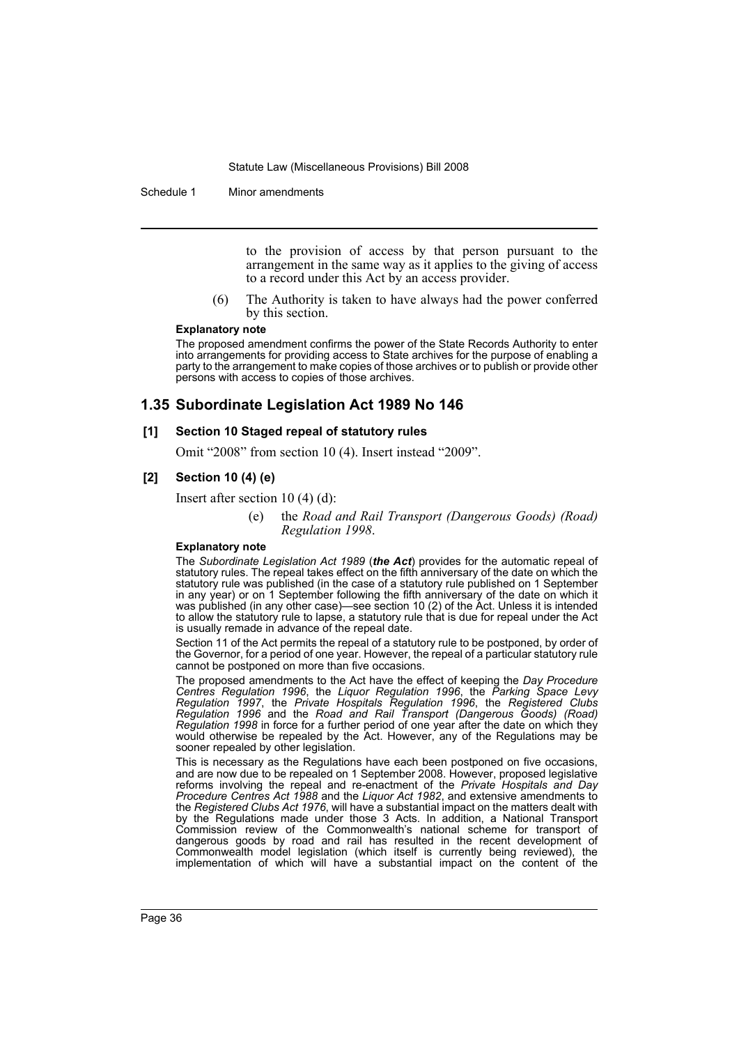Schedule 1 Minor amendments

to the provision of access by that person pursuant to the arrangement in the same way as it applies to the giving of access to a record under this Act by an access provider.

(6) The Authority is taken to have always had the power conferred by this section.

#### **Explanatory note**

The proposed amendment confirms the power of the State Records Authority to enter into arrangements for providing access to State archives for the purpose of enabling a party to the arrangement to make copies of those archives or to publish or provide other persons with access to copies of those archives.

## **1.35 Subordinate Legislation Act 1989 No 146**

#### **[1] Section 10 Staged repeal of statutory rules**

Omit "2008" from section 10 (4). Insert instead "2009".

#### **[2] Section 10 (4) (e)**

Insert after section 10 (4) (d):

#### (e) the *Road and Rail Transport (Dangerous Goods) (Road) Regulation 1998*.

#### **Explanatory note**

The *Subordinate Legislation Act 1989* (*the Act*) provides for the automatic repeal of statutory rules. The repeal takes effect on the fifth anniversary of the date on which the statutory rule was published (in the case of a statutory rule published on 1 September in any year) or on 1 September following the fifth anniversary of the date on which it was published (in any other case)—see section 10 (2) of the Act. Unless it is intended to allow the statutory rule to lapse, a statutory rule that is due for repeal under the Act is usually remade in advance of the repeal date.

Section 11 of the Act permits the repeal of a statutory rule to be postponed, by order of the Governor, for a period of one year. However, the repeal of a particular statutory rule cannot be postponed on more than five occasions.

The proposed amendments to the Act have the effect of keeping the *Day Procedure Centres Regulation 1996*, the *Liquor Regulation 1996*, the *Parking Space Levy Regulation 1997*, the *Private Hospitals Regulation 1996*, the *Registered Clubs Regulation 1996* and the *Road and Rail Transport (Dangerous Goods) (Road) Regulation 1998* in force for a further period of one year after the date on which they would otherwise be repealed by the Act. However, any of the Regulations may be sooner repealed by other legislation.

This is necessary as the Regulations have each been postponed on five occasions, and are now due to be repealed on 1 September 2008. However, proposed legislative reforms involving the repeal and re-enactment of the *Private Hospitals and Day Procedure Centres Act 1988* and the *Liquor Act 1982*, and extensive amendments to the *Registered Clubs Act 1976*, will have a substantial impact on the matters dealt with by the Regulations made under those 3 Acts. In addition, a National Transport Commission review of the Commonwealth's national scheme for transport of dangerous goods by road and rail has resulted in the recent development of Commonwealth model legislation (which itself is currently being reviewed), the implementation of which will have a substantial impact on the content of the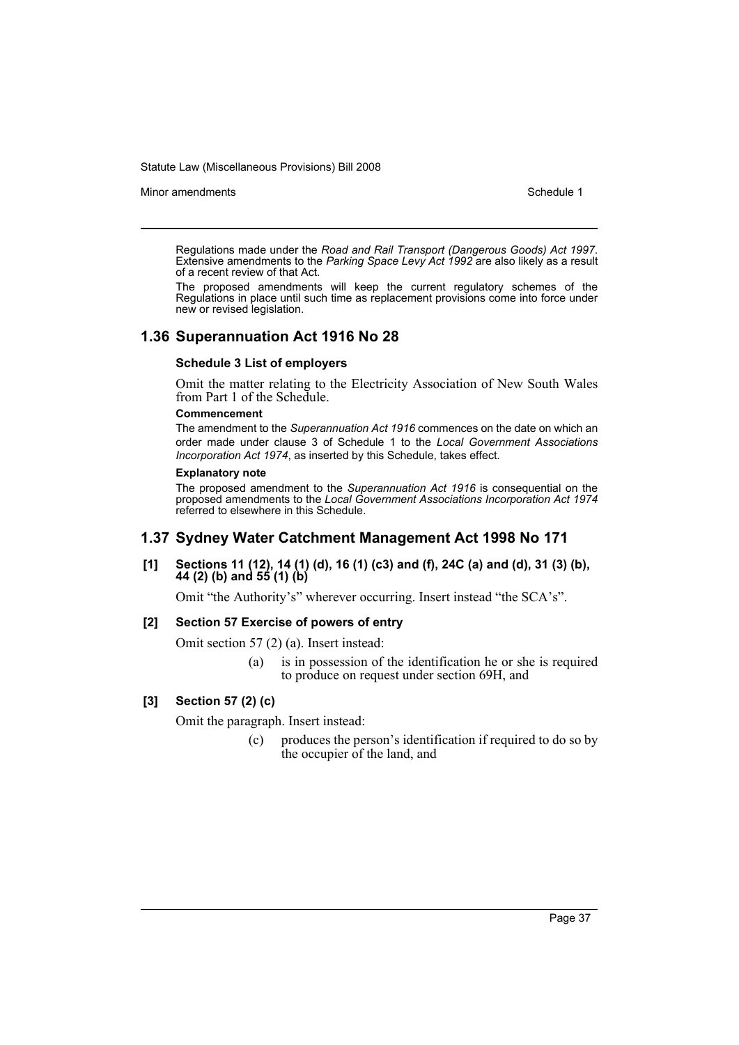Minor amendments **Schedule 1** and the state of the state 1 and the state of the Schedule 1

Regulations made under the *Road and Rail Transport (Dangerous Goods) Act 1997*. Extensive amendments to the *Parking Space Levy Act 1992* are also likely as a result of a recent review of that Act.

The proposed amendments will keep the current regulatory schemes of the Regulations in place until such time as replacement provisions come into force under new or revised legislation.

## **1.36 Superannuation Act 1916 No 28**

#### **Schedule 3 List of employers**

Omit the matter relating to the Electricity Association of New South Wales from Part 1 of the Schedule.

#### **Commencement**

The amendment to the *Superannuation Act 1916* commences on the date on which an order made under clause 3 of Schedule 1 to the *Local Government Associations Incorporation Act 1974*, as inserted by this Schedule, takes effect.

#### **Explanatory note**

The proposed amendment to the *Superannuation Act 1916* is consequential on the proposed amendments to the *Local Government Associations Incorporation Act 1974* referred to elsewhere in this Schedule.

## **1.37 Sydney Water Catchment Management Act 1998 No 171**

#### **[1] Sections 11 (12), 14 (1) (d), 16 (1) (c3) and (f), 24C (a) and (d), 31 (3) (b), 44 (2) (b) and 55 (1) (b)**

Omit "the Authority's" wherever occurring. Insert instead "the SCA's".

## **[2] Section 57 Exercise of powers of entry**

Omit section 57 (2) (a). Insert instead:

(a) is in possession of the identification he or she is required to produce on request under section 69H, and

#### **[3] Section 57 (2) (c)**

Omit the paragraph. Insert instead:

(c) produces the person's identification if required to do so by the occupier of the land, and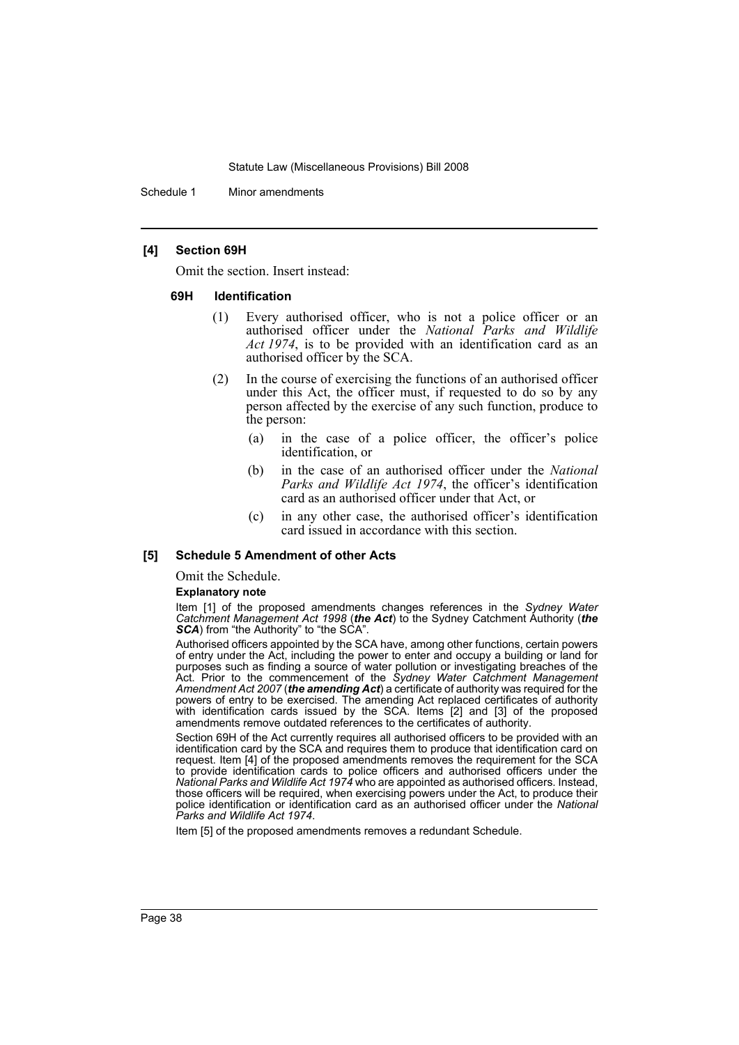Schedule 1 Minor amendments

#### **[4] Section 69H**

Omit the section. Insert instead:

#### **69H Identification**

- (1) Every authorised officer, who is not a police officer or an authorised officer under the *National Parks and Wildlife Act 1974*, is to be provided with an identification card as an authorised officer by the SCA.
- (2) In the course of exercising the functions of an authorised officer under this Act, the officer must, if requested to do so by any person affected by the exercise of any such function, produce to the person:
	- (a) in the case of a police officer, the officer's police identification, or
	- (b) in the case of an authorised officer under the *National Parks and Wildlife Act 1974*, the officer's identification card as an authorised officer under that Act, or
	- (c) in any other case, the authorised officer's identification card issued in accordance with this section.

#### **[5] Schedule 5 Amendment of other Acts**

Omit the Schedule.

#### **Explanatory note**

Item [1] of the proposed amendments changes references in the *Sydney Water Catchment Management Act 1998* (*the Act*) to the Sydney Catchment Authority (*the* **SCA**) from "the Authority" to "the SCA".

Authorised officers appointed by the SCA have, among other functions, certain powers of entry under the Act, including the power to enter and occupy a building or land for purposes such as finding a source of water pollution or investigating breaches of the Act. Prior to the commencement of the *Sydney Water Catchment Management Amendment Act 2007* (*the amending Act*) a certificate of authority was required for the powers of entry to be exercised. The amending Act replaced certificates of authority with identification cards issued by the SCA. Items [2] and [3] of the proposed amendments remove outdated references to the certificates of authority.

Section 69H of the Act currently requires all authorised officers to be provided with an identification card by the SCA and requires them to produce that identification card on request. Item [4] of the proposed amendments removes the requirement for the SCA to provide identification cards to police officers and authorised officers under the *National Parks and Wildlife Act 1974* who are appointed as authorised officers. Instead, those officers will be required, when exercising powers under the Act, to produce their police identification or identification card as an authorised officer under the *National Parks and Wildlife Act 1974*.

Item [5] of the proposed amendments removes a redundant Schedule.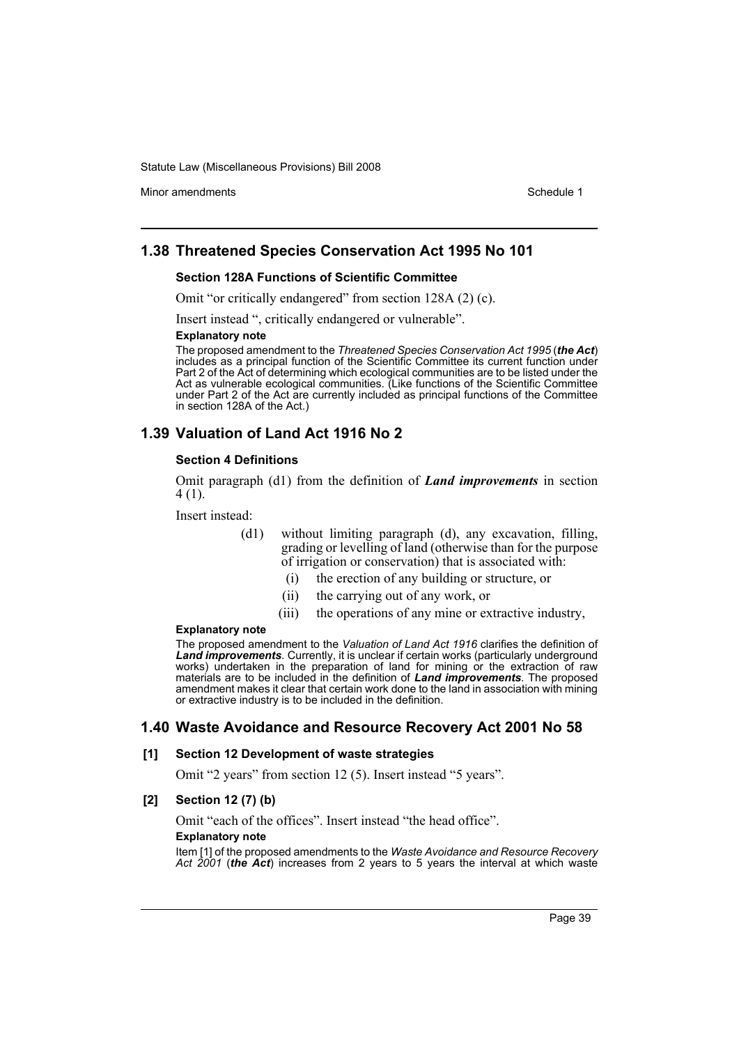Minor amendments **Schedule 1** and the state of the state 1 and the state of the Schedule 1

## **1.38 Threatened Species Conservation Act 1995 No 101**

#### **Section 128A Functions of Scientific Committee**

Omit "or critically endangered" from section 128A (2) (c).

Insert instead ", critically endangered or vulnerable".

#### **Explanatory note**

The proposed amendment to the *Threatened Species Conservation Act 1995* (*the Act*) includes as a principal function of the Scientific Committee its current function under Part 2 of the Act of determining which ecological communities are to be listed under the Act as vulnerable ecological communities. (Like functions of the Scientific Committee under Part 2 of the Act are currently included as principal functions of the Committee in section 128A of the Act.)

## **1.39 Valuation of Land Act 1916 No 2**

#### **Section 4 Definitions**

Omit paragraph (d1) from the definition of *Land improvements* in section 4 (1).

Insert instead:

- (d1) without limiting paragraph (d), any excavation, filling, grading or levelling of land (otherwise than for the purpose of irrigation or conservation) that is associated with:
	- (i) the erection of any building or structure, or
	- (ii) the carrying out of any work, or
	- (iii) the operations of any mine or extractive industry,

#### **Explanatory note**

The proposed amendment to the *Valuation of Land Act 1916* clarifies the definition of *Land improvements*. Currently, it is unclear if certain works (particularly underground works) undertaken in the preparation of land for mining or the extraction of raw materials are to be included in the definition of *Land improvements*. The proposed amendment makes it clear that certain work done to the land in association with mining or extractive industry is to be included in the definition.

## **1.40 Waste Avoidance and Resource Recovery Act 2001 No 58**

#### **[1] Section 12 Development of waste strategies**

Omit "2 years" from section 12 (5). Insert instead "5 years".

#### **[2] Section 12 (7) (b)**

Omit "each of the offices". Insert instead "the head office".

#### **Explanatory note**

Item [1] of the proposed amendments to the *Waste Avoidance and Resource Recovery Act 2001* (*the Act*) increases from 2 years to 5 years the interval at which waste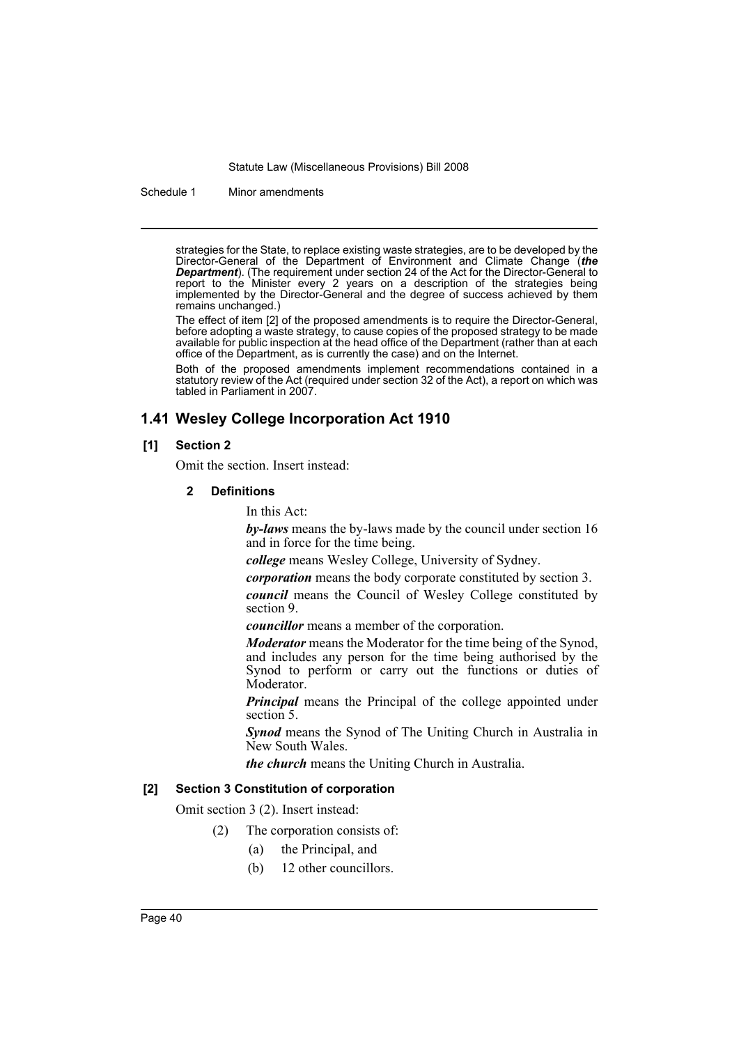Schedule 1 Minor amendments

strategies for the State, to replace existing waste strategies, are to be developed by the Director-General of the Department of Environment and Climate Change (*the Department*). (The requirement under section 24 of the Act for the Director-General to report to the Minister every 2 years on a description of the strategies being implemented by the Director-General and the degree of success achieved by them remains unchanged.)

The effect of item [2] of the proposed amendments is to require the Director-General, before adopting a waste strategy, to cause copies of the proposed strategy to be made available for public inspection at the head office of the Department (rather than at each office of the Department, as is currently the case) and on the Internet.

Both of the proposed amendments implement recommendations contained in a statutory review of the Act (required under section 32 of the Act), a report on which was tabled in Parliament in 2007.

## **1.41 Wesley College Incorporation Act 1910**

## **[1] Section 2**

Omit the section. Insert instead:

#### **2 Definitions**

In this Act:

*by-laws* means the by-laws made by the council under section 16 and in force for the time being.

*college* means Wesley College, University of Sydney.

*corporation* means the body corporate constituted by section 3.

*council* means the Council of Wesley College constituted by section 9.

*councillor* means a member of the corporation.

*Moderator* means the Moderator for the time being of the Synod, and includes any person for the time being authorised by the Synod to perform or carry out the functions or duties of Moderator.

*Principal* means the Principal of the college appointed under section 5.

*Synod* means the Synod of The Uniting Church in Australia in New South Wales.

*the church* means the Uniting Church in Australia.

## **[2] Section 3 Constitution of corporation**

Omit section 3 (2). Insert instead:

- (2) The corporation consists of:
	- (a) the Principal, and
	- (b) 12 other councillors.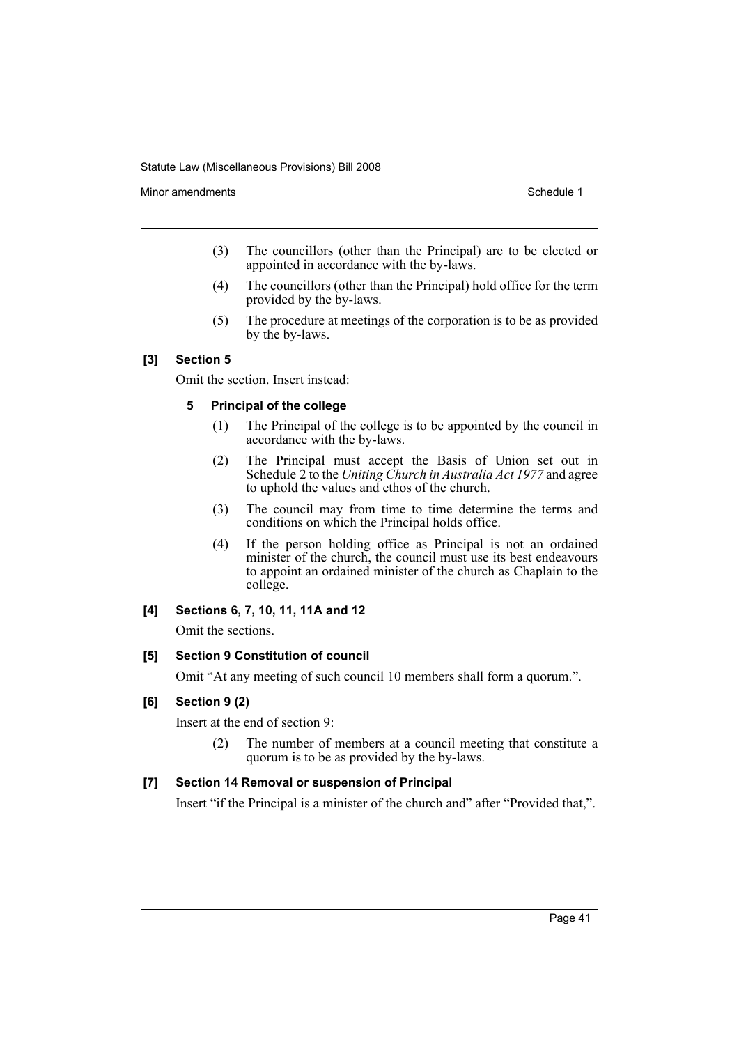Minor amendments **Schedule 1** and the state of the state of the Schedule 1

- (3) The councillors (other than the Principal) are to be elected or appointed in accordance with the by-laws.
- (4) The councillors (other than the Principal) hold office for the term provided by the by-laws.
- (5) The procedure at meetings of the corporation is to be as provided by the by-laws.

## **[3] Section 5**

Omit the section. Insert instead:

#### **5 Principal of the college**

- (1) The Principal of the college is to be appointed by the council in accordance with the by-laws.
- (2) The Principal must accept the Basis of Union set out in Schedule 2 to the *Uniting Church in Australia Act 1977* and agree to uphold the values and ethos of the church.
- (3) The council may from time to time determine the terms and conditions on which the Principal holds office.
- (4) If the person holding office as Principal is not an ordained minister of the church, the council must use its best endeavours to appoint an ordained minister of the church as Chaplain to the college.

## **[4] Sections 6, 7, 10, 11, 11A and 12**

Omit the sections.

#### **[5] Section 9 Constitution of council**

Omit "At any meeting of such council 10 members shall form a quorum.".

## **[6] Section 9 (2)**

Insert at the end of section 9:

(2) The number of members at a council meeting that constitute a quorum is to be as provided by the by-laws.

## **[7] Section 14 Removal or suspension of Principal**

Insert "if the Principal is a minister of the church and" after "Provided that,".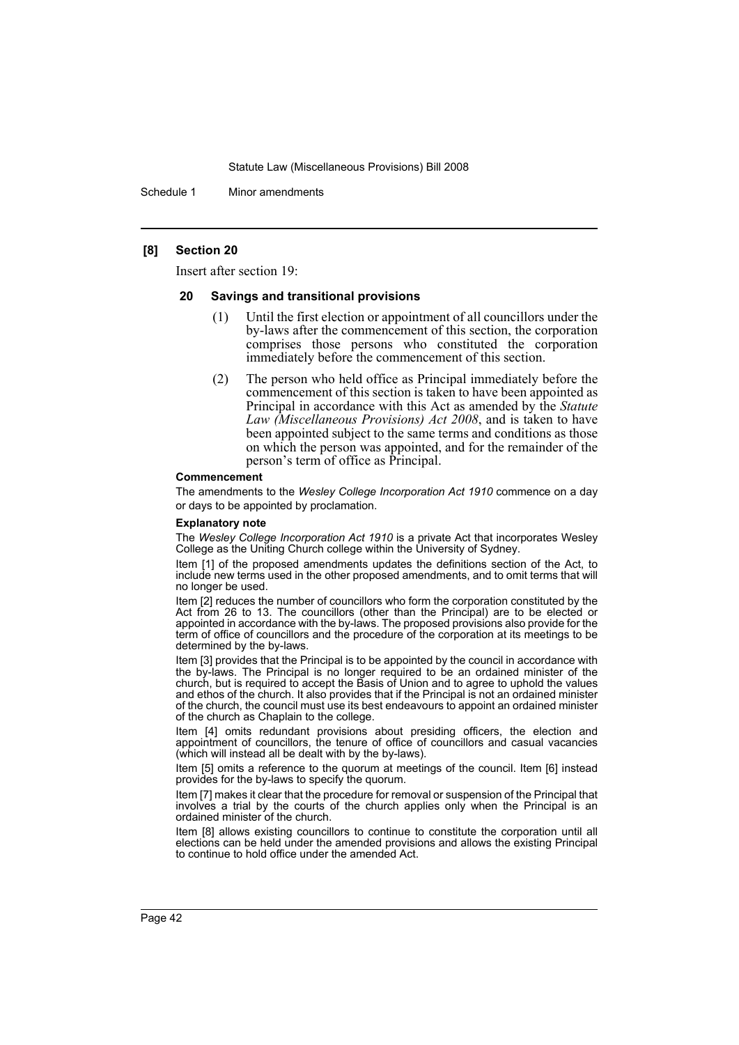Schedule 1 Minor amendments

#### **[8] Section 20**

Insert after section 19:

#### **20 Savings and transitional provisions**

- (1) Until the first election or appointment of all councillors under the by-laws after the commencement of this section, the corporation comprises those persons who constituted the corporation immediately before the commencement of this section.
- (2) The person who held office as Principal immediately before the commencement of this section is taken to have been appointed as Principal in accordance with this Act as amended by the *Statute Law (Miscellaneous Provisions) Act 2008*, and is taken to have been appointed subject to the same terms and conditions as those on which the person was appointed, and for the remainder of the person's term of office as Principal.

#### **Commencement**

The amendments to the *Wesley College Incorporation Act 1910* commence on a day or days to be appointed by proclamation.

#### **Explanatory note**

The *Wesley College Incorporation Act 1910* is a private Act that incorporates Wesley College as the Uniting Church college within the University of Sydney.

Item [1] of the proposed amendments updates the definitions section of the Act, to include new terms used in the other proposed amendments, and to omit terms that will no longer be used.

Item [2] reduces the number of councillors who form the corporation constituted by the Act from 26 to 13. The councillors (other than the Principal) are to be elected or appointed in accordance with the by-laws. The proposed provisions also provide for the term of office of councillors and the procedure of the corporation at its meetings to be determined by the by-laws.

Item [3] provides that the Principal is to be appointed by the council in accordance with the by-laws. The Principal is no longer required to be an ordained minister of the church, but is required to accept the Basis of Union and to agree to uphold the values and ethos of the church. It also provides that if the Principal is not an ordained minister of the church, the council must use its best endeavours to appoint an ordained minister of the church as Chaplain to the college.

Item [4] omits redundant provisions about presiding officers, the election and appointment of councillors, the tenure of office of councillors and casual vacancies (which will instead all be dealt with by the by-laws).

Item [5] omits a reference to the quorum at meetings of the council. Item [6] instead provides for the by-laws to specify the quorum.

Item [7] makes it clear that the procedure for removal or suspension of the Principal that involves a trial by the courts of the church applies only when the Principal is an ordained minister of the church.

Item [8] allows existing councillors to continue to constitute the corporation until all elections can be held under the amended provisions and allows the existing Principal to continue to hold office under the amended Act.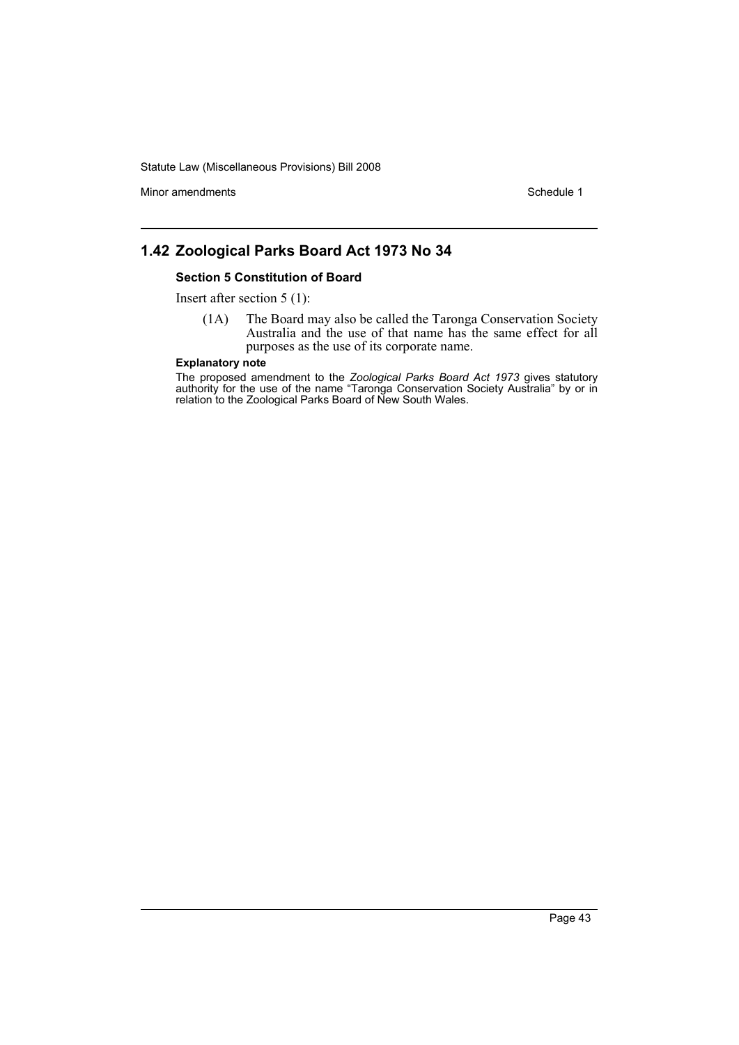Minor amendments **Schedule 1** and the state of the state of the state of the Schedule 1

# **1.42 Zoological Parks Board Act 1973 No 34**

#### **Section 5 Constitution of Board**

Insert after section 5 (1):

(1A) The Board may also be called the Taronga Conservation Society Australia and the use of that name has the same effect for all purposes as the use of its corporate name.

#### **Explanatory note**

The proposed amendment to the *Zoological Parks Board Act 1973* gives statutory authority for the use of the name "Taronga Conservation Society Australia" by or in relation to the Zoological Parks Board of New South Wales.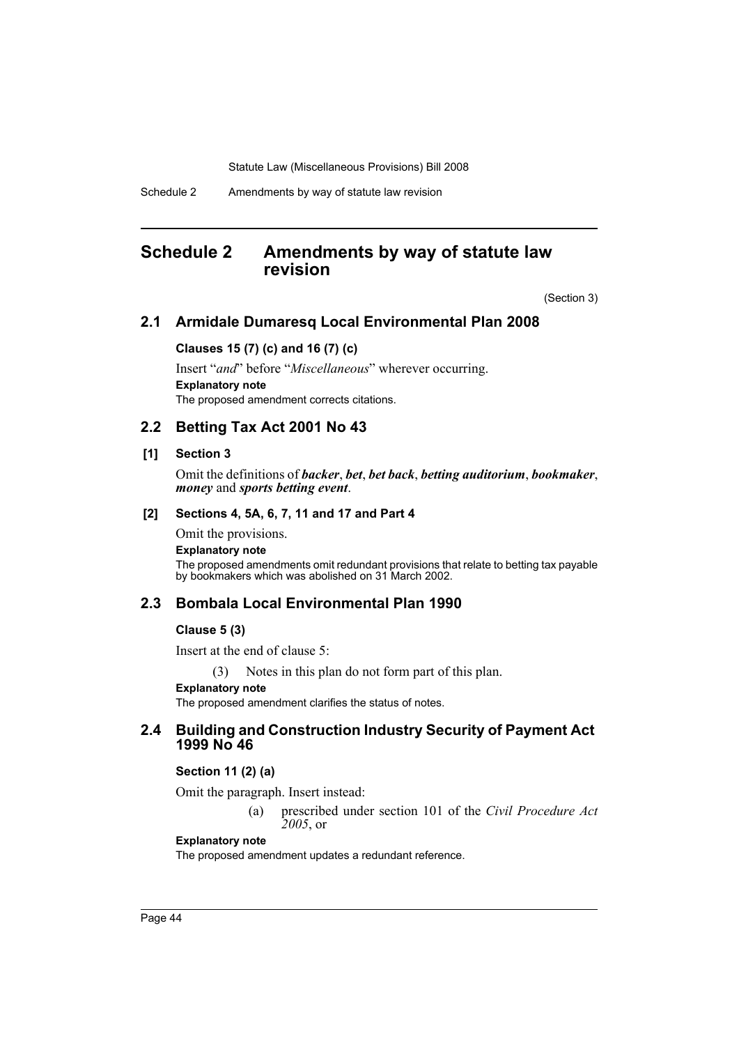Schedule 2 Amendments by way of statute law revision

# **Schedule 2 Amendments by way of statute law revision**

(Section 3)

## **2.1 Armidale Dumaresq Local Environmental Plan 2008**

## **Clauses 15 (7) (c) and 16 (7) (c)**

Insert "*and*" before "*Miscellaneous*" wherever occurring. **Explanatory note** The proposed amendment corrects citations.

## **2.2 Betting Tax Act 2001 No 43**

### **[1] Section 3**

Omit the definitions of *backer*, *bet*, *bet back*, *betting auditorium*, *bookmaker*, *money* and *sports betting event*.

## **[2] Sections 4, 5A, 6, 7, 11 and 17 and Part 4**

Omit the provisions. **Explanatory note** The proposed amendments omit redundant provisions that relate to betting tax payable by bookmakers which was abolished on 31 March 2002.

## **2.3 Bombala Local Environmental Plan 1990**

### **Clause 5 (3)**

Insert at the end of clause 5:

(3) Notes in this plan do not form part of this plan.

#### **Explanatory note**

The proposed amendment clarifies the status of notes.

## **2.4 Building and Construction Industry Security of Payment Act 1999 No 46**

#### **Section 11 (2) (a)**

Omit the paragraph. Insert instead:

(a) prescribed under section 101 of the *Civil Procedure Act 2005*, or

#### **Explanatory note**

The proposed amendment updates a redundant reference.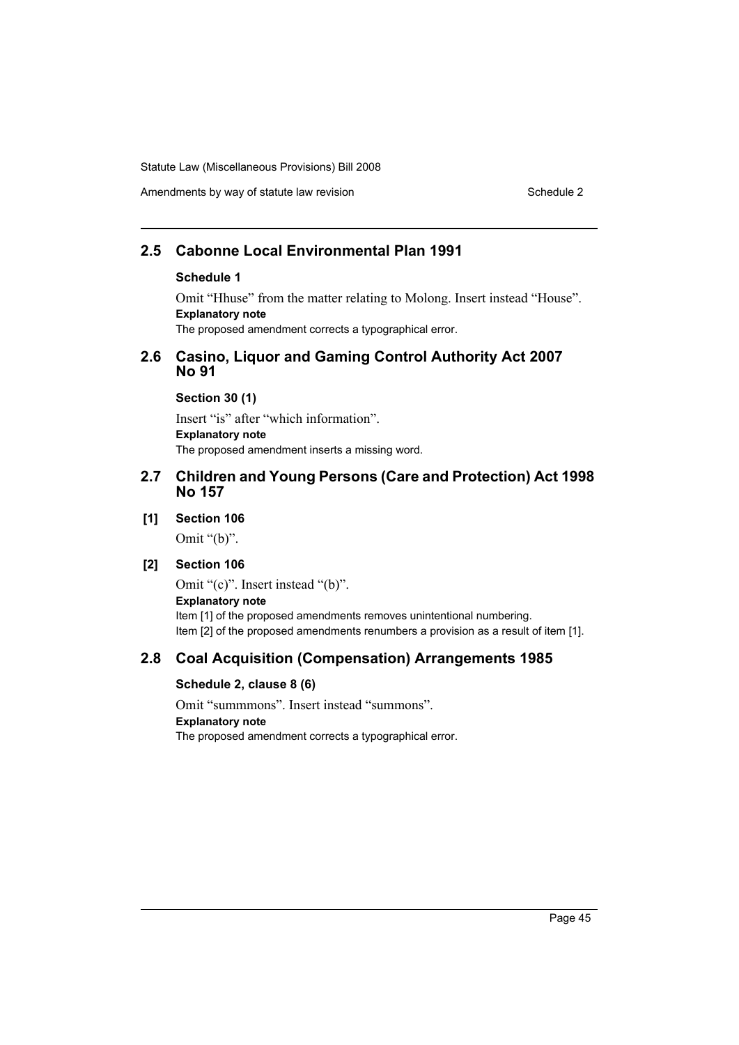## **2.5 Cabonne Local Environmental Plan 1991**

### **Schedule 1**

Omit "Hhuse" from the matter relating to Molong. Insert instead "House". **Explanatory note** The proposed amendment corrects a typographical error.

## **2.6 Casino, Liquor and Gaming Control Authority Act 2007 No 91**

**Section 30 (1)**

Insert "is" after "which information". **Explanatory note** The proposed amendment inserts a missing word.

## **2.7 Children and Young Persons (Care and Protection) Act 1998 No 157**

#### **[1] Section 106**

Omit "(b)".

## **[2] Section 106**

Omit "(c)". Insert instead "(b)". **Explanatory note** Item [1] of the proposed amendments removes unintentional numbering. Item [2] of the proposed amendments renumbers a provision as a result of item [1].

## **2.8 Coal Acquisition (Compensation) Arrangements 1985**

### **Schedule 2, clause 8 (6)**

Omit "summmons". Insert instead "summons". **Explanatory note** The proposed amendment corrects a typographical error.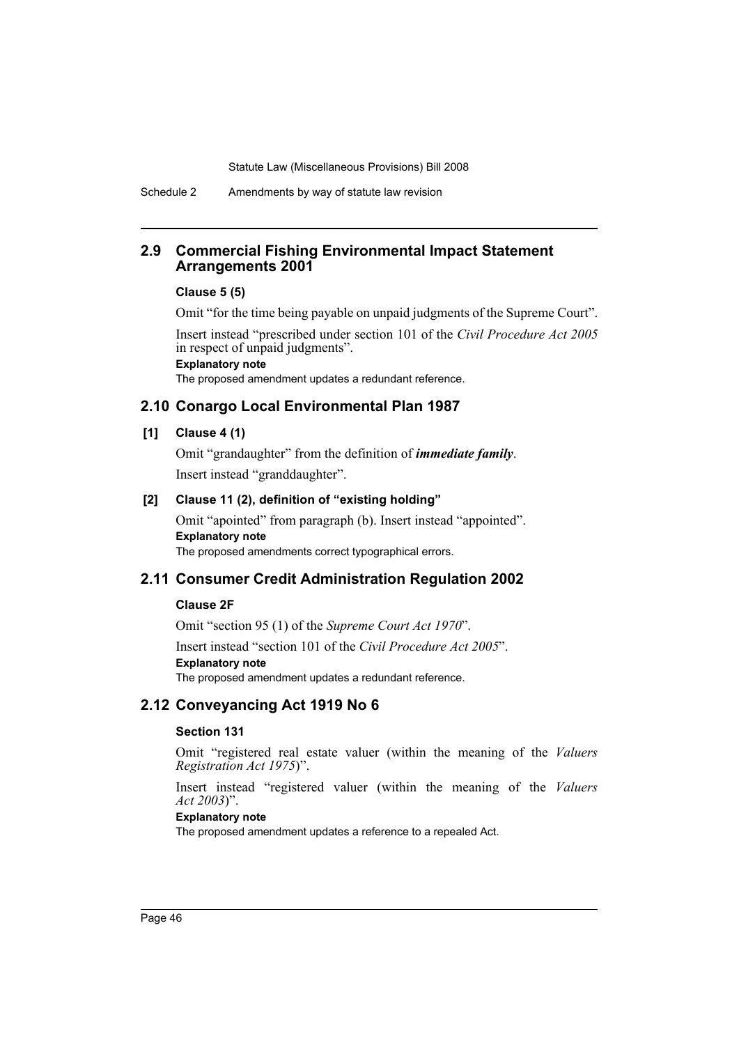## **2.9 Commercial Fishing Environmental Impact Statement Arrangements 2001**

#### **Clause 5 (5)**

Omit "for the time being payable on unpaid judgments of the Supreme Court".

Insert instead "prescribed under section 101 of the *Civil Procedure Act 2005* in respect of unpaid judgments". **Explanatory note**

The proposed amendment updates a redundant reference.

## **2.10 Conargo Local Environmental Plan 1987**

## **[1] Clause 4 (1)**

Omit "grandaughter" from the definition of *immediate family*. Insert instead "granddaughter".

## **[2] Clause 11 (2), definition of "existing holding"**

Omit "apointed" from paragraph (b). Insert instead "appointed". **Explanatory note** The proposed amendments correct typographical errors.

## **2.11 Consumer Credit Administration Regulation 2002**

### **Clause 2F**

Omit "section 95 (1) of the *Supreme Court Act 1970*".

Insert instead "section 101 of the *Civil Procedure Act 2005*". **Explanatory note** The proposed amendment updates a redundant reference.

## **2.12 Conveyancing Act 1919 No 6**

#### **Section 131**

Omit "registered real estate valuer (within the meaning of the *Valuers Registration Act 1975*)".

Insert instead "registered valuer (within the meaning of the *Valuers Act 2003*)".

#### **Explanatory note**

The proposed amendment updates a reference to a repealed Act.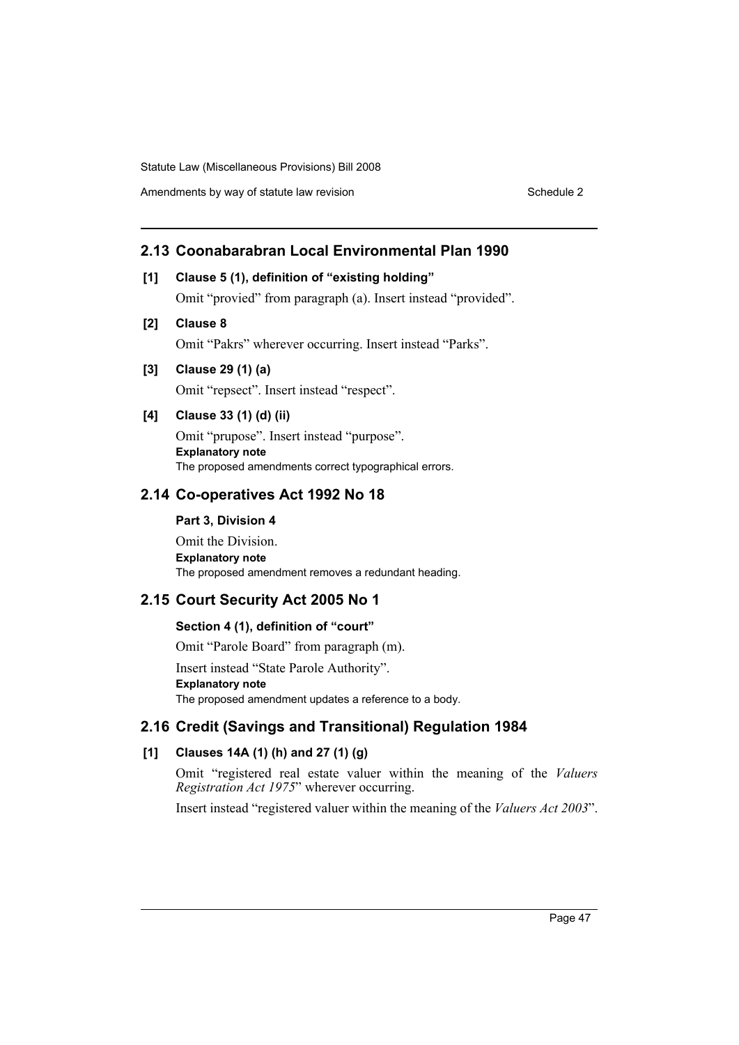## **2.13 Coonabarabran Local Environmental Plan 1990**

## **[1] Clause 5 (1), definition of "existing holding"**

Omit "provied" from paragraph (a). Insert instead "provided".

## **[2] Clause 8**

Omit "Pakrs" wherever occurring. Insert instead "Parks".

**[3] Clause 29 (1) (a)**

Omit "repsect". Insert instead "respect".

## **[4] Clause 33 (1) (d) (ii)**

Omit "prupose". Insert instead "purpose". **Explanatory note** The proposed amendments correct typographical errors.

#### **2.14 Co-operatives Act 1992 No 18**

#### **Part 3, Division 4**

Omit the Division. **Explanatory note** The proposed amendment removes a redundant heading.

## **2.15 Court Security Act 2005 No 1**

#### **Section 4 (1), definition of "court"**

Omit "Parole Board" from paragraph (m).

Insert instead "State Parole Authority". **Explanatory note** The proposed amendment updates a reference to a body.

## **2.16 Credit (Savings and Transitional) Regulation 1984**

## **[1] Clauses 14A (1) (h) and 27 (1) (g)**

Omit "registered real estate valuer within the meaning of the *Valuers Registration Act 1975*" wherever occurring.

Insert instead "registered valuer within the meaning of the *Valuers Act 2003*".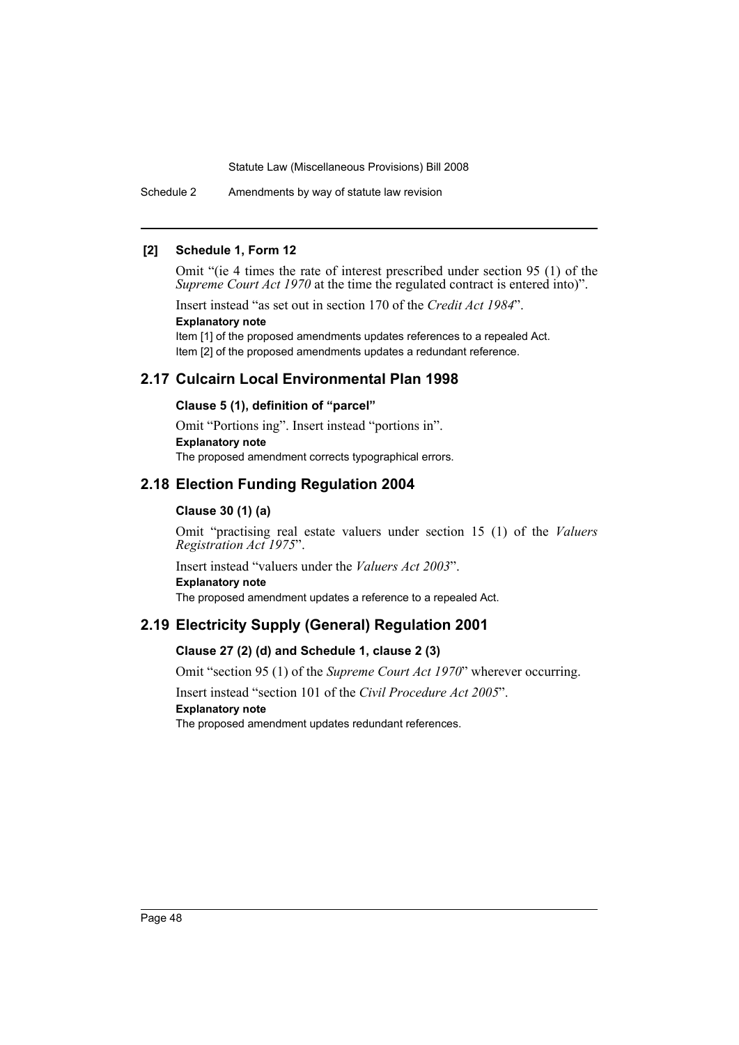Schedule 2 Amendments by way of statute law revision

## **[2] Schedule 1, Form 12**

Omit "(ie 4 times the rate of interest prescribed under section 95 (1) of the *Supreme Court Act 1970* at the time the regulated contract is entered into)".

Insert instead "as set out in section 170 of the *Credit Act 1984*". **Explanatory note** Item [1] of the proposed amendments updates references to a repealed Act.

Item [2] of the proposed amendments updates a redundant reference.

## **2.17 Culcairn Local Environmental Plan 1998**

## **Clause 5 (1), definition of "parcel"**

Omit "Portions ing". Insert instead "portions in". **Explanatory note** The proposed amendment corrects typographical errors.

## **2.18 Election Funding Regulation 2004**

## **Clause 30 (1) (a)**

Omit "practising real estate valuers under section 15 (1) of the *Valuers Registration Act 1975*".

Insert instead "valuers under the *Valuers Act 2003*". **Explanatory note**

The proposed amendment updates a reference to a repealed Act.

## **2.19 Electricity Supply (General) Regulation 2001**

## **Clause 27 (2) (d) and Schedule 1, clause 2 (3)**

Omit "section 95 (1) of the *Supreme Court Act 1970*" wherever occurring.

Insert instead "section 101 of the *Civil Procedure Act 2005*".

## **Explanatory note**

The proposed amendment updates redundant references.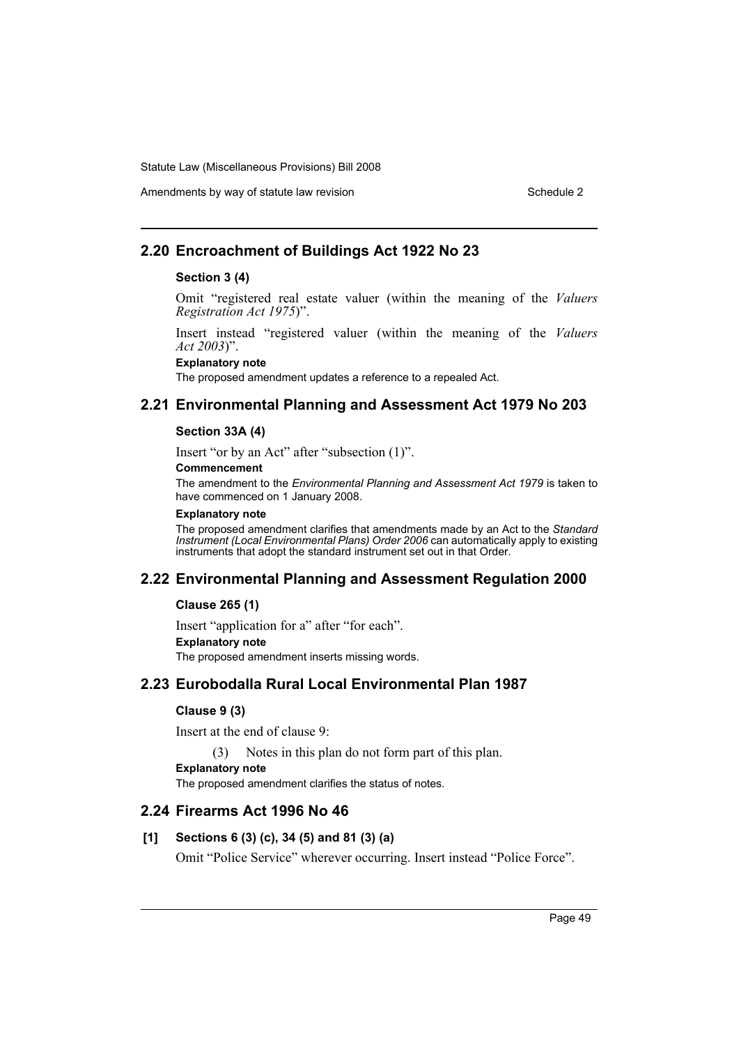## Amendments by way of statute law revision Schedule 2 Schedule 2

## **2.20 Encroachment of Buildings Act 1922 No 23**

#### **Section 3 (4)**

Omit "registered real estate valuer (within the meaning of the *Valuers Registration Act 1975*)".

Insert instead "registered valuer (within the meaning of the *Valuers Act 2003*)".

**Explanatory note**

The proposed amendment updates a reference to a repealed Act.

## **2.21 Environmental Planning and Assessment Act 1979 No 203**

#### **Section 33A (4)**

Insert "or by an Act" after "subsection (1)".

**Commencement**

The amendment to the *Environmental Planning and Assessment Act 1979* is taken to have commenced on 1 January 2008.

#### **Explanatory note**

The proposed amendment clarifies that amendments made by an Act to the *Standard Instrument (Local Environmental Plans) Order 2006* can automatically apply to existing instruments that adopt the standard instrument set out in that Order.

## **2.22 Environmental Planning and Assessment Regulation 2000**

## **Clause 265 (1)**

Insert "application for a" after "for each". **Explanatory note** The proposed amendment inserts missing words.

## **2.23 Eurobodalla Rural Local Environmental Plan 1987**

## **Clause 9 (3)**

Insert at the end of clause 9:

(3) Notes in this plan do not form part of this plan.

**Explanatory note**

The proposed amendment clarifies the status of notes.

## **2.24 Firearms Act 1996 No 46**

## **[1] Sections 6 (3) (c), 34 (5) and 81 (3) (a)**

Omit "Police Service" wherever occurring. Insert instead "Police Force".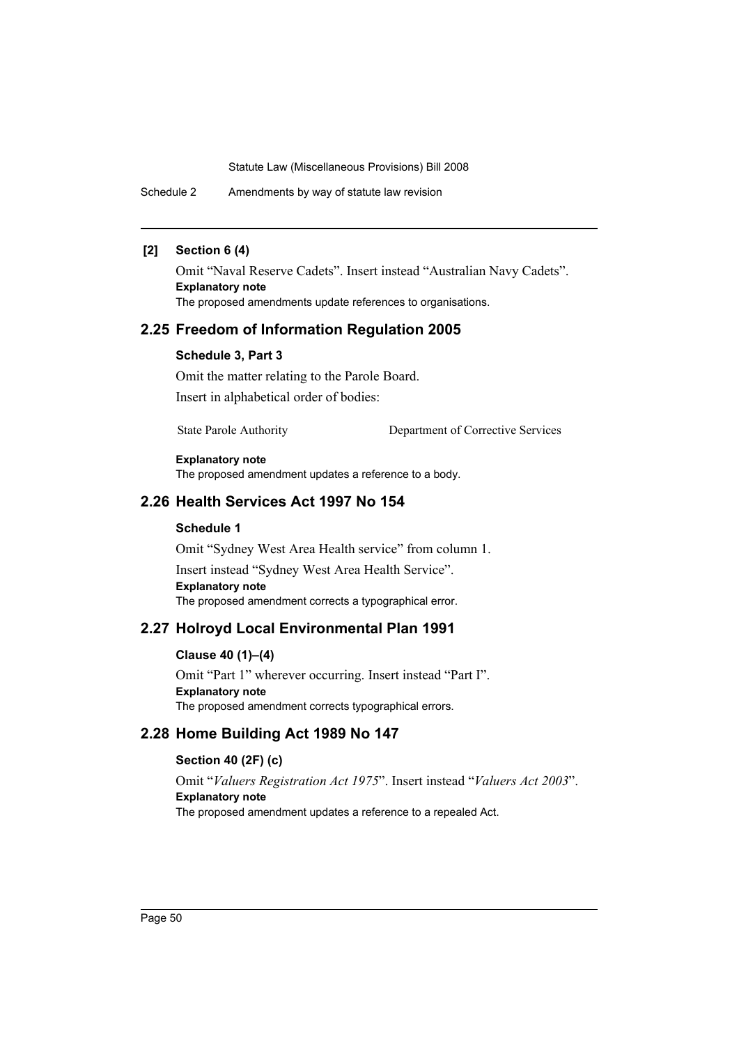Schedule 2 Amendments by way of statute law revision

## **[2] Section 6 (4)**

Omit "Naval Reserve Cadets". Insert instead "Australian Navy Cadets". **Explanatory note** The proposed amendments update references to organisations.

## **2.25 Freedom of Information Regulation 2005**

#### **Schedule 3, Part 3**

Omit the matter relating to the Parole Board.

Insert in alphabetical order of bodies:

State Parole Authority Department of Corrective Services

#### **Explanatory note**

The proposed amendment updates a reference to a body.

## **2.26 Health Services Act 1997 No 154**

#### **Schedule 1**

Omit "Sydney West Area Health service" from column 1. Insert instead "Sydney West Area Health Service". **Explanatory note** The proposed amendment corrects a typographical error.

## **2.27 Holroyd Local Environmental Plan 1991**

## **Clause 40 (1)–(4)**

Omit "Part 1" wherever occurring. Insert instead "Part I". **Explanatory note** The proposed amendment corrects typographical errors.

## **2.28 Home Building Act 1989 No 147**

#### **Section 40 (2F) (c)**

Omit "*Valuers Registration Act 1975*". Insert instead "*Valuers Act 2003*". **Explanatory note** The proposed amendment updates a reference to a repealed Act.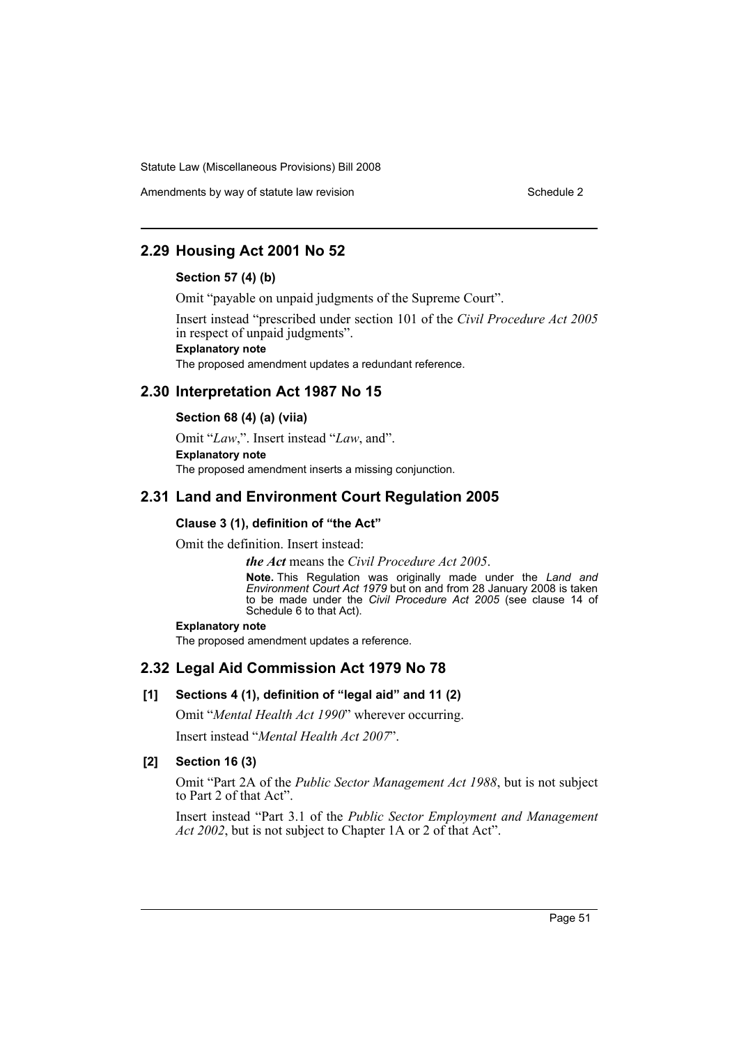Amendments by way of statute law revision Schedule 2 Schedule 2

## **2.29 Housing Act 2001 No 52**

#### **Section 57 (4) (b)**

Omit "payable on unpaid judgments of the Supreme Court".

Insert instead "prescribed under section 101 of the *Civil Procedure Act 2005* in respect of unpaid judgments". **Explanatory note** The proposed amendment updates a redundant reference.

## **2.30 Interpretation Act 1987 No 15**

#### **Section 68 (4) (a) (viia)**

Omit "*Law*,". Insert instead "*Law*, and". **Explanatory note**

The proposed amendment inserts a missing conjunction.

## **2.31 Land and Environment Court Regulation 2005**

#### **Clause 3 (1), definition of "the Act"**

Omit the definition. Insert instead:

*the Act* means the *Civil Procedure Act 2005*.

**Note.** This Regulation was originally made under the *Land and Environment Court Act 1979* but on and from 28 January 2008 is taken to be made under the *Civil Procedure Act 2005* (see clause 14 of Schedule 6 to that Act).

#### **Explanatory note**

The proposed amendment updates a reference.

## **2.32 Legal Aid Commission Act 1979 No 78**

## **[1] Sections 4 (1), definition of "legal aid" and 11 (2)**

Omit "*Mental Health Act 1990*" wherever occurring.

Insert instead "*Mental Health Act 2007*".

#### **[2] Section 16 (3)**

Omit "Part 2A of the *Public Sector Management Act 1988*, but is not subject to Part 2 of that Act".

Insert instead "Part 3.1 of the *Public Sector Employment and Management Act 2002*, but is not subject to Chapter 1A or 2 of that Act".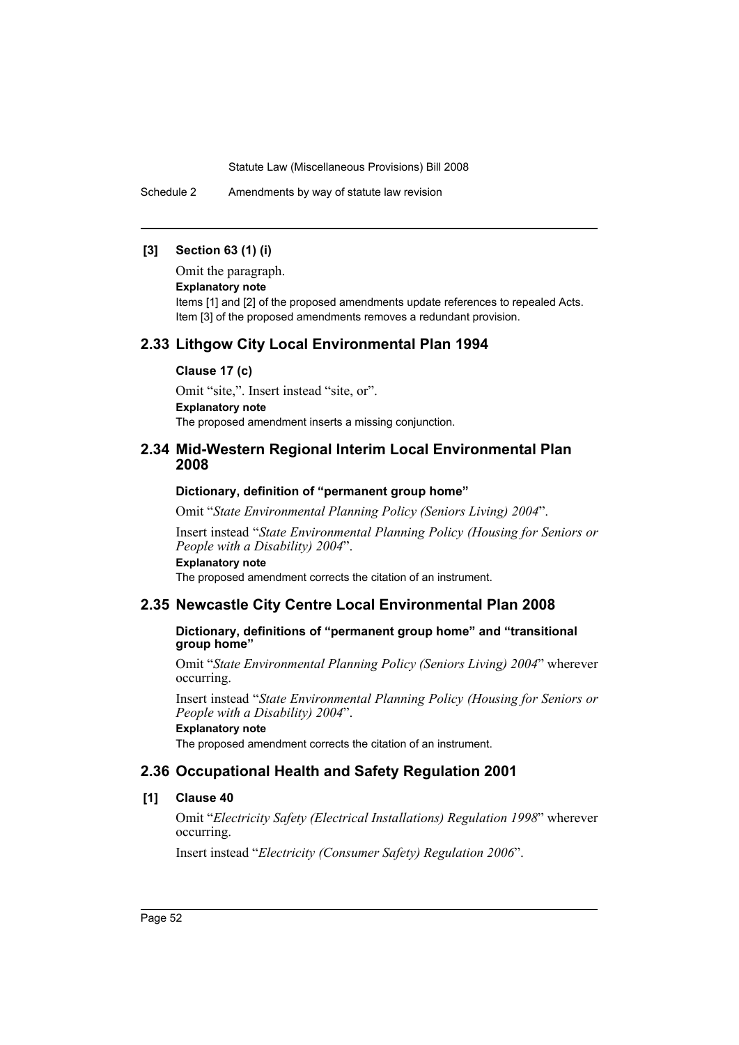Schedule 2 Amendments by way of statute law revision

## **[3] Section 63 (1) (i)**

Omit the paragraph.

**Explanatory note**

Items [1] and [2] of the proposed amendments update references to repealed Acts. Item [3] of the proposed amendments removes a redundant provision.

## **2.33 Lithgow City Local Environmental Plan 1994**

#### **Clause 17 (c)**

Omit "site,". Insert instead "site, or". **Explanatory note** The proposed amendment inserts a missing conjunction.

## **2.34 Mid-Western Regional Interim Local Environmental Plan 2008**

#### **Dictionary, definition of "permanent group home"**

Omit "*State Environmental Planning Policy (Seniors Living) 2004*".

Insert instead "*State Environmental Planning Policy (Housing for Seniors or People with a Disability) 2004*".

**Explanatory note**

The proposed amendment corrects the citation of an instrument.

#### **2.35 Newcastle City Centre Local Environmental Plan 2008**

**Dictionary, definitions of "permanent group home" and "transitional group home"**

Omit "*State Environmental Planning Policy (Seniors Living) 2004*" wherever occurring.

Insert instead "*State Environmental Planning Policy (Housing for Seniors or People with a Disability) 2004*".

**Explanatory note**

The proposed amendment corrects the citation of an instrument.

## **2.36 Occupational Health and Safety Regulation 2001**

#### **[1] Clause 40**

Omit "*Electricity Safety (Electrical Installations) Regulation 1998*" wherever occurring.

Insert instead "*Electricity (Consumer Safety) Regulation 2006*".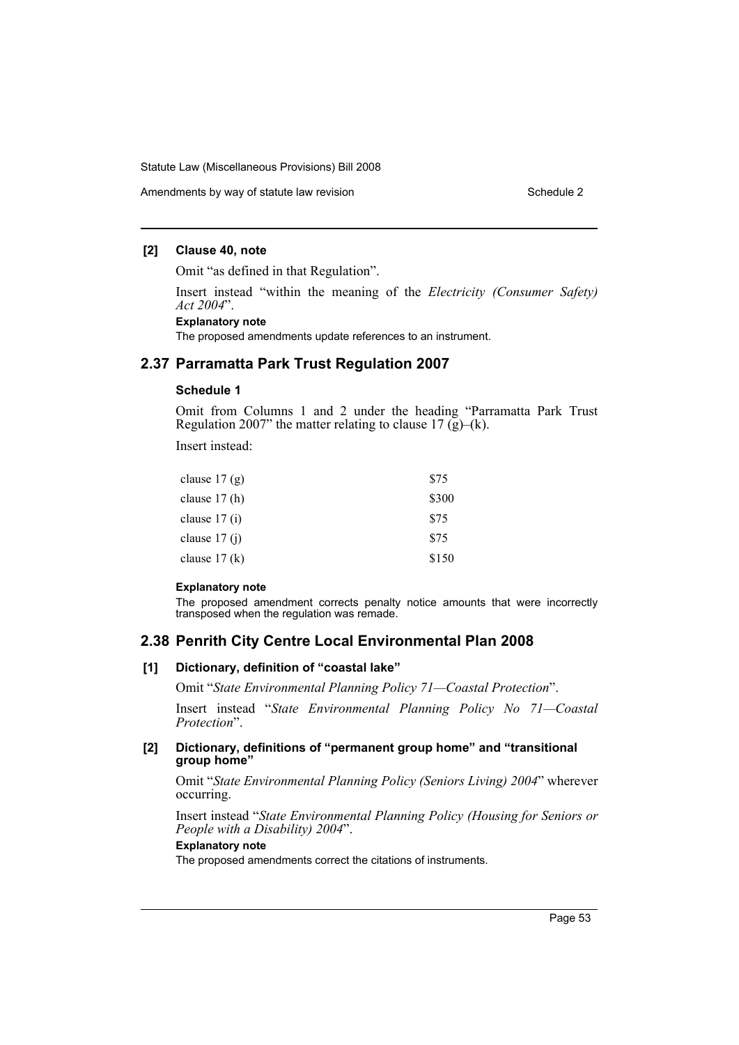Amendments by way of statute law revision Schedule 2 Schedule 2

#### **[2] Clause 40, note**

Omit "as defined in that Regulation".

Insert instead "within the meaning of the *Electricity (Consumer Safety) Act 2004*".

## **Explanatory note**

The proposed amendments update references to an instrument.

## **2.37 Parramatta Park Trust Regulation 2007**

#### **Schedule 1**

Omit from Columns 1 and 2 under the heading "Parramatta Park Trust Regulation 2007" the matter relating to clause 17  $(g)$ –(k).

Insert instead:

| clause $17(g)$ | \$75  |
|----------------|-------|
| clause $17(h)$ | \$300 |
| clause $17(i)$ | \$75  |
| clause $17(i)$ | \$75  |
| clause $17(k)$ | \$150 |

#### **Explanatory note**

The proposed amendment corrects penalty notice amounts that were incorrectly transposed when the regulation was remade.

## **2.38 Penrith City Centre Local Environmental Plan 2008**

#### **[1] Dictionary, definition of "coastal lake"**

Omit "*State Environmental Planning Policy 71—Coastal Protection*".

Insert instead "*State Environmental Planning Policy No 71—Coastal Protection*".

#### **[2] Dictionary, definitions of "permanent group home" and "transitional group home"**

Omit "*State Environmental Planning Policy (Seniors Living) 2004*" wherever occurring.

Insert instead "*State Environmental Planning Policy (Housing for Seniors or People with a Disability) 2004*".

#### **Explanatory note**

The proposed amendments correct the citations of instruments.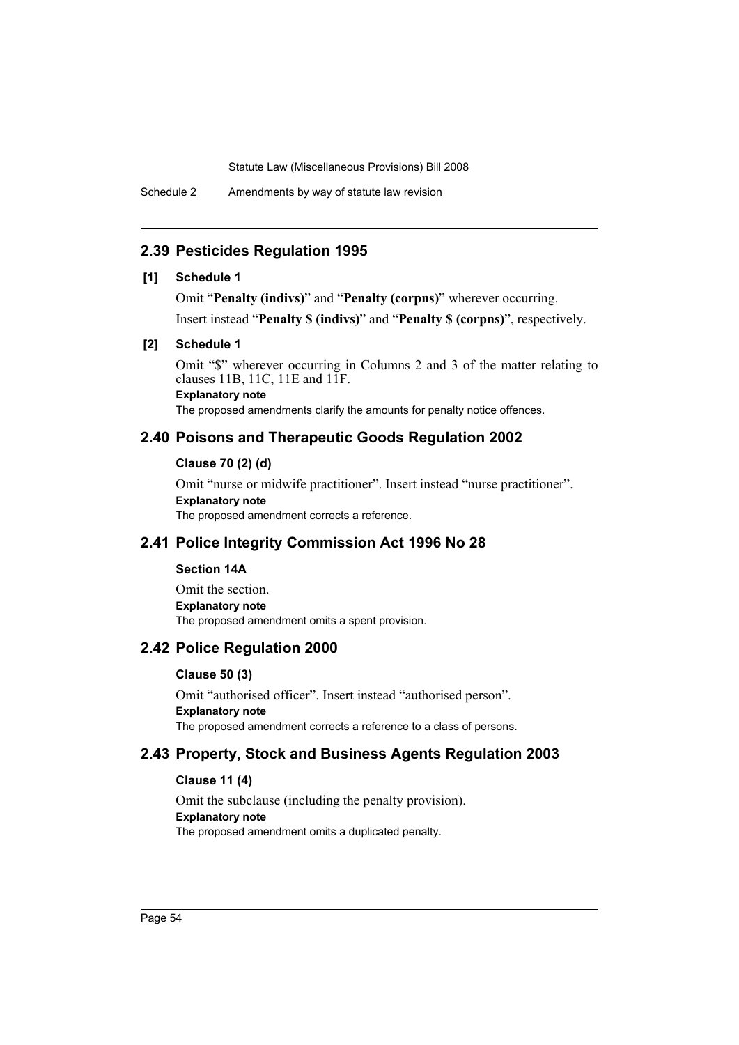Schedule 2 Amendments by way of statute law revision

## **2.39 Pesticides Regulation 1995**

## **[1] Schedule 1**

Omit "**Penalty (indivs)**" and "**Penalty (corpns)**" wherever occurring.

Insert instead "**Penalty \$ (indivs)**" and "**Penalty \$ (corpns)**", respectively.

#### **[2] Schedule 1**

Omit "\$" wherever occurring in Columns 2 and 3 of the matter relating to clauses 11B, 11C, 11E and 11F.

## **Explanatory note**

The proposed amendments clarify the amounts for penalty notice offences.

## **2.40 Poisons and Therapeutic Goods Regulation 2002**

#### **Clause 70 (2) (d)**

Omit "nurse or midwife practitioner". Insert instead "nurse practitioner". **Explanatory note** The proposed amendment corrects a reference.

## **2.41 Police Integrity Commission Act 1996 No 28**

#### **Section 14A**

Omit the section. **Explanatory note** The proposed amendment omits a spent provision.

## **2.42 Police Regulation 2000**

#### **Clause 50 (3)**

Omit "authorised officer". Insert instead "authorised person". **Explanatory note** The proposed amendment corrects a reference to a class of persons.

## **2.43 Property, Stock and Business Agents Regulation 2003**

## **Clause 11 (4)**

Omit the subclause (including the penalty provision). **Explanatory note** The proposed amendment omits a duplicated penalty.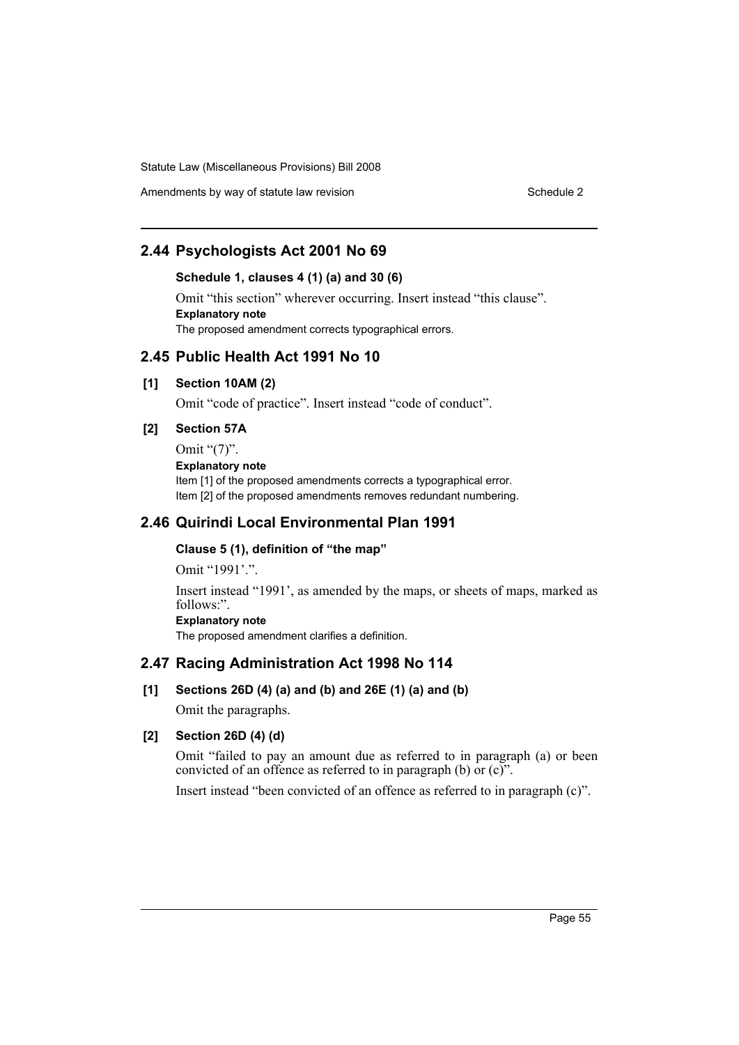Amendments by way of statute law revision Schedule 2 Schedule 2

## **2.44 Psychologists Act 2001 No 69**

## **Schedule 1, clauses 4 (1) (a) and 30 (6)**

Omit "this section" wherever occurring. Insert instead "this clause". **Explanatory note** The proposed amendment corrects typographical errors.

## **2.45 Public Health Act 1991 No 10**

#### **[1] Section 10AM (2)**

Omit "code of practice". Insert instead "code of conduct".

## **[2] Section 57A**

Omit "(7)". **Explanatory note** Item [1] of the proposed amendments corrects a typographical error. Item [2] of the proposed amendments removes redundant numbering.

## **2.46 Quirindi Local Environmental Plan 1991**

## **Clause 5 (1), definition of "the map"**

Omit "1991'.".

Insert instead "1991', as amended by the maps, or sheets of maps, marked as follows:".

# **Explanatory note**

The proposed amendment clarifies a definition.

## **2.47 Racing Administration Act 1998 No 114**

**[1] Sections 26D (4) (a) and (b) and 26E (1) (a) and (b)**

Omit the paragraphs.

#### **[2] Section 26D (4) (d)**

Omit "failed to pay an amount due as referred to in paragraph (a) or been convicted of an offence as referred to in paragraph (b) or  $(c)$ .

Insert instead "been convicted of an offence as referred to in paragraph (c)".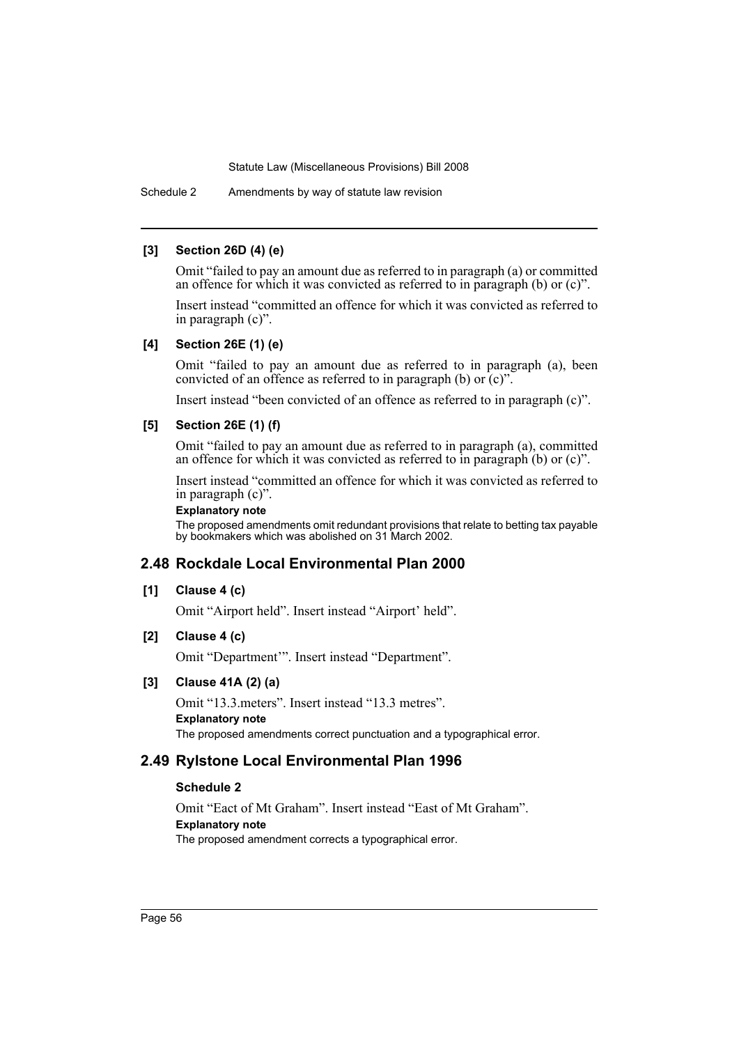Schedule 2 Amendments by way of statute law revision

#### **[3] Section 26D (4) (e)**

Omit "failed to pay an amount due as referred to in paragraph (a) or committed an offence for which it was convicted as referred to in paragraph (b) or  $(c)$ ".

Insert instead "committed an offence for which it was convicted as referred to in paragraph (c)".

#### **[4] Section 26E (1) (e)**

Omit "failed to pay an amount due as referred to in paragraph (a), been convicted of an offence as referred to in paragraph (b) or  $(c)$ ".

Insert instead "been convicted of an offence as referred to in paragraph (c)".

## **[5] Section 26E (1) (f)**

Omit "failed to pay an amount due as referred to in paragraph (a), committed an offence for which it was convicted as referred to in paragraph (b) or (c)".

Insert instead "committed an offence for which it was convicted as referred to in paragraph (c)".

## **Explanatory note**

The proposed amendments omit redundant provisions that relate to betting tax payable by bookmakers which was abolished on 31 March 2002.

## **2.48 Rockdale Local Environmental Plan 2000**

## **[1] Clause 4 (c)**

Omit "Airport held". Insert instead "Airport' held".

## **[2] Clause 4 (c)**

Omit "Department'". Insert instead "Department".

#### **[3] Clause 41A (2) (a)**

Omit "13.3.meters". Insert instead "13.3 metres". **Explanatory note** The proposed amendments correct punctuation and a typographical error.

## **2.49 Rylstone Local Environmental Plan 1996**

#### **Schedule 2**

Omit "Eact of Mt Graham". Insert instead "East of Mt Graham". **Explanatory note** The proposed amendment corrects a typographical error.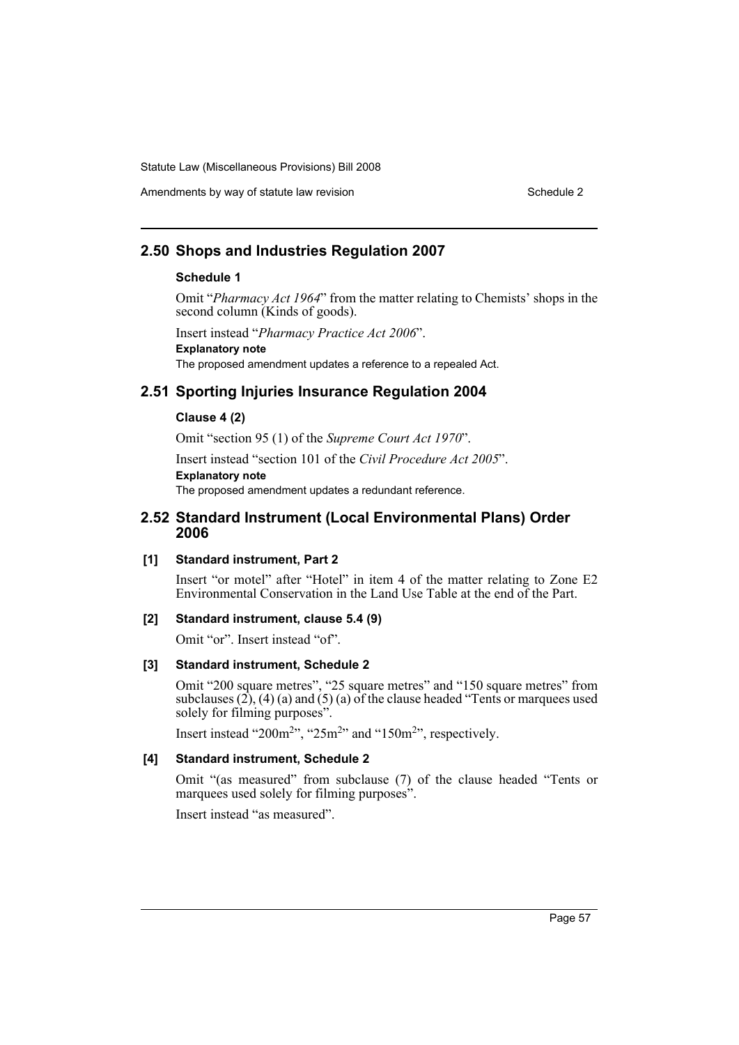## Amendments by way of statute law revision Schedule 2 Schedule 2

## **2.50 Shops and Industries Regulation 2007**

## **Schedule 1**

Omit "*Pharmacy Act 1964*" from the matter relating to Chemists' shops in the second column (Kinds of goods).

Insert instead "*Pharmacy Practice Act 2006*". **Explanatory note** The proposed amendment updates a reference to a repealed Act.

## **2.51 Sporting Injuries Insurance Regulation 2004**

#### **Clause 4 (2)**

Omit "section 95 (1) of the *Supreme Court Act 1970*".

Insert instead "section 101 of the *Civil Procedure Act 2005*". **Explanatory note**

The proposed amendment updates a redundant reference.

## **2.52 Standard Instrument (Local Environmental Plans) Order 2006**

#### **[1] Standard instrument, Part 2**

Insert "or motel" after "Hotel" in item 4 of the matter relating to Zone E2 Environmental Conservation in the Land Use Table at the end of the Part.

#### **[2] Standard instrument, clause 5.4 (9)**

Omit "or". Insert instead "of".

#### **[3] Standard instrument, Schedule 2**

Omit "200 square metres", "25 square metres" and "150 square metres" from subclauses (2), (4) (a) and (5) (a) of the clause headed "Tents or marquees used solely for filming purposes".

Insert instead "200 $m<sup>2</sup>$ ", "25 $m<sup>2</sup>$ " and "150 $m<sup>2</sup>$ ", respectively.

#### **[4] Standard instrument, Schedule 2**

Omit "(as measured" from subclause (7) of the clause headed "Tents or marquees used solely for filming purposes".

Insert instead "as measured".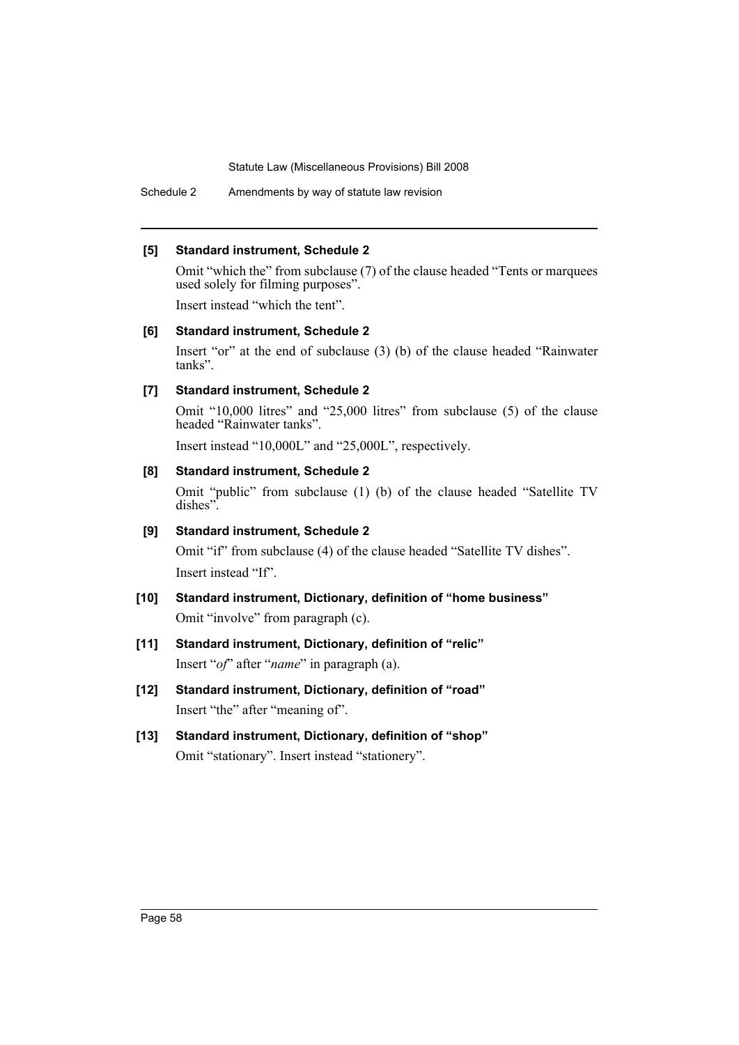Schedule 2 Amendments by way of statute law revision

#### **[5] Standard instrument, Schedule 2**

Omit "which the" from subclause (7) of the clause headed "Tents or marquees used solely for filming purposes".

Insert instead "which the tent".

## **[6] Standard instrument, Schedule 2**

Insert "or" at the end of subclause (3) (b) of the clause headed "Rainwater tanks".

## **[7] Standard instrument, Schedule 2**

Omit "10,000 litres" and "25,000 litres" from subclause (5) of the clause headed "Rainwater tanks".

Insert instead "10,000L" and "25,000L", respectively.

## **[8] Standard instrument, Schedule 2**

Omit "public" from subclause (1) (b) of the clause headed "Satellite TV dishes".

## **[9] Standard instrument, Schedule 2**

Omit "if" from subclause (4) of the clause headed "Satellite TV dishes". Insert instead "If".

- **[10] Standard instrument, Dictionary, definition of "home business"** Omit "involve" from paragraph (c).
- **[11] Standard instrument, Dictionary, definition of "relic"** Insert "*of*" after "*name*" in paragraph (a).
- **[12] Standard instrument, Dictionary, definition of "road"** Insert "the" after "meaning of".
- **[13] Standard instrument, Dictionary, definition of "shop"** Omit "stationary". Insert instead "stationery".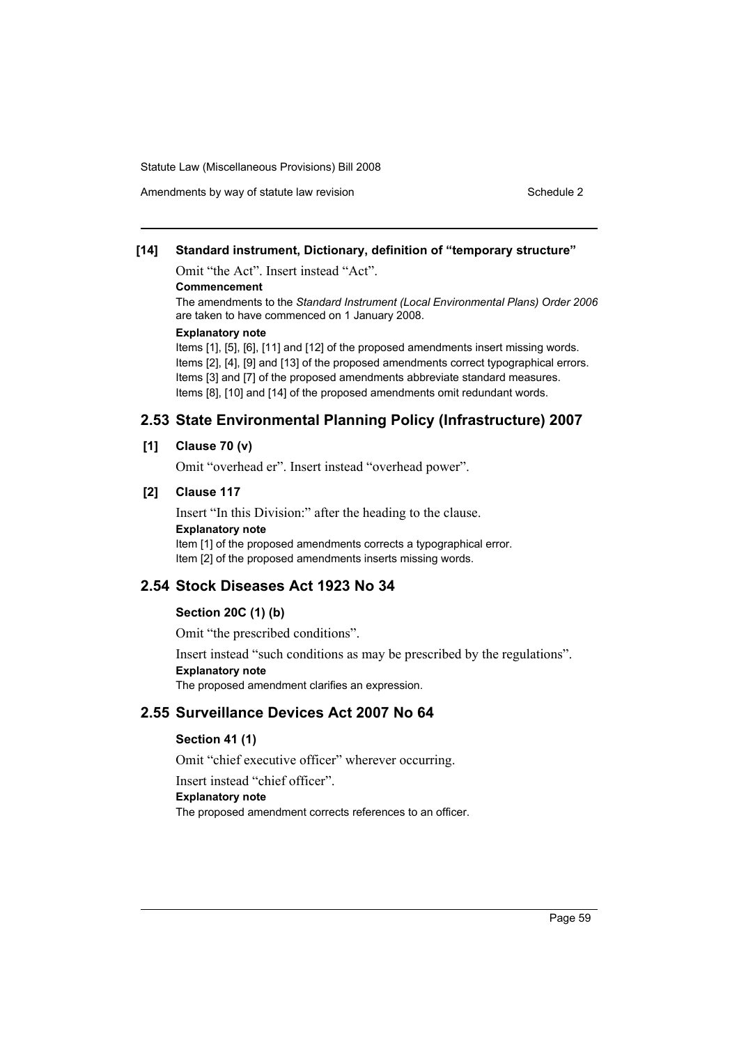## **[14] Standard instrument, Dictionary, definition of "temporary structure"**

Omit "the Act". Insert instead "Act".

#### **Commencement**

The amendments to the *Standard Instrument (Local Environmental Plans) Order 2006* are taken to have commenced on 1 January 2008.

#### **Explanatory note**

Items [1], [5], [6], [11] and [12] of the proposed amendments insert missing words. Items [2], [4], [9] and [13] of the proposed amendments correct typographical errors. Items [3] and [7] of the proposed amendments abbreviate standard measures. Items [8], [10] and [14] of the proposed amendments omit redundant words.

## **2.53 State Environmental Planning Policy (Infrastructure) 2007**

## **[1] Clause 70 (v)**

Omit "overhead er". Insert instead "overhead power".

#### **[2] Clause 117**

Insert "In this Division:" after the heading to the clause. **Explanatory note** Item [1] of the proposed amendments corrects a typographical error. Item [2] of the proposed amendments inserts missing words.

## **2.54 Stock Diseases Act 1923 No 34**

#### **Section 20C (1) (b)**

Omit "the prescribed conditions".

Insert instead "such conditions as may be prescribed by the regulations". **Explanatory note**

The proposed amendment clarifies an expression.

## **2.55 Surveillance Devices Act 2007 No 64**

## **Section 41 (1)**

Omit "chief executive officer" wherever occurring.

Insert instead "chief officer".

**Explanatory note**

The proposed amendment corrects references to an officer.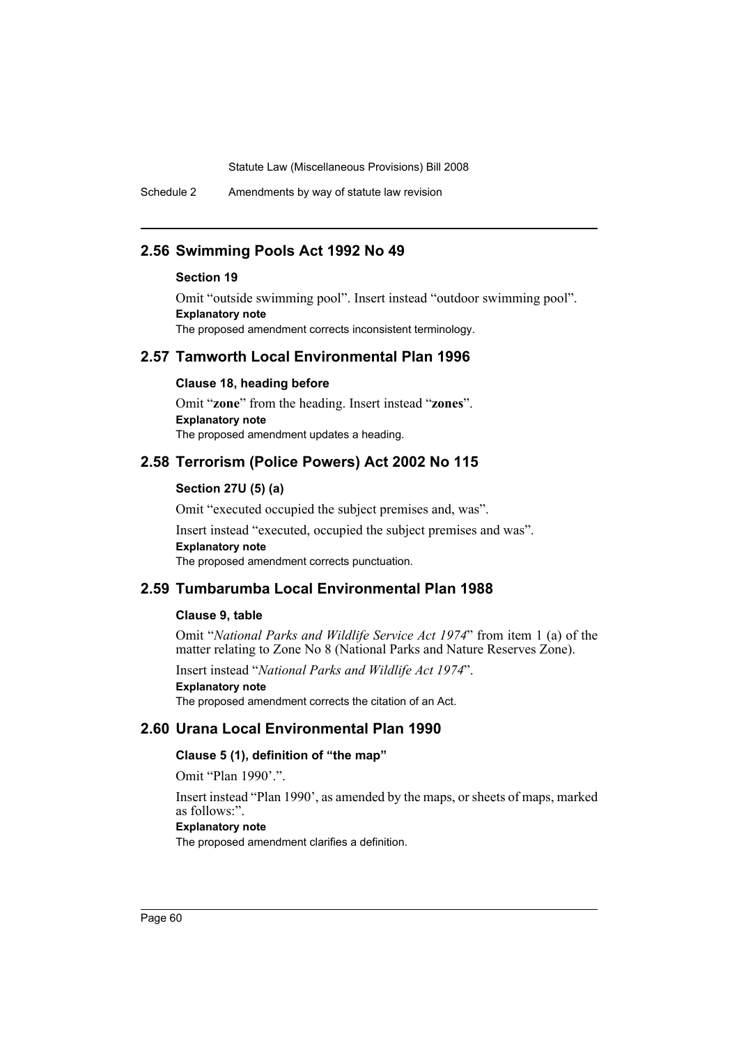Schedule 2 Amendments by way of statute law revision

## **2.56 Swimming Pools Act 1992 No 49**

#### **Section 19**

Omit "outside swimming pool". Insert instead "outdoor swimming pool". **Explanatory note** The proposed amendment corrects inconsistent terminology.

## **2.57 Tamworth Local Environmental Plan 1996**

#### **Clause 18, heading before**

Omit "**zone**" from the heading. Insert instead "**zones**". **Explanatory note** The proposed amendment updates a heading.

## **2.58 Terrorism (Police Powers) Act 2002 No 115**

#### **Section 27U (5) (a)**

Omit "executed occupied the subject premises and, was".

Insert instead "executed, occupied the subject premises and was". **Explanatory note** The proposed amendment corrects punctuation.

## **2.59 Tumbarumba Local Environmental Plan 1988**

#### **Clause 9, table**

Omit "*National Parks and Wildlife Service Act 1974*" from item 1 (a) of the matter relating to Zone No 8 (National Parks and Nature Reserves Zone).

Insert instead "*National Parks and Wildlife Act 1974*".

## **Explanatory note**

The proposed amendment corrects the citation of an Act.

## **2.60 Urana Local Environmental Plan 1990**

## **Clause 5 (1), definition of "the map"**

Omit "Plan 1990'.".

Insert instead "Plan 1990', as amended by the maps, or sheets of maps, marked as follows:".

## **Explanatory note**

The proposed amendment clarifies a definition.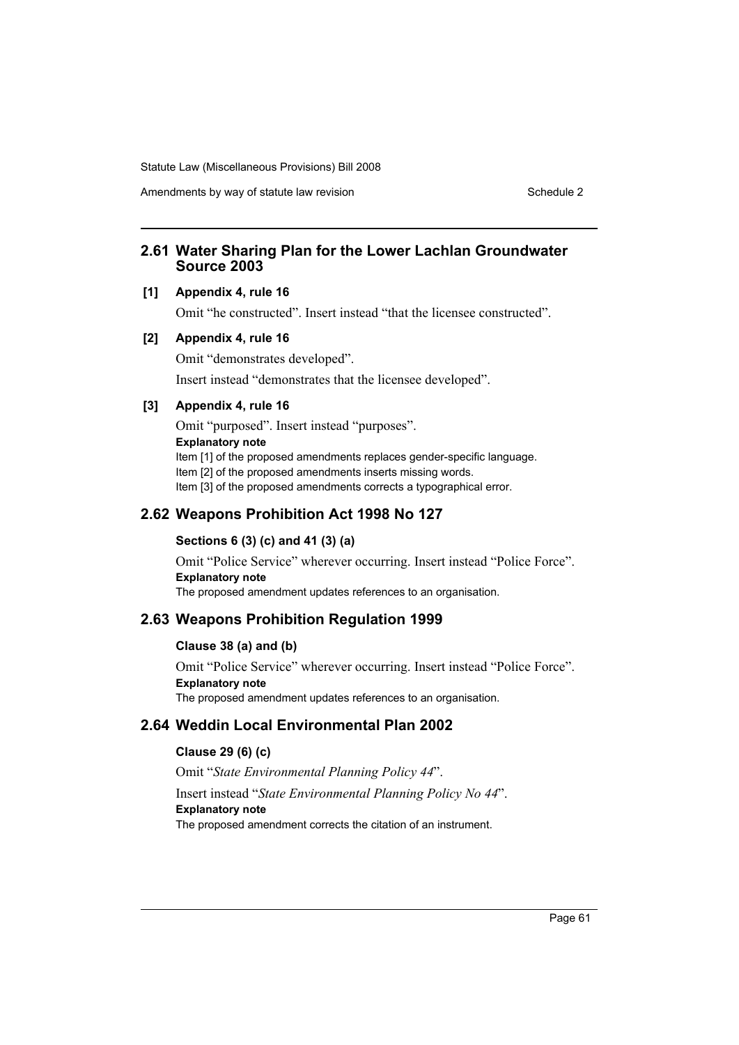Amendments by way of statute law revision Schedule 2 Schedule 2

## **2.61 Water Sharing Plan for the Lower Lachlan Groundwater Source 2003**

## **[1] Appendix 4, rule 16**

Omit "he constructed". Insert instead "that the licensee constructed".

#### **[2] Appendix 4, rule 16**

Omit "demonstrates developed".

Insert instead "demonstrates that the licensee developed".

#### **[3] Appendix 4, rule 16**

Omit "purposed". Insert instead "purposes". **Explanatory note** Item [1] of the proposed amendments replaces gender-specific language. Item [2] of the proposed amendments inserts missing words. Item [3] of the proposed amendments corrects a typographical error.

## **2.62 Weapons Prohibition Act 1998 No 127**

## **Sections 6 (3) (c) and 41 (3) (a)**

Omit "Police Service" wherever occurring. Insert instead "Police Force". **Explanatory note** The proposed amendment updates references to an organisation.

## **2.63 Weapons Prohibition Regulation 1999**

#### **Clause 38 (a) and (b)**

Omit "Police Service" wherever occurring. Insert instead "Police Force". **Explanatory note** The proposed amendment updates references to an organisation.

## **2.64 Weddin Local Environmental Plan 2002**

## **Clause 29 (6) (c)**

Omit "*State Environmental Planning Policy 44*". Insert instead "*State Environmental Planning Policy No 44*". **Explanatory note** The proposed amendment corrects the citation of an instrument.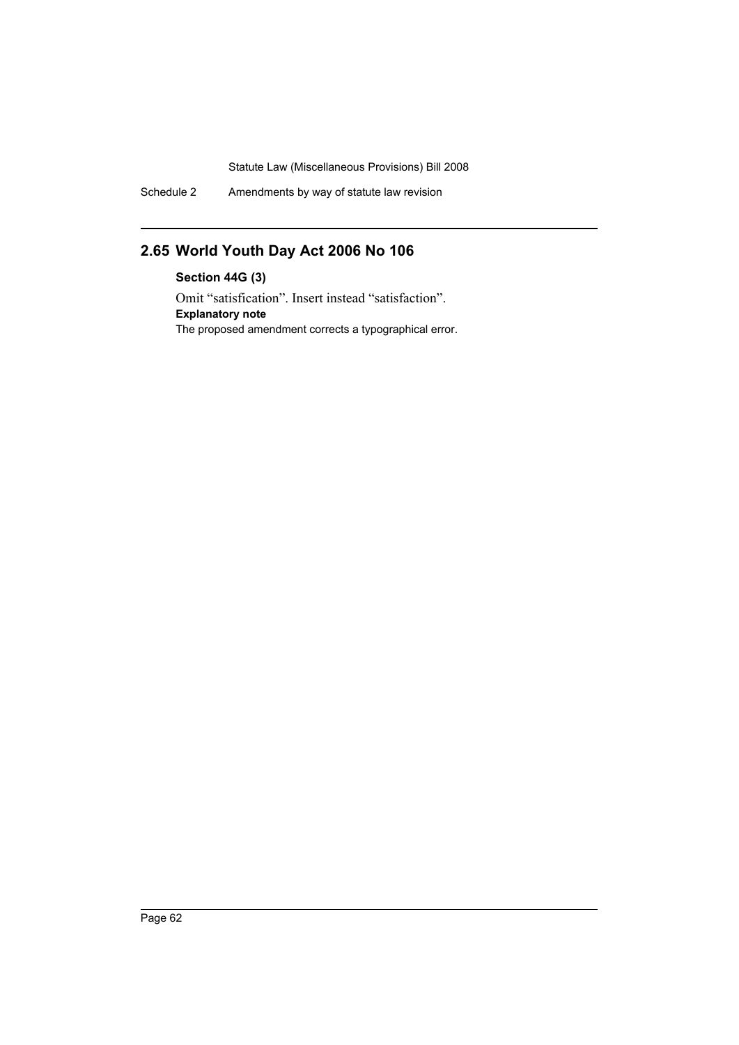Schedule 2 Amendments by way of statute law revision

# **2.65 World Youth Day Act 2006 No 106**

**Section 44G (3)** Omit "satisfication". Insert instead "satisfaction". **Explanatory note** The proposed amendment corrects a typographical error.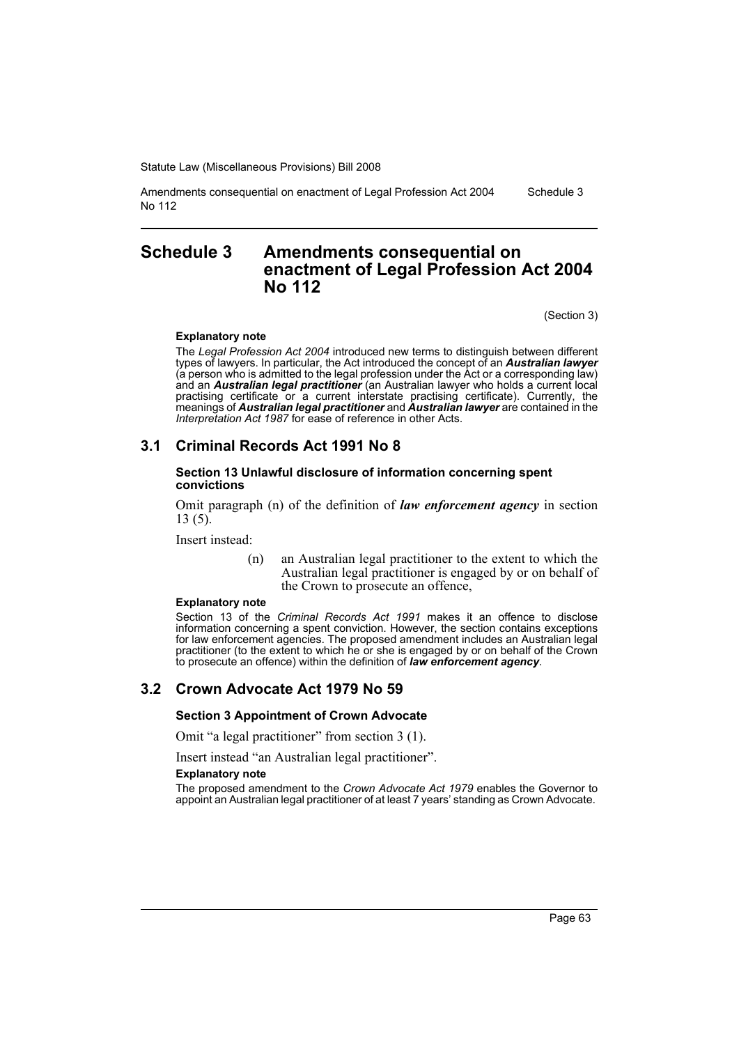Amendments consequential on enactment of Legal Profession Act 2004 No 112 Schedule 3

## **Schedule 3 Amendments consequential on enactment of Legal Profession Act 2004 No 112**

(Section 3)

#### **Explanatory note**

The *Legal Profession Act 2004* introduced new terms to distinguish between different types of lawyers. In particular, the Act introduced the concept of an *Australian lawyer* (a person who is admitted to the legal profession under the Act or a corresponding law) and an *Australian legal practitioner* (an Australian lawyer who holds a current local practising certificate or a current interstate practising certificate). Currently, the meanings of *Australian legal practitioner* and *Australian lawyer* are contained in the *Interpretation Act 1987* for ease of reference in other Acts.

## **3.1 Criminal Records Act 1991 No 8**

#### **Section 13 Unlawful disclosure of information concerning spent convictions**

Omit paragraph (n) of the definition of *law enforcement agency* in section 13 (5).

Insert instead:

(n) an Australian legal practitioner to the extent to which the Australian legal practitioner is engaged by or on behalf of the Crown to prosecute an offence,

#### **Explanatory note**

Section 13 of the *Criminal Records Act 1991* makes it an offence to disclose information concerning a spent conviction. However, the section contains exceptions for law enforcement agencies. The proposed amendment includes an Australian legal practitioner (to the extent to which he or she is engaged by or on behalf of the Crown to prosecute an offence) within the definition of *law enforcement agency*.

## **3.2 Crown Advocate Act 1979 No 59**

**Section 3 Appointment of Crown Advocate**

Omit "a legal practitioner" from section 3 (1).

Insert instead "an Australian legal practitioner".

#### **Explanatory note**

The proposed amendment to the *Crown Advocate Act 1979* enables the Governor to appoint an Australian legal practitioner of at least 7 years' standing as Crown Advocate.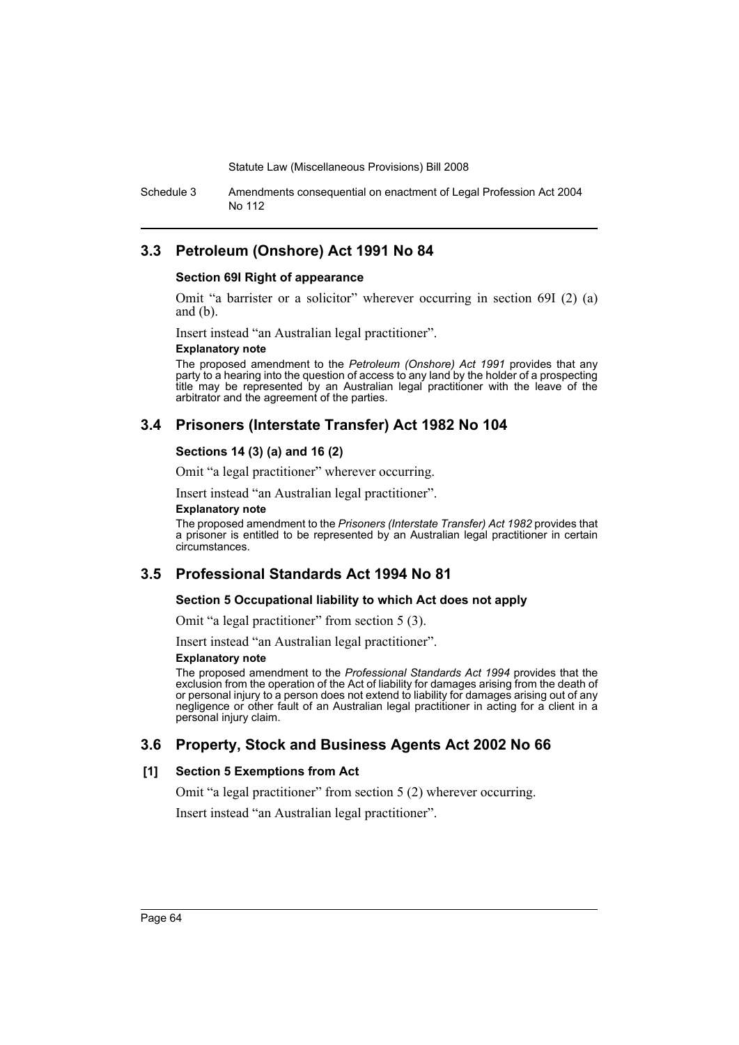Schedule 3 Amendments consequential on enactment of Legal Profession Act 2004 No 112

## **3.3 Petroleum (Onshore) Act 1991 No 84**

#### **Section 69I Right of appearance**

Omit "a barrister or a solicitor" wherever occurring in section 69I (2) (a) and (b).

Insert instead "an Australian legal practitioner".

#### **Explanatory note**

The proposed amendment to the *Petroleum (Onshore) Act 1991* provides that any party to a hearing into the question of access to any land by the holder of a prospecting title may be represented by an Australian legal practitioner with the leave of the arbitrator and the agreement of the parties.

## **3.4 Prisoners (Interstate Transfer) Act 1982 No 104**

#### **Sections 14 (3) (a) and 16 (2)**

Omit "a legal practitioner" wherever occurring.

Insert instead "an Australian legal practitioner".

#### **Explanatory note**

The proposed amendment to the *Prisoners (Interstate Transfer) Act 1982* provides that a prisoner is entitled to be represented by an Australian legal practitioner in certain circumstances.

## **3.5 Professional Standards Act 1994 No 81**

#### **Section 5 Occupational liability to which Act does not apply**

Omit "a legal practitioner" from section 5 (3).

Insert instead "an Australian legal practitioner".

#### **Explanatory note**

The proposed amendment to the *Professional Standards Act 1994* provides that the exclusion from the operation of the Act of liability for damages arising from the death of or personal injury to a person does not extend to liability for damages arising out of any negligence or other fault of an Australian legal practitioner in acting for a client in a personal injury claim.

## **3.6 Property, Stock and Business Agents Act 2002 No 66**

#### **[1] Section 5 Exemptions from Act**

Omit "a legal practitioner" from section 5 (2) wherever occurring.

Insert instead "an Australian legal practitioner".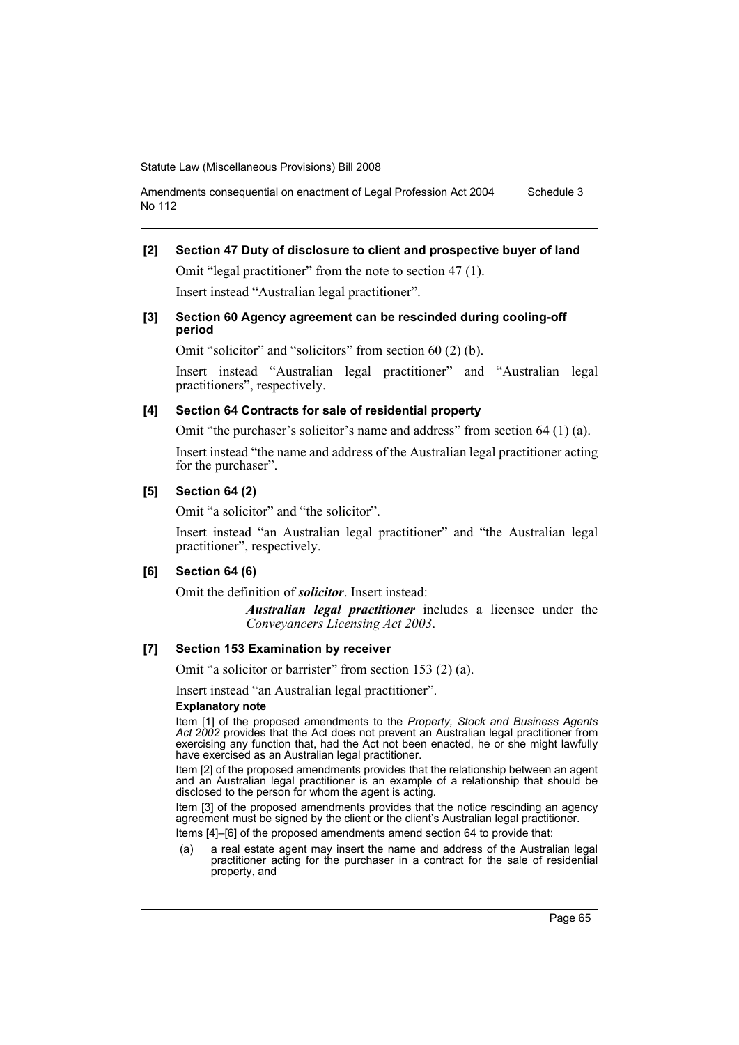```
Amendments consequential on enactment of Legal Profession Act 2004 
No 112
                                                                        Schedule 3
```
### **[2] Section 47 Duty of disclosure to client and prospective buyer of land**

Omit "legal practitioner" from the note to section 47 (1). Insert instead "Australian legal practitioner".

#### **[3] Section 60 Agency agreement can be rescinded during cooling-off period**

Omit "solicitor" and "solicitors" from section 60 (2) (b).

Insert instead "Australian legal practitioner" and "Australian legal practitioners", respectively.

#### **[4] Section 64 Contracts for sale of residential property**

Omit "the purchaser's solicitor's name and address" from section 64 (1) (a).

Insert instead "the name and address of the Australian legal practitioner acting for the purchaser".

### **[5] Section 64 (2)**

Omit "a solicitor" and "the solicitor".

Insert instead "an Australian legal practitioner" and "the Australian legal practitioner", respectively.

#### **[6] Section 64 (6)**

Omit the definition of *solicitor*. Insert instead:

*Australian legal practitioner* includes a licensee under the *Conveyancers Licensing Act 2003*.

#### **[7] Section 153 Examination by receiver**

Omit "a solicitor or barrister" from section 153 (2) (a).

Insert instead "an Australian legal practitioner".

#### **Explanatory note**

Item [1] of the proposed amendments to the *Property, Stock and Business Agents Act 2002* provides that the Act does not prevent an Australian legal practitioner from exercising any function that, had the Act not been enacted, he or she might lawfully have exercised as an Australian legal practitioner.

Item [2] of the proposed amendments provides that the relationship between an agent and an Australian legal practitioner is an example of a relationship that should be disclosed to the person for whom the agent is acting.

Item [3] of the proposed amendments provides that the notice rescinding an agency agreement must be signed by the client or the client's Australian legal practitioner.

Items [4]–[6] of the proposed amendments amend section 64 to provide that:

(a) a real estate agent may insert the name and address of the Australian legal practitioner acting for the purchaser in a contract for the sale of residential property, and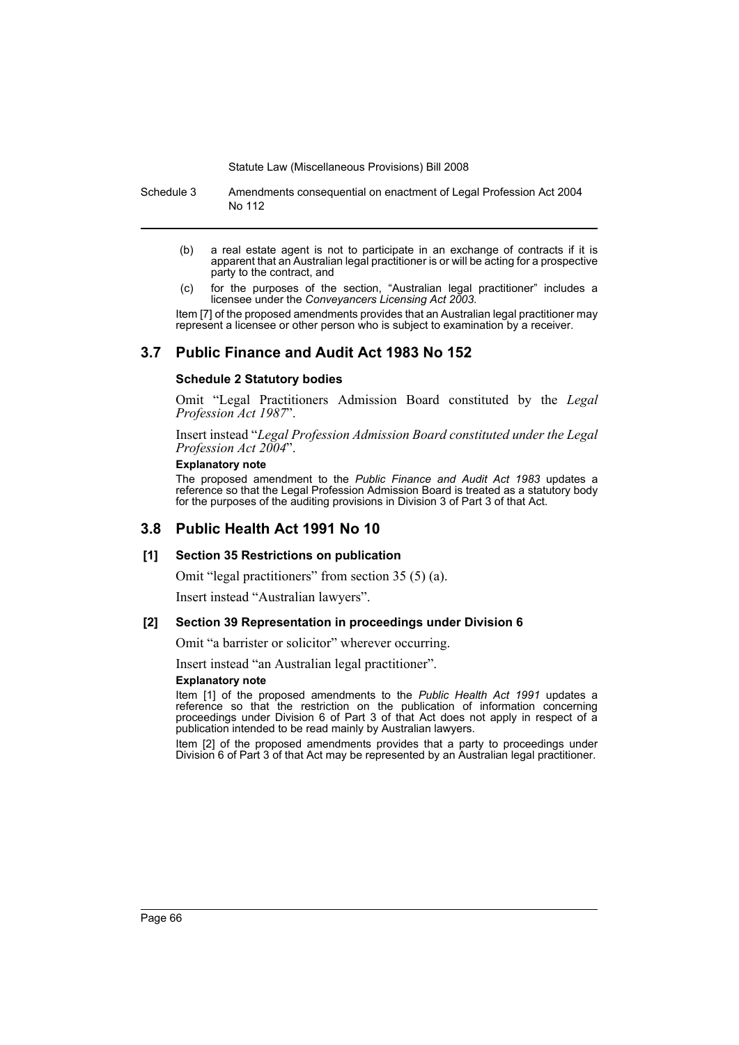Schedule 3 Amendments consequential on enactment of Legal Profession Act 2004 No 112

- (b) a real estate agent is not to participate in an exchange of contracts if it is apparent that an Australian legal practitioner is or will be acting for a prospective party to the contract, and
- (c) for the purposes of the section, "Australian legal practitioner" includes a licensee under the *Conveyancers Licensing Act 2003*.

Item [7] of the proposed amendments provides that an Australian legal practitioner may represent a licensee or other person who is subject to examination by a receiver.

## **3.7 Public Finance and Audit Act 1983 No 152**

#### **Schedule 2 Statutory bodies**

Omit "Legal Practitioners Admission Board constituted by the *Legal Profession Act 1987*".

Insert instead "*Legal Profession Admission Board constituted under the Legal Profession Act 2004*".

#### **Explanatory note**

The proposed amendment to the *Public Finance and Audit Act 1983* updates a reference so that the Legal Profession Admission Board is treated as a statutory body for the purposes of the auditing provisions in Division 3 of Part 3 of that Act.

## **3.8 Public Health Act 1991 No 10**

#### **[1] Section 35 Restrictions on publication**

Omit "legal practitioners" from section 35 (5) (a).

Insert instead "Australian lawyers".

#### **[2] Section 39 Representation in proceedings under Division 6**

Omit "a barrister or solicitor" wherever occurring.

Insert instead "an Australian legal practitioner". **Explanatory note**

Item [1] of the proposed amendments to the *Public Health Act 1991* updates a reference so that the restriction on the publication of information concerning proceedings under Division 6 of Part 3 of that Act does not apply in respect of a publication intended to be read mainly by Australian lawyers.

Item [2] of the proposed amendments provides that a party to proceedings under Division 6 of Part 3 of that Act may be represented by an Australian legal practitioner.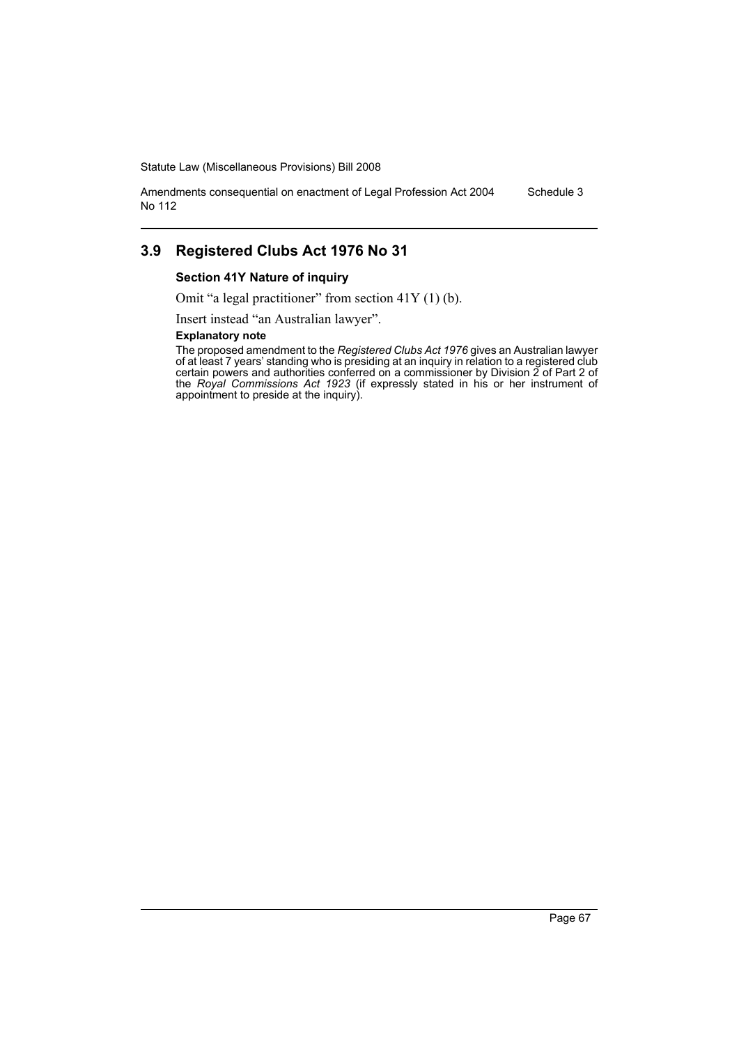Amendments consequential on enactment of Legal Profession Act 2004 No 112 Schedule 3

## **3.9 Registered Clubs Act 1976 No 31**

#### **Section 41Y Nature of inquiry**

Omit "a legal practitioner" from section 41Y (1) (b).

Insert instead "an Australian lawyer".

#### **Explanatory note**

The proposed amendment to the *Registered Clubs Act 1976* gives an Australian lawyer of at least 7 years' standing who is presiding at an inquiry in relation to a registered club certain powers and authorities conferred on a commissioner by Division 2 of Part 2 of the *Royal Commissions Act 1923* (if expressly stated in his or her instrument of appointment to preside at the inquiry).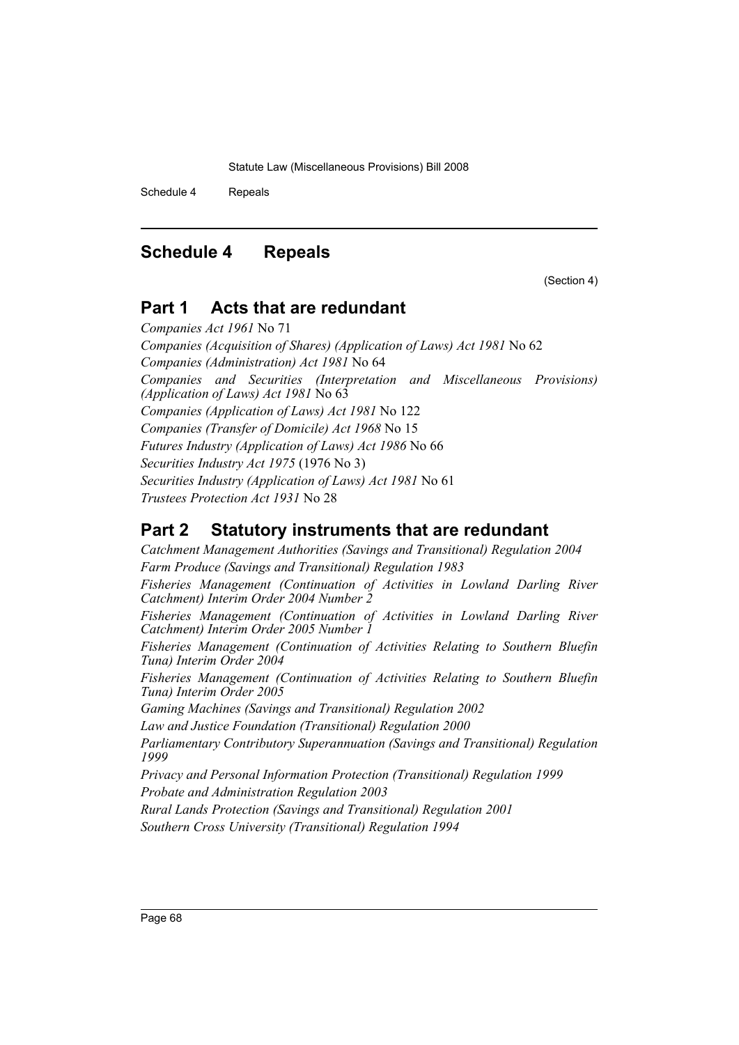Schedule 4 Repeals

# **Schedule 4 Repeals**

(Section 4)

# **Part 1 Acts that are redundant**

*Companies Act 1961* No 71 *Companies (Acquisition of Shares) (Application of Laws) Act 1981* No 62 *Companies (Administration) Act 1981* No 64 *Companies and Securities (Interpretation and Miscellaneous Provisions) (Application of Laws) Act 1981* No 63 *Companies (Application of Laws) Act 1981* No 122 *Companies (Transfer of Domicile) Act 1968* No 15 *Futures Industry (Application of Laws) Act 1986* No 66 *Securities Industry Act 1975* (1976 No 3) *Securities Industry (Application of Laws) Act 1981* No 61 *Trustees Protection Act 1931* No 28

# **Part 2 Statutory instruments that are redundant**

*Catchment Management Authorities (Savings and Transitional) Regulation 2004 Farm Produce (Savings and Transitional) Regulation 1983 Fisheries Management (Continuation of Activities in Lowland Darling River Catchment) Interim Order 2004 Number 2 Fisheries Management (Continuation of Activities in Lowland Darling River Catchment) Interim Order 2005 Number 1 Fisheries Management (Continuation of Activities Relating to Southern Bluefin Tuna) Interim Order 2004 Fisheries Management (Continuation of Activities Relating to Southern Bluefin Tuna) Interim Order 2005 Gaming Machines (Savings and Transitional) Regulation 2002 Law and Justice Foundation (Transitional) Regulation 2000 Parliamentary Contributory Superannuation (Savings and Transitional) Regulation 1999 Privacy and Personal Information Protection (Transitional) Regulation 1999 Probate and Administration Regulation 2003 Rural Lands Protection (Savings and Transitional) Regulation 2001 Southern Cross University (Transitional) Regulation 1994*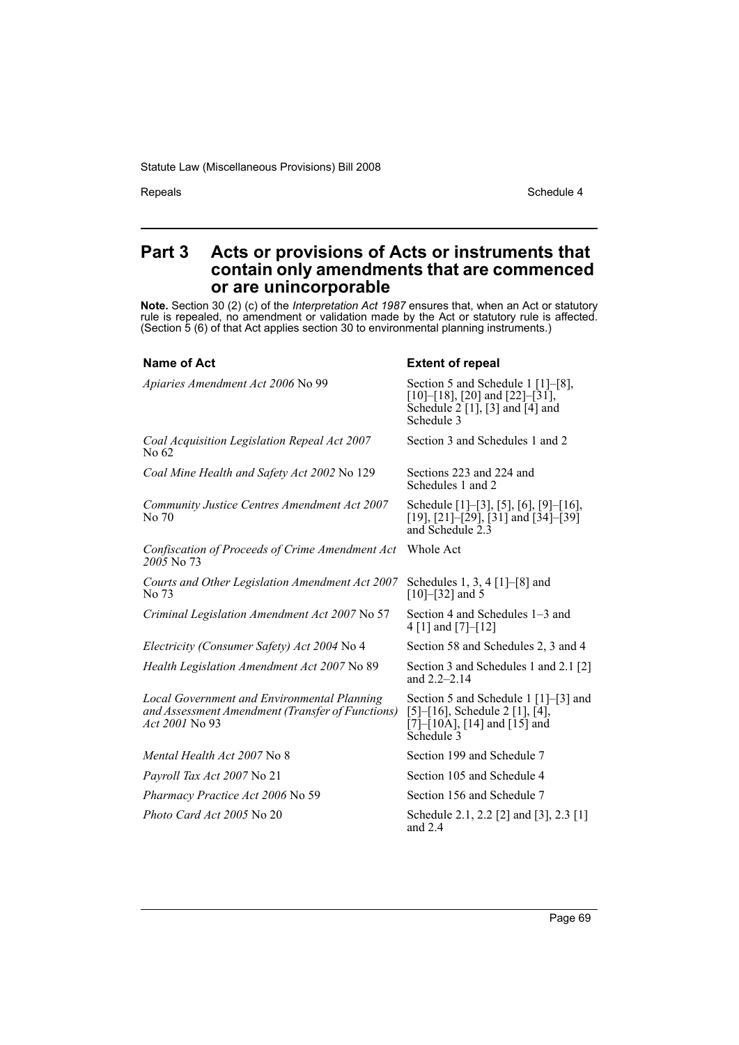Repeals Schedule 4

## **Part 3 Acts or provisions of Acts or instruments that contain only amendments that are commenced or are unincorporable**

**Note.** Section 30 (2) (c) of the *Interpretation Act 1987* ensures that, when an Act or statutory rule is repealed, no amendment or validation made by the Act or statutory rule is affected. (Section 5 (6) of that Act applies section 30 to environmental planning instruments.)

#### **Name of Act** Extent of repeal

| Apiaries Amendment Act 2006 No 99                                                                                               | Section 5 and Schedule 1 [1]–[8],<br>$[10]$ – $[18]$ , $[20]$ and $[22]$ – $[31]$ ,<br>Schedule $2$ [1], [3] and [4] and<br>Schedule 3                                                          |
|---------------------------------------------------------------------------------------------------------------------------------|-------------------------------------------------------------------------------------------------------------------------------------------------------------------------------------------------|
| Coal Acquisition Legislation Repeal Act 2007<br>No 62                                                                           | Section 3 and Schedules 1 and 2                                                                                                                                                                 |
| Coal Mine Health and Safety Act 2002 No 129                                                                                     | Sections 223 and 224 and<br>Schedules 1 and 2                                                                                                                                                   |
| Community Justice Centres Amendment Act 2007<br>No 70                                                                           | Schedule [1]-[3], [5], [6], [9]-[16],<br>$[19]$ , $[21]$ – $[29]$ , $[31]$ and $[34]$ – $[39]$<br>and Schedule 2.3                                                                              |
| Confiscation of Proceeds of Crime Amendment Act<br>2005 No 73                                                                   | Whole Act                                                                                                                                                                                       |
| Courts and Other Legislation Amendment Act 2007<br>No 73                                                                        | Schedules 1, 3, 4 $[1]$ – $[8]$ and<br>$[10]$ – $[32]$ and 5                                                                                                                                    |
| Criminal Legislation Amendment Act 2007 No 57                                                                                   | Section 4 and Schedules 1–3 and<br>4 [1] and [7]-[12]                                                                                                                                           |
| Electricity (Consumer Safety) Act 2004 No 4                                                                                     | Section 58 and Schedules 2, 3 and 4                                                                                                                                                             |
| Health Legislation Amendment Act 2007 No 89                                                                                     | Section 3 and Schedules 1 and 2.1 [2]<br>and $2.2 - 2.14$                                                                                                                                       |
| <b>Local Government and Environmental Planning</b><br>and Assessment Amendment (Transfer of Functions)<br><i>Act 2001</i> No 93 | Section 5 and Schedule 1 [1]–[3] and<br>$[5]$ – $[16]$ , Schedule 2 $[1]$ , $[4]$ ,<br>$\left[7\right]$ - $\left[10\text{A}\right]$ , $\left[14\right]$ and $\left[15\right]$ and<br>Schedule 3 |
| Mental Health Act 2007 No 8                                                                                                     | Section 199 and Schedule 7                                                                                                                                                                      |
| <i>Payroll Tax Act 2007</i> No 21                                                                                               | Section 105 and Schedule 4                                                                                                                                                                      |
| Pharmacy Practice Act 2006 No 59                                                                                                | Section 156 and Schedule 7                                                                                                                                                                      |
| <i>Photo Card Act 2005</i> No 20                                                                                                | Schedule 2.1, 2.2 [2] and [3], 2.3 [1]<br>and $2.4$                                                                                                                                             |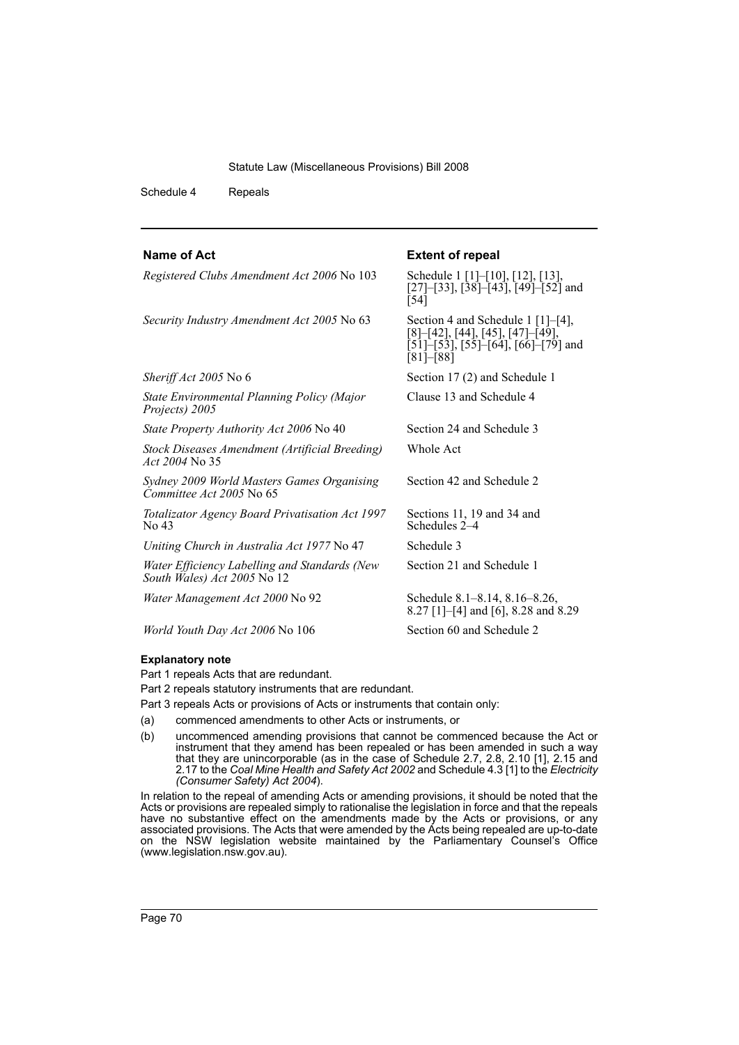*Registered Clubs Amendment Act 2006* No 103 Schedule 1 [1]–[10], [12], [13],

Schedule 4 Repeals

**Name of Act Extent of repeal** 

 $\bar{[}54\bar{]}$ 

[81]–[88]

Whole Act

Schedules 2-4

[27]–[33], [38]–[43], [49]–[52] and

[8]–[42], [44], [45], [47]–[49],  $[51]$ – $[53]$ ,  $[55]$ – $[64]$ ,  $[66]$ – $[79]$  and

Clause 13 and Schedule 4

Section 42 and Schedule 2

Sections 11, 19 and 34 and

Section 21 and Schedule 1

8.27 [1]–[4] and [6], 8.28 and 8.29

*Security Industry Amendment Act 2005* No 63 Section 4 and Schedule 1 [1]–[4],

*Sheriff Act 2005* No 6 Section 17 (2) and Schedule 1

*State Environmental Planning Policy (Major Projects) 2005*

*State Property Authority Act 2006* No 40 Section 24 and Schedule 3

*Stock Diseases Amendment (Artificial Breeding) Act 2004* No 35

*Sydney 2009 World Masters Games Organising Committee Act 2005* No 65

*Totalizator Agency Board Privatisation Act 1997* No 43

*Uniting Church in Australia Act 1977* No 47 Schedule 3

*Water Efficiency Labelling and Standards (New South Wales) Act 2005* No 12

*Water Management Act 2000* No 92 Schedule 8.1–8.14, 8.16–8.26,

*World Youth Day Act 2006* No 106 Section 60 and Schedule 2

#### **Explanatory note**

Part 1 repeals Acts that are redundant.

Part 2 repeals statutory instruments that are redundant.

Part 3 repeals Acts or provisions of Acts or instruments that contain only:

- (a) commenced amendments to other Acts or instruments, or
- (b) uncommenced amending provisions that cannot be commenced because the Act or instrument that they amend has been repealed or has been amended in such a way that they are unincorporable (as in the case of Schedule 2.7, 2.8, 2.10 [1], 2.15 and 2.17 to the *Coal Mine Health and Safety Act 2002* and Schedule 4.3 [1] to the *Electricity (Consumer Safety) Act 2004*).

In relation to the repeal of amending Acts or amending provisions, it should be noted that the Acts or provisions are repealed simply to rationalise the legislation in force and that the repeals have no substantive effect on the amendments made by the Acts or provisions, or any associated provisions. The Acts that were amended by the Acts being repealed are up-to-date on the NSW legislation website maintained by the Parliamentary Counsel's Office (www.legislation.nsw.gov.au).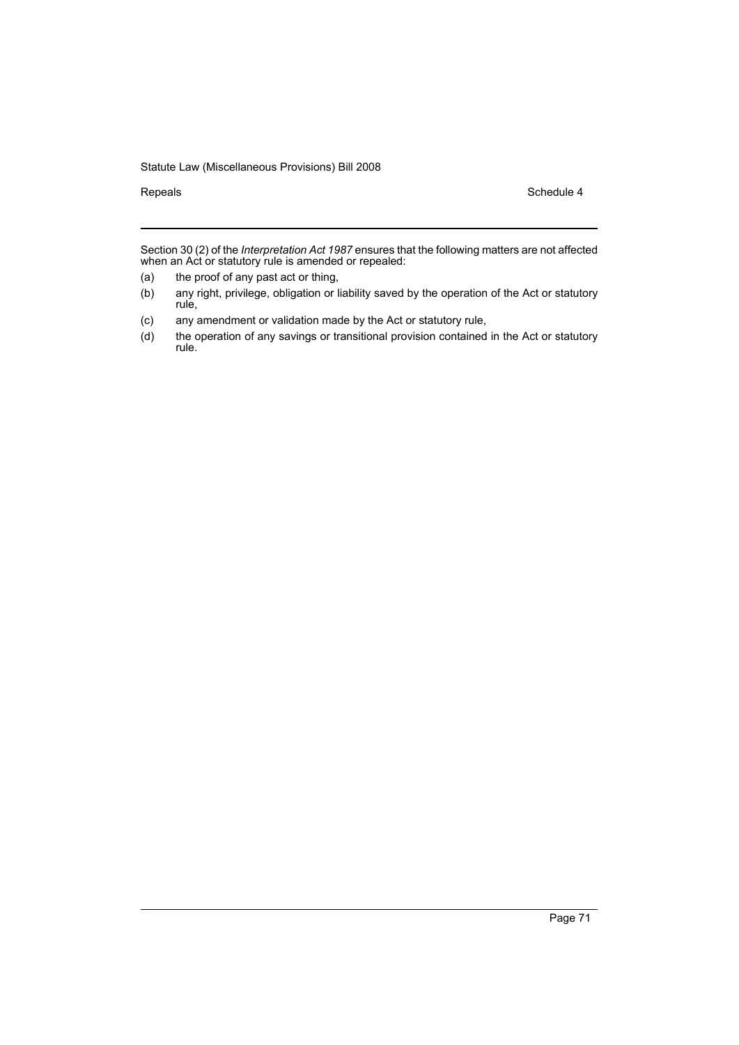Repeals Schedule 4

Section 30 (2) of the *Interpretation Act 1987* ensures that the following matters are not affected when an Act or statutory rule is amended or repealed:

- (a) the proof of any past act or thing,
- (b) any right, privilege, obligation or liability saved by the operation of the Act or statutory rule,
- (c) any amendment or validation made by the Act or statutory rule,
- (d) the operation of any savings or transitional provision contained in the Act or statutory rule.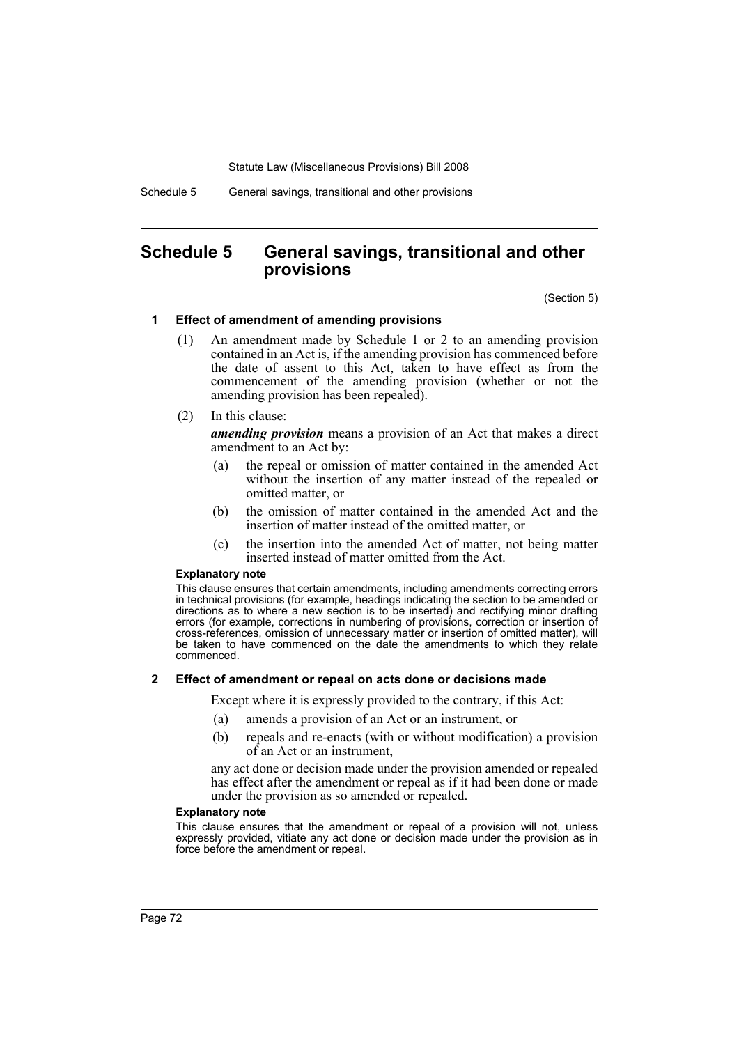Schedule 5 General savings, transitional and other provisions

# **Schedule 5 General savings, transitional and other provisions**

(Section 5)

# **1 Effect of amendment of amending provisions**

- (1) An amendment made by Schedule 1 or 2 to an amending provision contained in an Act is, if the amending provision has commenced before the date of assent to this Act, taken to have effect as from the commencement of the amending provision (whether or not the amending provision has been repealed).
- (2) In this clause:

*amending provision* means a provision of an Act that makes a direct amendment to an Act by:

- (a) the repeal or omission of matter contained in the amended Act without the insertion of any matter instead of the repealed or omitted matter, or
- (b) the omission of matter contained in the amended Act and the insertion of matter instead of the omitted matter, or
- (c) the insertion into the amended Act of matter, not being matter inserted instead of matter omitted from the Act.

### **Explanatory note**

This clause ensures that certain amendments, including amendments correcting errors in technical provisions (for example, headings indicating the section to be amended or directions as to where a new section is to be inserted) and rectifying minor drafting errors (for example, corrections in numbering of provisions, correction or insertion of cross-references, omission of unnecessary matter or insertion of omitted matter), will be taken to have commenced on the date the amendments to which they relate commenced.

# **2 Effect of amendment or repeal on acts done or decisions made**

Except where it is expressly provided to the contrary, if this Act:

- (a) amends a provision of an Act or an instrument, or
- (b) repeals and re-enacts (with or without modification) a provision of an Act or an instrument,

any act done or decision made under the provision amended or repealed has effect after the amendment or repeal as if it had been done or made under the provision as so amended or repealed.

### **Explanatory note**

This clause ensures that the amendment or repeal of a provision will not, unless expressly provided, vitiate any act done or decision made under the provision as in force before the amendment or repeal.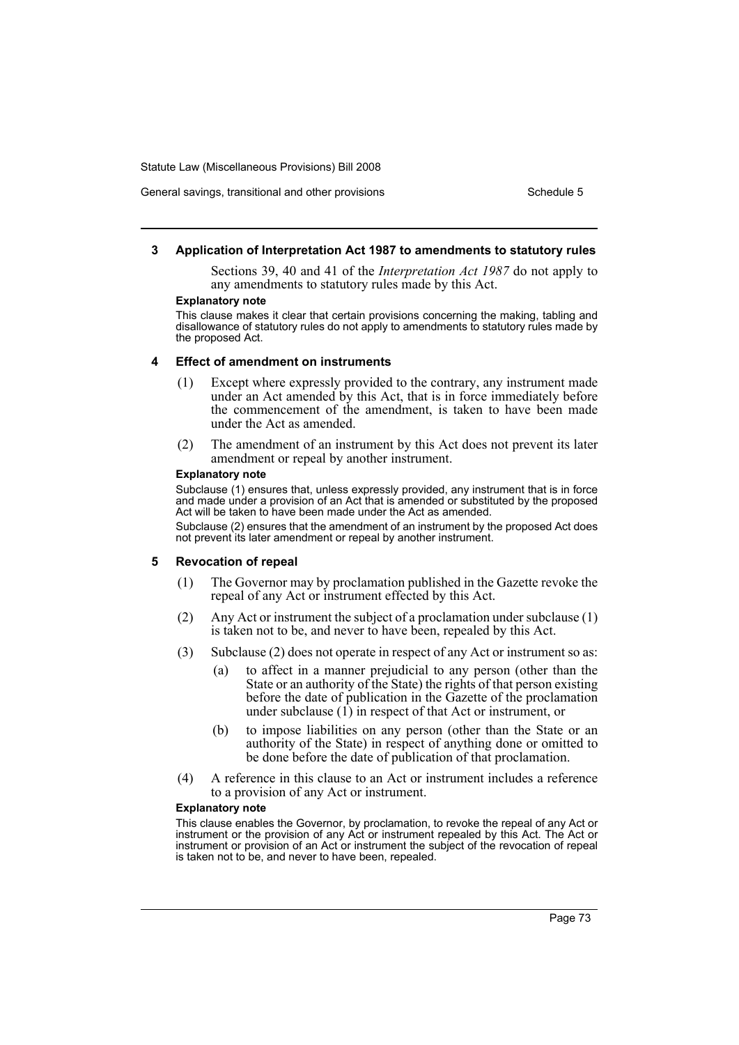# General savings, transitional and other provisions Schedule 5

# **3 Application of Interpretation Act 1987 to amendments to statutory rules**

Sections 39, 40 and 41 of the *Interpretation Act 1987* do not apply to any amendments to statutory rules made by this Act.

#### **Explanatory note**

This clause makes it clear that certain provisions concerning the making, tabling and disallowance of statutory rules do not apply to amendments to statutory rules made by the proposed Act.

### **4 Effect of amendment on instruments**

- (1) Except where expressly provided to the contrary, any instrument made under an Act amended by this Act, that is in force immediately before the commencement of the amendment, is taken to have been made under the Act as amended.
- (2) The amendment of an instrument by this Act does not prevent its later amendment or repeal by another instrument.

#### **Explanatory note**

Subclause (1) ensures that, unless expressly provided, any instrument that is in force and made under a provision of an Act that is amended or substituted by the proposed Act will be taken to have been made under the Act as amended.

Subclause (2) ensures that the amendment of an instrument by the proposed Act does not prevent its later amendment or repeal by another instrument.

# **5 Revocation of repeal**

- (1) The Governor may by proclamation published in the Gazette revoke the repeal of any Act or instrument effected by this Act.
- (2) Any Act or instrument the subject of a proclamation under subclause (1) is taken not to be, and never to have been, repealed by this Act.
- (3) Subclause (2) does not operate in respect of any Act or instrument so as:
	- (a) to affect in a manner prejudicial to any person (other than the State or an authority of the State) the rights of that person existing before the date of publication in the Gazette of the proclamation under subclause  $(1)$  in respect of that Act or instrument, or
	- (b) to impose liabilities on any person (other than the State or an authority of the State) in respect of anything done or omitted to be done before the date of publication of that proclamation.
- (4) A reference in this clause to an Act or instrument includes a reference to a provision of any Act or instrument.

#### **Explanatory note**

This clause enables the Governor, by proclamation, to revoke the repeal of any Act or instrument or the provision of any Act or instrument repealed by this Act. The Act or instrument or provision of an Act or instrument the subject of the revocation of repeal is taken not to be, and never to have been, repealed.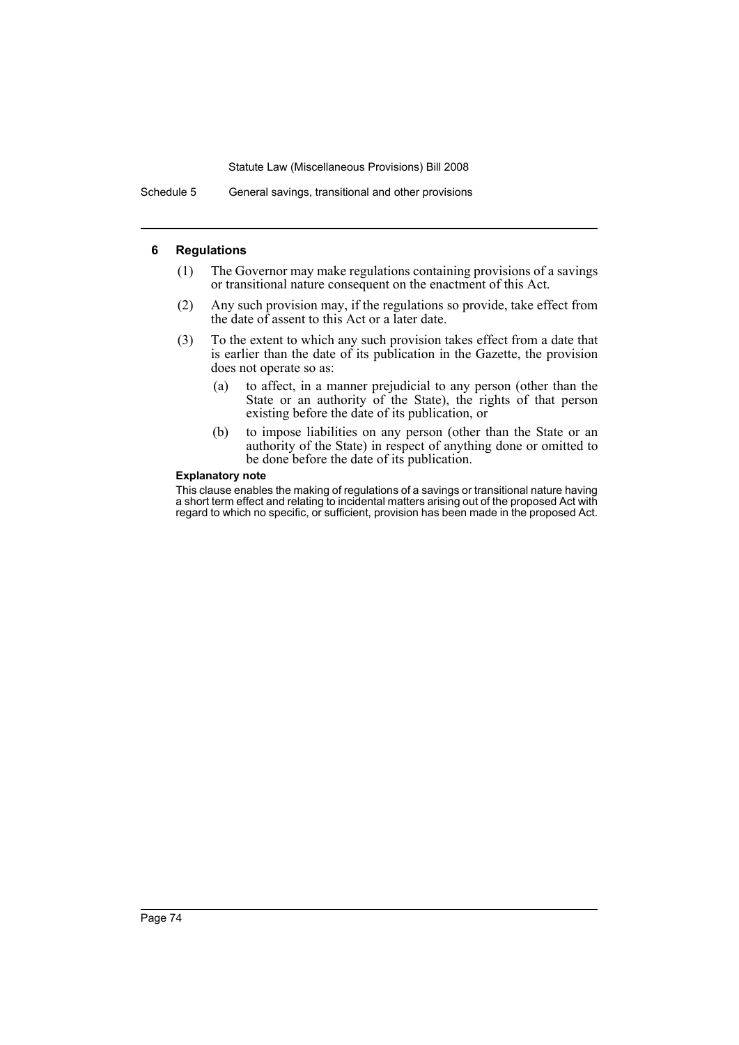Schedule 5 General savings, transitional and other provisions

# **6 Regulations**

- (1) The Governor may make regulations containing provisions of a savings or transitional nature consequent on the enactment of this Act.
- (2) Any such provision may, if the regulations so provide, take effect from the date of assent to this Act or a later date.
- (3) To the extent to which any such provision takes effect from a date that is earlier than the date of its publication in the Gazette, the provision does not operate so as:
	- (a) to affect, in a manner prejudicial to any person (other than the State or an authority of the State), the rights of that person existing before the date of its publication, or
	- (b) to impose liabilities on any person (other than the State or an authority of the State) in respect of anything done or omitted to be done before the date of its publication.

# **Explanatory note**

This clause enables the making of regulations of a savings or transitional nature having a short term effect and relating to incidental matters arising out of the proposed Act with regard to which no specific, or sufficient, provision has been made in the proposed Act.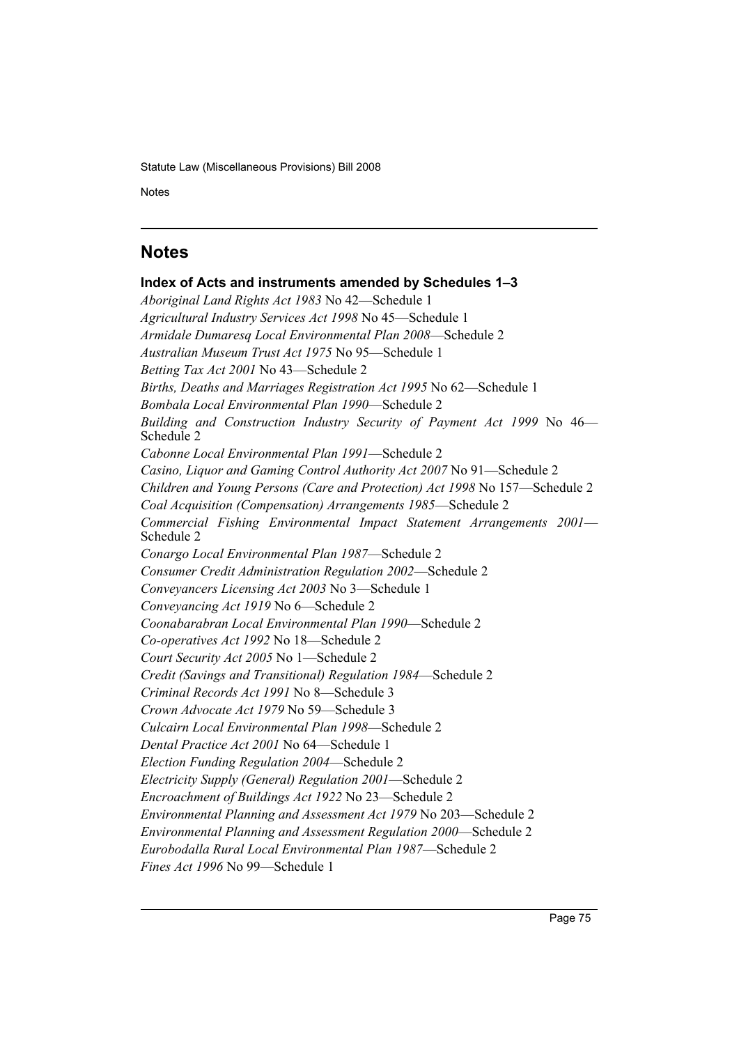Notes Schedule 5 (September 2005) in the set of the set of the set of the set of the set of the set of the set of the set of the set of the set of the set of the set of the set of the set of the set of the set of the set o

# **Notes**

**Index of Acts and instruments amended by Schedules 1–3** *Aboriginal Land Rights Act 1983* No 42—Schedule 1 *Agricultural Industry Services Act 1998* No 45—Schedule 1 *Armidale Dumaresq Local Environmental Plan 2008*—Schedule 2 *Australian Museum Trust Act 1975* No 95—Schedule 1 *Betting Tax Act 2001* No 43—Schedule 2 *Births, Deaths and Marriages Registration Act 1995* No 62—Schedule 1 *Bombala Local Environmental Plan 1990*—Schedule 2 *Building and Construction Industry Security of Payment Act 1999* No 46— Schedule 2 *Cabonne Local Environmental Plan 1991*—Schedule 2 *Casino, Liquor and Gaming Control Authority Act 2007* No 91—Schedule 2 *Children and Young Persons (Care and Protection) Act 1998* No 157—Schedule 2 *Coal Acquisition (Compensation) Arrangements 1985*—Schedule 2 *Commercial Fishing Environmental Impact Statement Arrangements 2001*— Schedule 2 *Conargo Local Environmental Plan 1987*—Schedule 2 *Consumer Credit Administration Regulation 2002*—Schedule 2 *Conveyancers Licensing Act 2003* No 3—Schedule 1 *Conveyancing Act 1919* No 6—Schedule 2 *Coonabarabran Local Environmental Plan 1990*—Schedule 2 *Co-operatives Act 1992* No 18—Schedule 2 *Court Security Act 2005* No 1—Schedule 2 *Credit (Savings and Transitional) Regulation 1984*—Schedule 2 *Criminal Records Act 1991* No 8—Schedule 3 *Crown Advocate Act 1979* No 59—Schedule 3 *Culcairn Local Environmental Plan 1998*—Schedule 2 *Dental Practice Act 2001* No 64—Schedule 1 *Election Funding Regulation 2004*—Schedule 2 *Electricity Supply (General) Regulation 2001*—Schedule 2 *Encroachment of Buildings Act 1922* No 23—Schedule 2 *Environmental Planning and Assessment Act 1979* No 203—Schedule 2 *Environmental Planning and Assessment Regulation 2000*—Schedule 2 *Eurobodalla Rural Local Environmental Plan 1987*—Schedule 2 *Fines Act 1996* No 99—Schedule 1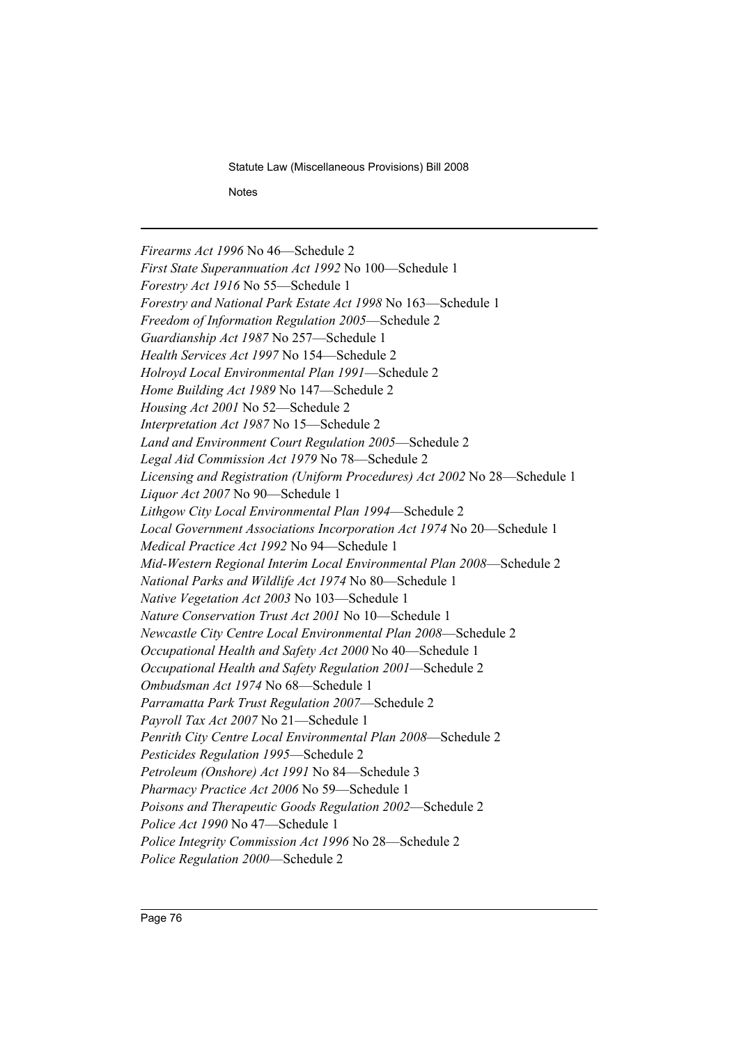**Notes** 

*Firearms Act 1996* No 46—Schedule 2 *First State Superannuation Act 1992* No 100—Schedule 1 *Forestry Act 1916* No 55—Schedule 1 *Forestry and National Park Estate Act 1998* No 163—Schedule 1 *Freedom of Information Regulation 2005*—Schedule 2 *Guardianship Act 1987* No 257—Schedule 1 *Health Services Act 1997* No 154—Schedule 2 *Holroyd Local Environmental Plan 1991*—Schedule 2 *Home Building Act 1989* No 147—Schedule 2 *Housing Act 2001* No 52—Schedule 2 *Interpretation Act 1987* No 15—Schedule 2 *Land and Environment Court Regulation 2005*—Schedule 2 *Legal Aid Commission Act 1979* No 78—Schedule 2 *Licensing and Registration (Uniform Procedures) Act 2002* No 28—Schedule 1 *Liquor Act 2007* No 90—Schedule 1 *Lithgow City Local Environmental Plan 1994*—Schedule 2 *Local Government Associations Incorporation Act 1974* No 20—Schedule 1 *Medical Practice Act 1992* No 94—Schedule 1 *Mid-Western Regional Interim Local Environmental Plan 2008*—Schedule 2 *National Parks and Wildlife Act 1974* No 80—Schedule 1 *Native Vegetation Act 2003* No 103—Schedule 1 *Nature Conservation Trust Act 2001* No 10—Schedule 1 *Newcastle City Centre Local Environmental Plan 2008*—Schedule 2 *Occupational Health and Safety Act 2000* No 40—Schedule 1 *Occupational Health and Safety Regulation 2001*—Schedule 2 *Ombudsman Act 1974* No 68—Schedule 1 *Parramatta Park Trust Regulation 2007*—Schedule 2 *Payroll Tax Act 2007* No 21—Schedule 1 *Penrith City Centre Local Environmental Plan 2008*—Schedule 2 *Pesticides Regulation 1995*—Schedule 2 *Petroleum (Onshore) Act 1991* No 84—Schedule 3 *Pharmacy Practice Act 2006* No 59—Schedule 1 *Poisons and Therapeutic Goods Regulation 2002*—Schedule 2 *Police Act 1990* No 47—Schedule 1 *Police Integrity Commission Act 1996* No 28—Schedule 2 *Police Regulation 2000*—Schedule 2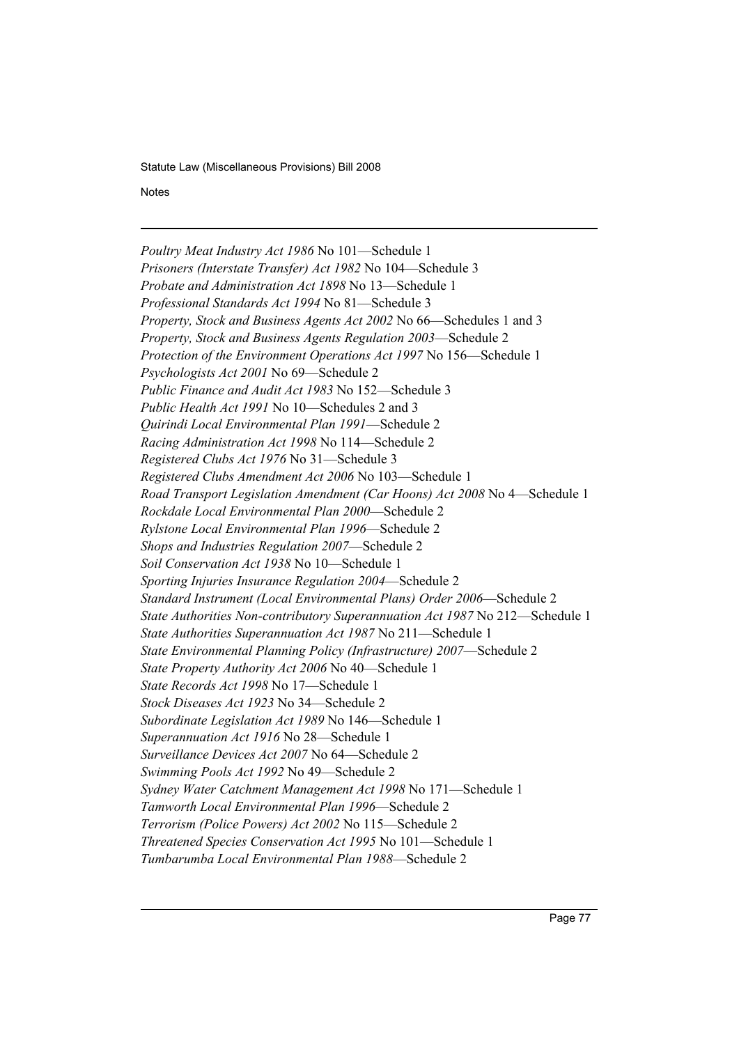Notes Schedule 5 (September 2005) in the set of the set of the set of the set of the set of the set of the set of the set of the set of the set of the set of the set of the set of the set of the set of the set of the set o

*Poultry Meat Industry Act 1986* No 101—Schedule 1 *Prisoners (Interstate Transfer) Act 1982* No 104—Schedule 3 *Probate and Administration Act 1898* No 13—Schedule 1 *Professional Standards Act 1994* No 81—Schedule 3 *Property, Stock and Business Agents Act 2002* No 66—Schedules 1 and 3 *Property, Stock and Business Agents Regulation 2003*—Schedule 2 *Protection of the Environment Operations Act 1997* No 156—Schedule 1 *Psychologists Act 2001* No 69—Schedule 2 *Public Finance and Audit Act 1983* No 152—Schedule 3 *Public Health Act 1991* No 10—Schedules 2 and 3 *Quirindi Local Environmental Plan 1991*—Schedule 2 *Racing Administration Act 1998* No 114—Schedule 2 *Registered Clubs Act 1976* No 31—Schedule 3 *Registered Clubs Amendment Act 2006* No 103—Schedule 1 *Road Transport Legislation Amendment (Car Hoons) Act 2008* No 4—Schedule 1 *Rockdale Local Environmental Plan 2000*—Schedule 2 *Rylstone Local Environmental Plan 1996*—Schedule 2 *Shops and Industries Regulation 2007*—Schedule 2 *Soil Conservation Act 1938* No 10—Schedule 1 *Sporting Injuries Insurance Regulation 2004*—Schedule 2 *Standard Instrument (Local Environmental Plans) Order 2006*—Schedule 2 *State Authorities Non-contributory Superannuation Act 1987* No 212—Schedule 1 *State Authorities Superannuation Act 1987* No 211—Schedule 1 *State Environmental Planning Policy (Infrastructure) 2007*—Schedule 2 *State Property Authority Act 2006* No 40—Schedule 1 *State Records Act 1998* No 17—Schedule 1 *Stock Diseases Act 1923* No 34—Schedule 2 *Subordinate Legislation Act 1989* No 146—Schedule 1 *Superannuation Act 1916* No 28—Schedule 1 *Surveillance Devices Act 2007* No 64—Schedule 2 *Swimming Pools Act 1992* No 49—Schedule 2 *Sydney Water Catchment Management Act 1998* No 171—Schedule 1 *Tamworth Local Environmental Plan 1996*—Schedule 2 *Terrorism (Police Powers) Act 2002* No 115—Schedule 2 *Threatened Species Conservation Act 1995* No 101—Schedule 1 *Tumbarumba Local Environmental Plan 1988*—Schedule 2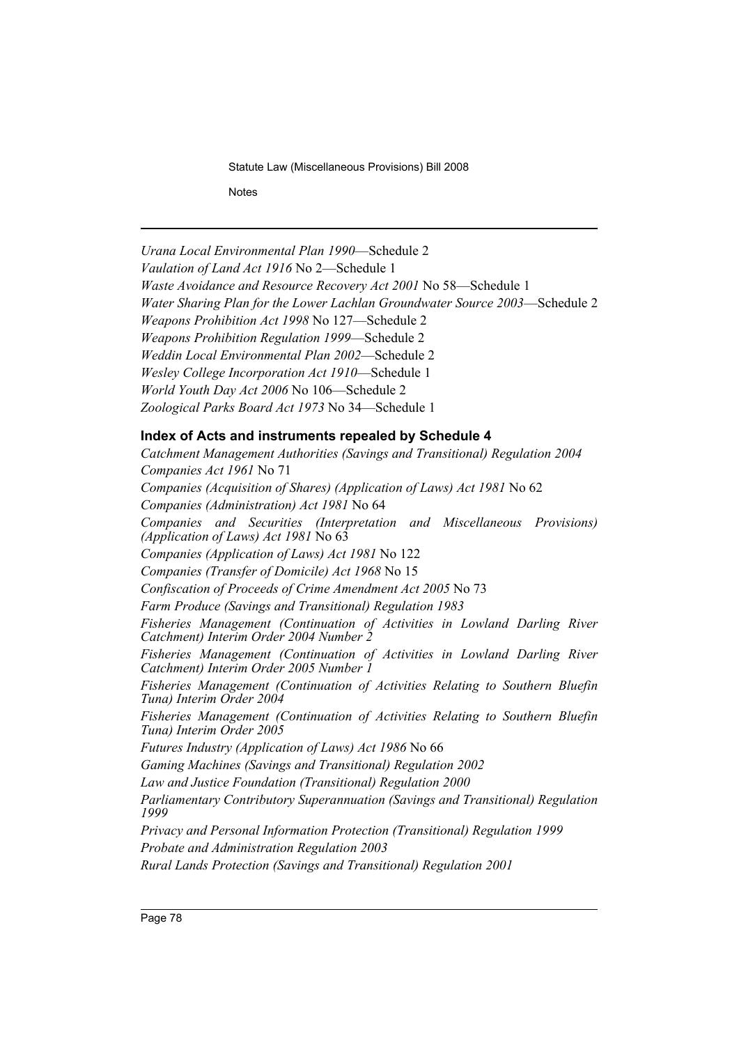**Notes** 

*Urana Local Environmental Plan 1990*—Schedule 2 *Vaulation of Land Act 1916* No 2—Schedule 1 *Waste Avoidance and Resource Recovery Act 2001* No 58—Schedule 1 *Water Sharing Plan for the Lower Lachlan Groundwater Source 2003*—Schedule 2 *Weapons Prohibition Act 1998* No 127—Schedule 2 *Weapons Prohibition Regulation 1999*—Schedule 2 *Weddin Local Environmental Plan 2002*—Schedule 2 *Wesley College Incorporation Act 1910*—Schedule 1 *World Youth Day Act 2006* No 106—Schedule 2 *Zoological Parks Board Act 1973* No 34—Schedule 1 **Index of Acts and instruments repealed by Schedule 4** *Catchment Management Authorities (Savings and Transitional) Regulation 2004 Companies Act 1961* No 71 *Companies (Acquisition of Shares) (Application of Laws) Act 1981* No 62 *Companies (Administration) Act 1981* No 64 *Companies and Securities (Interpretation and Miscellaneous Provisions) (Application of Laws) Act 1981* No 63 *Companies (Application of Laws) Act 1981* No 122 *Companies (Transfer of Domicile) Act 1968* No 15 *Confiscation of Proceeds of Crime Amendment Act 2005* No 73 *Farm Produce (Savings and Transitional) Regulation 1983 Fisheries Management (Continuation of Activities in Lowland Darling River Catchment) Interim Order 2004 Number 2 Fisheries Management (Continuation of Activities in Lowland Darling River Catchment) Interim Order 2005 Number 1 Fisheries Management (Continuation of Activities Relating to Southern Bluefin Tuna) Interim Order 2004 Fisheries Management (Continuation of Activities Relating to Southern Bluefin Tuna) Interim Order 2005 Futures Industry (Application of Laws) Act 1986* No 66 *Gaming Machines (Savings and Transitional) Regulation 2002 Law and Justice Foundation (Transitional) Regulation 2000 Parliamentary Contributory Superannuation (Savings and Transitional) Regulation 1999 Privacy and Personal Information Protection (Transitional) Regulation 1999 Probate and Administration Regulation 2003 Rural Lands Protection (Savings and Transitional) Regulation 2001*